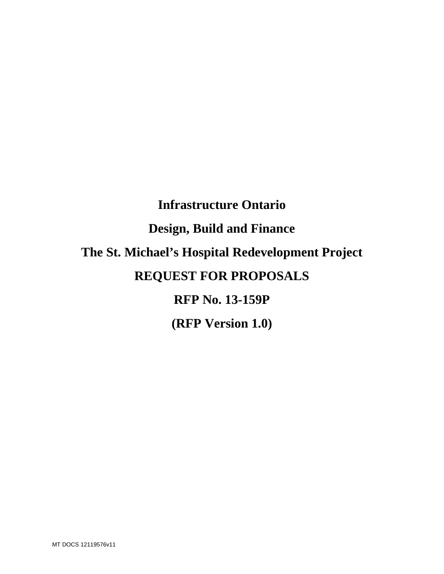**Infrastructure Ontario Design, Build and Finance The St. Michael's Hospital Redevelopment Project REQUEST FOR PROPOSALS RFP No. 13-159P (RFP Version 1.0)**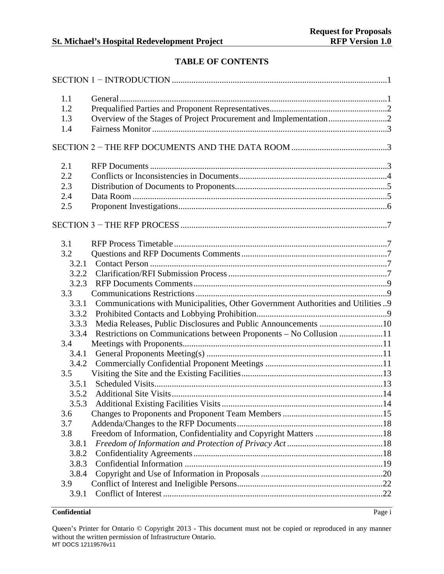# **TABLE OF CONTENTS**

| 1.1   |                                                                                  |  |
|-------|----------------------------------------------------------------------------------|--|
| 1.2   |                                                                                  |  |
| 1.3   |                                                                                  |  |
| 1.4   |                                                                                  |  |
|       |                                                                                  |  |
|       |                                                                                  |  |
| 2.1   |                                                                                  |  |
| 2.2   |                                                                                  |  |
| 2.3   |                                                                                  |  |
| 2.4   |                                                                                  |  |
| 2.5   |                                                                                  |  |
|       |                                                                                  |  |
| 3.1   |                                                                                  |  |
| 3.2   |                                                                                  |  |
| 3.2.1 |                                                                                  |  |
| 3.2.2 |                                                                                  |  |
| 3.2.3 |                                                                                  |  |
| 3.3   |                                                                                  |  |
| 3.3.1 | Communications with Municipalities, Other Government Authorities and Utilities 9 |  |
| 3.3.2 |                                                                                  |  |
| 3.3.3 | Media Releases, Public Disclosures and Public Announcements 10                   |  |
| 3.3.4 | Restrictions on Communications between Proponents – No Collusion                 |  |
| 3.4   |                                                                                  |  |
| 3.4.1 |                                                                                  |  |
| 3.4.2 |                                                                                  |  |
| 3.5   |                                                                                  |  |
| 3.5.1 |                                                                                  |  |
| 3.5.2 |                                                                                  |  |
| 3.5.3 |                                                                                  |  |
| 3.6   |                                                                                  |  |
| 3.7   |                                                                                  |  |
| 3.8   | Freedom of Information, Confidentiality and Copyright Matters 18                 |  |
| 3.8.1 |                                                                                  |  |
| 3.8.2 |                                                                                  |  |
| 3.8.3 |                                                                                  |  |
| 3.8.4 |                                                                                  |  |
| 3.9   |                                                                                  |  |
| 3.9.1 |                                                                                  |  |
|       |                                                                                  |  |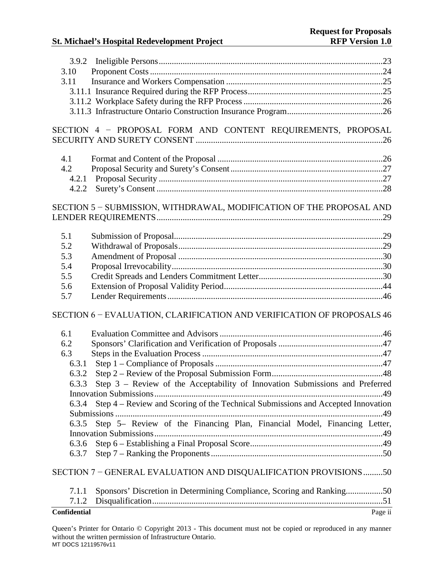# **St. Michael's Hospital Redevelopment Project**

| 3.10<br>3.11<br>SECTION 4 - PROPOSAL FORM AND CONTENT REQUIREMENTS, PROPOSAL<br>4.1<br>4.2<br>4.2.1<br>4.2.2<br>SECTION 5 - SUBMISSION, WITHDRAWAL, MODIFICATION OF THE PROPOSAL AND<br>5.1<br>5.2<br>5.3<br>5.4<br>5.5<br>5.6<br>5.7<br>SECTION 6 - EVALUATION, CLARIFICATION AND VERIFICATION OF PROPOSALS 46<br>6.1<br>6.2<br>6.3<br>6.3.1<br>6.3.2<br>6.3.3 Step 3 – Review of the Acceptability of Innovation Submissions and Preferred<br>Step 4 - Review and Scoring of the Technical Submissions and Accepted Innovation<br>6.3.4<br>Step 5- Review of the Financing Plan, Financial Model, Financing Letter,<br>6.3.5<br>6.3.6<br>6.3.7<br>SECTION 7 - GENERAL EVALUATION AND DISQUALIFICATION PROVISIONS50<br>7.1.1<br>Sponsors' Discretion in Determining Compliance, Scoring and Ranking50<br>7.1.2<br><b>Confidential</b><br>Page ii |  |  |
|---------------------------------------------------------------------------------------------------------------------------------------------------------------------------------------------------------------------------------------------------------------------------------------------------------------------------------------------------------------------------------------------------------------------------------------------------------------------------------------------------------------------------------------------------------------------------------------------------------------------------------------------------------------------------------------------------------------------------------------------------------------------------------------------------------------------------------------------------|--|--|
|                                                                                                                                                                                                                                                                                                                                                                                                                                                                                                                                                                                                                                                                                                                                                                                                                                                   |  |  |
|                                                                                                                                                                                                                                                                                                                                                                                                                                                                                                                                                                                                                                                                                                                                                                                                                                                   |  |  |
|                                                                                                                                                                                                                                                                                                                                                                                                                                                                                                                                                                                                                                                                                                                                                                                                                                                   |  |  |
|                                                                                                                                                                                                                                                                                                                                                                                                                                                                                                                                                                                                                                                                                                                                                                                                                                                   |  |  |
|                                                                                                                                                                                                                                                                                                                                                                                                                                                                                                                                                                                                                                                                                                                                                                                                                                                   |  |  |
|                                                                                                                                                                                                                                                                                                                                                                                                                                                                                                                                                                                                                                                                                                                                                                                                                                                   |  |  |
|                                                                                                                                                                                                                                                                                                                                                                                                                                                                                                                                                                                                                                                                                                                                                                                                                                                   |  |  |
|                                                                                                                                                                                                                                                                                                                                                                                                                                                                                                                                                                                                                                                                                                                                                                                                                                                   |  |  |
|                                                                                                                                                                                                                                                                                                                                                                                                                                                                                                                                                                                                                                                                                                                                                                                                                                                   |  |  |
|                                                                                                                                                                                                                                                                                                                                                                                                                                                                                                                                                                                                                                                                                                                                                                                                                                                   |  |  |
|                                                                                                                                                                                                                                                                                                                                                                                                                                                                                                                                                                                                                                                                                                                                                                                                                                                   |  |  |
|                                                                                                                                                                                                                                                                                                                                                                                                                                                                                                                                                                                                                                                                                                                                                                                                                                                   |  |  |
|                                                                                                                                                                                                                                                                                                                                                                                                                                                                                                                                                                                                                                                                                                                                                                                                                                                   |  |  |
|                                                                                                                                                                                                                                                                                                                                                                                                                                                                                                                                                                                                                                                                                                                                                                                                                                                   |  |  |
|                                                                                                                                                                                                                                                                                                                                                                                                                                                                                                                                                                                                                                                                                                                                                                                                                                                   |  |  |
|                                                                                                                                                                                                                                                                                                                                                                                                                                                                                                                                                                                                                                                                                                                                                                                                                                                   |  |  |
|                                                                                                                                                                                                                                                                                                                                                                                                                                                                                                                                                                                                                                                                                                                                                                                                                                                   |  |  |
|                                                                                                                                                                                                                                                                                                                                                                                                                                                                                                                                                                                                                                                                                                                                                                                                                                                   |  |  |
|                                                                                                                                                                                                                                                                                                                                                                                                                                                                                                                                                                                                                                                                                                                                                                                                                                                   |  |  |
|                                                                                                                                                                                                                                                                                                                                                                                                                                                                                                                                                                                                                                                                                                                                                                                                                                                   |  |  |
|                                                                                                                                                                                                                                                                                                                                                                                                                                                                                                                                                                                                                                                                                                                                                                                                                                                   |  |  |
|                                                                                                                                                                                                                                                                                                                                                                                                                                                                                                                                                                                                                                                                                                                                                                                                                                                   |  |  |
|                                                                                                                                                                                                                                                                                                                                                                                                                                                                                                                                                                                                                                                                                                                                                                                                                                                   |  |  |
|                                                                                                                                                                                                                                                                                                                                                                                                                                                                                                                                                                                                                                                                                                                                                                                                                                                   |  |  |
|                                                                                                                                                                                                                                                                                                                                                                                                                                                                                                                                                                                                                                                                                                                                                                                                                                                   |  |  |
|                                                                                                                                                                                                                                                                                                                                                                                                                                                                                                                                                                                                                                                                                                                                                                                                                                                   |  |  |
|                                                                                                                                                                                                                                                                                                                                                                                                                                                                                                                                                                                                                                                                                                                                                                                                                                                   |  |  |
|                                                                                                                                                                                                                                                                                                                                                                                                                                                                                                                                                                                                                                                                                                                                                                                                                                                   |  |  |
|                                                                                                                                                                                                                                                                                                                                                                                                                                                                                                                                                                                                                                                                                                                                                                                                                                                   |  |  |
|                                                                                                                                                                                                                                                                                                                                                                                                                                                                                                                                                                                                                                                                                                                                                                                                                                                   |  |  |
|                                                                                                                                                                                                                                                                                                                                                                                                                                                                                                                                                                                                                                                                                                                                                                                                                                                   |  |  |
|                                                                                                                                                                                                                                                                                                                                                                                                                                                                                                                                                                                                                                                                                                                                                                                                                                                   |  |  |
|                                                                                                                                                                                                                                                                                                                                                                                                                                                                                                                                                                                                                                                                                                                                                                                                                                                   |  |  |
|                                                                                                                                                                                                                                                                                                                                                                                                                                                                                                                                                                                                                                                                                                                                                                                                                                                   |  |  |
|                                                                                                                                                                                                                                                                                                                                                                                                                                                                                                                                                                                                                                                                                                                                                                                                                                                   |  |  |
|                                                                                                                                                                                                                                                                                                                                                                                                                                                                                                                                                                                                                                                                                                                                                                                                                                                   |  |  |
|                                                                                                                                                                                                                                                                                                                                                                                                                                                                                                                                                                                                                                                                                                                                                                                                                                                   |  |  |
|                                                                                                                                                                                                                                                                                                                                                                                                                                                                                                                                                                                                                                                                                                                                                                                                                                                   |  |  |
|                                                                                                                                                                                                                                                                                                                                                                                                                                                                                                                                                                                                                                                                                                                                                                                                                                                   |  |  |
|                                                                                                                                                                                                                                                                                                                                                                                                                                                                                                                                                                                                                                                                                                                                                                                                                                                   |  |  |
|                                                                                                                                                                                                                                                                                                                                                                                                                                                                                                                                                                                                                                                                                                                                                                                                                                                   |  |  |
|                                                                                                                                                                                                                                                                                                                                                                                                                                                                                                                                                                                                                                                                                                                                                                                                                                                   |  |  |
|                                                                                                                                                                                                                                                                                                                                                                                                                                                                                                                                                                                                                                                                                                                                                                                                                                                   |  |  |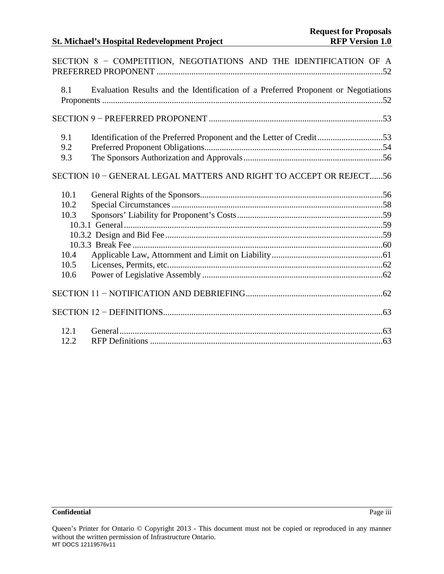|                      | SECTION 8 - COMPETITION, NEGOTIATIONS AND THE IDENTIFICATION OF A                  |
|----------------------|------------------------------------------------------------------------------------|
| 8.1                  | Evaluation Results and the Identification of a Preferred Proponent or Negotiations |
|                      |                                                                                    |
| 9.1<br>9.2<br>9.3    | Identification of the Preferred Proponent and the Letter of Credit53               |
|                      | SECTION 10 - GENERAL LEGAL MATTERS AND RIGHT TO ACCEPT OR REJECT56                 |
| 10.1<br>10.2<br>10.3 |                                                                                    |
|                      |                                                                                    |
| 10.4<br>10.5         |                                                                                    |
| 10.6                 |                                                                                    |
|                      |                                                                                    |
|                      |                                                                                    |
| 12.1<br>12.2         |                                                                                    |

### **Confidential** Page iii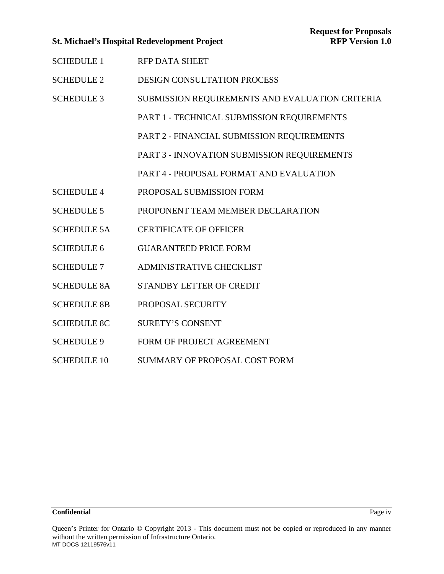| <b>SCHEDULE 1</b>  | <b>RFP DATA SHEET</b>                           |
|--------------------|-------------------------------------------------|
| <b>SCHEDULE 2</b>  | <b>DESIGN CONSULTATION PROCESS</b>              |
| <b>SCHEDULE 3</b>  | SUBMISSION REQUIREMENTS AND EVALUATION CRITERIA |
|                    | PART 1 - TECHNICAL SUBMISSION REQUIREMENTS      |
|                    | PART 2 - FINANCIAL SUBMISSION REQUIREMENTS      |
|                    | PART 3 - INNOVATION SUBMISSION REQUIREMENTS     |
|                    | PART 4 - PROPOSAL FORMAT AND EVALUATION         |
| <b>SCHEDULE 4</b>  | PROPOSAL SUBMISSION FORM                        |
| <b>SCHEDULE 5</b>  | PROPONENT TEAM MEMBER DECLARATION               |
| <b>SCHEDULE 5A</b> | <b>CERTIFICATE OF OFFICER</b>                   |
| <b>SCHEDULE 6</b>  | <b>GUARANTEED PRICE FORM</b>                    |
| <b>SCHEDULE 7</b>  | ADMINISTRATIVE CHECKLIST                        |
| <b>SCHEDULE 8A</b> | STANDBY LETTER OF CREDIT                        |
| <b>SCHEDULE 8B</b> | PROPOSAL SECURITY                               |
| <b>SCHEDULE 8C</b> | <b>SURETY'S CONSENT</b>                         |
| <b>SCHEDULE 9</b>  | FORM OF PROJECT AGREEMENT                       |
| <b>SCHEDULE 10</b> | SUMMARY OF PROPOSAL COST FORM                   |
|                    |                                                 |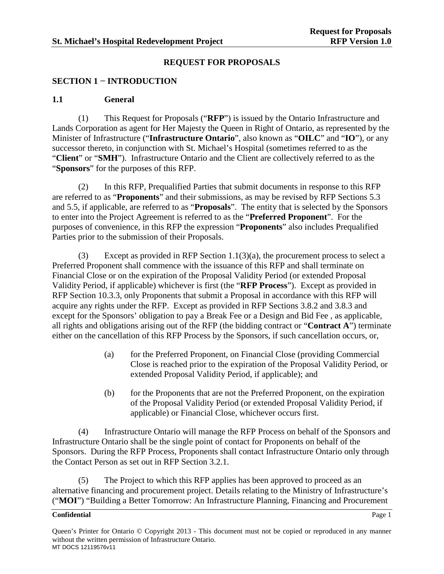## **REQUEST FOR PROPOSALS**

## <span id="page-5-0"></span>**SECTION 1 − INTRODUCTION**

### <span id="page-5-1"></span>**1.1 General**

(1) This Request for Proposals ("**RFP**") is issued by the Ontario Infrastructure and Lands Corporation as agent for Her Majesty the Queen in Right of Ontario, as represented by the Minister of Infrastructure ("**Infrastructure Ontario**", also known as "**OILC**" and "**IO**"), or any successor thereto, in conjunction with St. Michael's Hospital (sometimes referred to as the "**Client**" or "**SMH**"). Infrastructure Ontario and the Client are collectively referred to as the "**Sponsors**" for the purposes of this RFP.

(2) In this RFP, Prequalified Parties that submit documents in response to this RFP are referred to as "**Proponents**" and their submissions, as may be revised by RFP Sections [5.3](#page-34-0) and [5.5,](#page-34-2) if applicable, are referred to as "**Proposals**". The entity that is selected by the Sponsors to enter into the Project Agreement is referred to as the "**Preferred Proponent**". For the purposes of convenience, in this RFP the expression "**Proponents**" also includes Prequalified Parties prior to the submission of their Proposals.

(3) Except as provided in RFP Section [1.1\(3\)\(a\),](#page-5-2) the procurement process to select a Preferred Proponent shall commence with the issuance of this RFP and shall terminate on Financial Close or on the expiration of the Proposal Validity Period (or extended Proposal Validity Period, if applicable) whichever is first (the "**RFP Process**"). Except as provided in RFP Section [10.3.3,](#page-64-0) only Proponents that submit a Proposal in accordance with this RFP will acquire any rights under the RFP. Except as provided in RFP Sections [3.8.2](#page-22-3) and [3.8.3](#page-23-0) and except for the Sponsors' obligation to pay a Break Fee or a Design and Bid Fee , as applicable, all rights and obligations arising out of the RFP (the bidding contract or "**Contract A**") terminate either on the cancellation of this RFP Process by the Sponsors, if such cancellation occurs, or,

- <span id="page-5-2"></span>(a) for the Preferred Proponent, on Financial Close (providing Commercial Close is reached prior to the expiration of the Proposal Validity Period, or extended Proposal Validity Period, if applicable); and
- (b) for the Proponents that are not the Preferred Proponent, on the expiration of the Proposal Validity Period (or extended Proposal Validity Period, if applicable) or Financial Close, whichever occurs first.

(4) Infrastructure Ontario will manage the RFP Process on behalf of the Sponsors and Infrastructure Ontario shall be the single point of contact for Proponents on behalf of the Sponsors. During the RFP Process, Proponents shall contact Infrastructure Ontario only through the Contact Person as set out in RFP Section [3.2.1.](#page-11-3)

(5) The Project to which this RFP applies has been approved to proceed as an alternative financing and procurement project. Details relating to the Ministry of Infrastructure's ("**MOI**") "Building a Better Tomorrow: An Infrastructure Planning, Financing and Procurement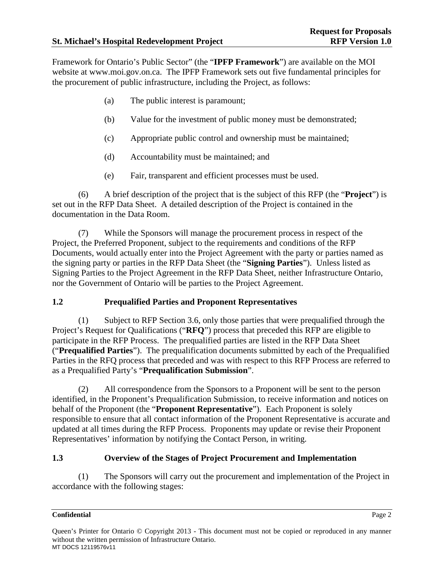Framework for Ontario's Public Sector" (the "**IPFP Framework**") are available on the MOI website at www.moi.gov.on.ca. The IPFP Framework sets out five fundamental principles for the procurement of public infrastructure, including the Project, as follows:

- (a) The public interest is paramount;
- (b) Value for the investment of public money must be demonstrated;
- (c) Appropriate public control and ownership must be maintained;
- (d) Accountability must be maintained; and
- (e) Fair, transparent and efficient processes must be used.

(6) A brief description of the project that is the subject of this RFP (the "**Project**") is set out in the RFP Data Sheet. A detailed description of the Project is contained in the documentation in the Data Room.

(7) While the Sponsors will manage the procurement process in respect of the Project, the Preferred Proponent, subject to the requirements and conditions of the RFP Documents, would actually enter into the Project Agreement with the party or parties named as the signing party or parties in the RFP Data Sheet (the "**Signing Parties**"). Unless listed as Signing Parties to the Project Agreement in the RFP Data Sheet, neither Infrastructure Ontario, nor the Government of Ontario will be parties to the Project Agreement.

# <span id="page-6-0"></span>**1.2 Prequalified Parties and Proponent Representatives**

(1) Subject to RFP Section [3.6,](#page-19-0) only those parties that were prequalified through the Project's Request for Qualifications ("**RFQ**") process that preceded this RFP are eligible to participate in the RFP Process. The prequalified parties are listed in the RFP Data Sheet ("**Prequalified Parties**"). The prequalification documents submitted by each of the Prequalified Parties in the RFQ process that preceded and was with respect to this RFP Process are referred to as a Prequalified Party's "**Prequalification Submission**".

(2) All correspondence from the Sponsors to a Proponent will be sent to the person identified, in the Proponent's Prequalification Submission, to receive information and notices on behalf of the Proponent (the "**Proponent Representative**"). Each Proponent is solely responsible to ensure that all contact information of the Proponent Representative is accurate and updated at all times during the RFP Process. Proponents may update or revise their Proponent Representatives' information by notifying the Contact Person, in writing.

# <span id="page-6-1"></span>**1.3 Overview of the Stages of Project Procurement and Implementation**

(1) The Sponsors will carry out the procurement and implementation of the Project in accordance with the following stages:

Queen's Printer for Ontario © Copyright 2013 - This document must not be copied or reproduced in any manner without the written permission of Infrastructure Ontario. MT DOCS 12119576v11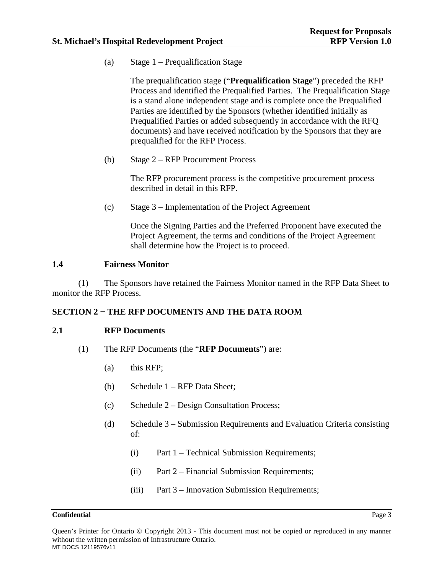(a) Stage 1 – Prequalification Stage

The prequalification stage ("**Prequalification Stage**") preceded the RFP Process and identified the Prequalified Parties. The Prequalification Stage is a stand alone independent stage and is complete once the Prequalified Parties are identified by the Sponsors (whether identified initially as Prequalified Parties or added subsequently in accordance with the RFQ documents) and have received notification by the Sponsors that they are prequalified for the RFP Process.

(b) Stage 2 – RFP Procurement Process

The RFP procurement process is the competitive procurement process described in detail in this RFP.

(c) Stage 3 – Implementation of the Project Agreement

Once the Signing Parties and the Preferred Proponent have executed the Project Agreement, the terms and conditions of the Project Agreement shall determine how the Project is to proceed.

### <span id="page-7-0"></span>**1.4 Fairness Monitor**

(1) The Sponsors have retained the Fairness Monitor named in the RFP Data Sheet to monitor the RFP Process.

## <span id="page-7-1"></span>**SECTION 2 − THE RFP DOCUMENTS AND THE DATA ROOM**

### <span id="page-7-2"></span>**2.1 RFP Documents**

- (1) The RFP Documents (the "**RFP Documents**") are:
	- (a) this RFP;
	- (b) Schedule 1 RFP Data Sheet;
	- (c) Schedule 2 Design Consultation Process;
	- (d) Schedule 3 Submission Requirements and Evaluation Criteria consisting of:
		- (i) Part 1 Technical Submission Requirements;
		- (ii) Part 2 Financial Submission Requirements;
		- (iii) Part 3 Innovation Submission Requirements;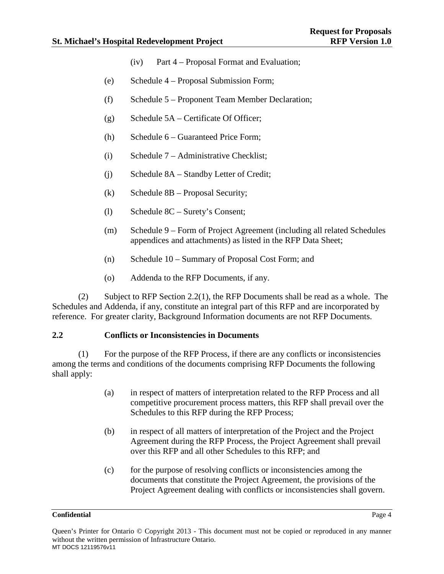- (iv) Part 4 Proposal Format and Evaluation;
- (e) Schedule 4 Proposal Submission Form;
- (f) Schedule 5 Proponent Team Member Declaration;
- (g) Schedule 5A Certificate Of Officer;
- (h) Schedule 6 Guaranteed Price Form;
- (i) Schedule 7 Administrative Checklist;
- (j) Schedule 8A Standby Letter of Credit;
- (k) Schedule 8B Proposal Security;
- (l) Schedule 8C Surety's Consent;
- (m) Schedule 9 Form of Project Agreement (including all related Schedules appendices and attachments) as listed in the RFP Data Sheet;
- (n) Schedule 10 Summary of Proposal Cost Form; and
- (o) Addenda to the RFP Documents, if any.

(2) Subject to RFP Section [2.2\(1\),](#page-8-1) the RFP Documents shall be read as a whole. The Schedules and Addenda, if any, constitute an integral part of this RFP and are incorporated by reference. For greater clarity, Background Information documents are not RFP Documents.

## <span id="page-8-0"></span>**2.2 Conflicts or Inconsistencies in Documents**

<span id="page-8-1"></span>(1) For the purpose of the RFP Process, if there are any conflicts or inconsistencies among the terms and conditions of the documents comprising RFP Documents the following shall apply:

- (a) in respect of matters of interpretation related to the RFP Process and all competitive procurement process matters, this RFP shall prevail over the Schedules to this RFP during the RFP Process;
- (b) in respect of all matters of interpretation of the Project and the Project Agreement during the RFP Process, the Project Agreement shall prevail over this RFP and all other Schedules to this RFP; and
- (c) for the purpose of resolving conflicts or inconsistencies among the documents that constitute the Project Agreement, the provisions of the Project Agreement dealing with conflicts or inconsistencies shall govern.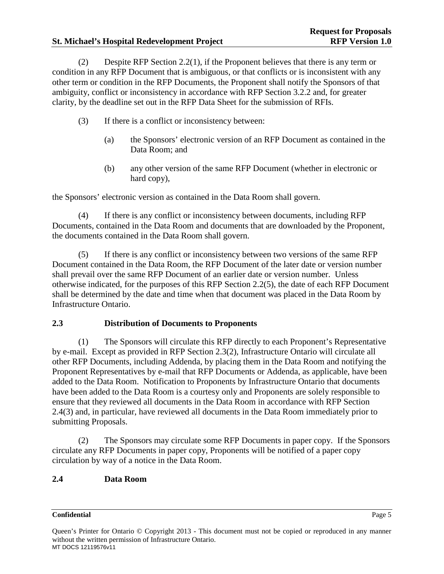(2) Despite RFP Section [2.2\(1\),](#page-8-1) if the Proponent believes that there is any term or condition in any RFP Document that is ambiguous, or that conflicts or is inconsistent with any other term or condition in the RFP Documents, the Proponent shall notify the Sponsors of that ambiguity, conflict or inconsistency in accordance with RFP Section [3.2.2](#page-11-4) and, for greater clarity, by the deadline set out in the RFP Data Sheet for the submission of RFIs.

- (3) If there is a conflict or inconsistency between:
	- (a) the Sponsors' electronic version of an RFP Document as contained in the Data Room; and
	- (b) any other version of the same RFP Document (whether in electronic or hard copy),

the Sponsors' electronic version as contained in the Data Room shall govern.

(4) If there is any conflict or inconsistency between documents, including RFP Documents, contained in the Data Room and documents that are downloaded by the Proponent, the documents contained in the Data Room shall govern.

<span id="page-9-2"></span>(5) If there is any conflict or inconsistency between two versions of the same RFP Document contained in the Data Room, the RFP Document of the later date or version number shall prevail over the same RFP Document of an earlier date or version number. Unless otherwise indicated, for the purposes of this RFP Section [2.2\(5\),](#page-9-2) the date of each RFP Document shall be determined by the date and time when that document was placed in the Data Room by Infrastructure Ontario.

# <span id="page-9-0"></span>**2.3 Distribution of Documents to Proponents**

(1) The Sponsors will circulate this RFP directly to each Proponent's Representative by e-mail. Except as provided in RFP Section [2.3\(2\),](#page-9-3) Infrastructure Ontario will circulate all other RFP Documents, including Addenda, by placing them in the Data Room and notifying the Proponent Representatives by e-mail that RFP Documents or Addenda, as applicable, have been added to the Data Room. Notification to Proponents by Infrastructure Ontario that documents have been added to the Data Room is a courtesy only and Proponents are solely responsible to ensure that they reviewed all documents in the Data Room in accordance with RFP Section [2.4\(3\)](#page-10-1) and, in particular, have reviewed all documents in the Data Room immediately prior to submitting Proposals.

<span id="page-9-3"></span>(2) The Sponsors may circulate some RFP Documents in paper copy. If the Sponsors circulate any RFP Documents in paper copy, Proponents will be notified of a paper copy circulation by way of a notice in the Data Room.

# <span id="page-9-1"></span>**2.4 Data Room**

Queen's Printer for Ontario © Copyright 2013 - This document must not be copied or reproduced in any manner without the written permission of Infrastructure Ontario. MT DOCS 12119576v11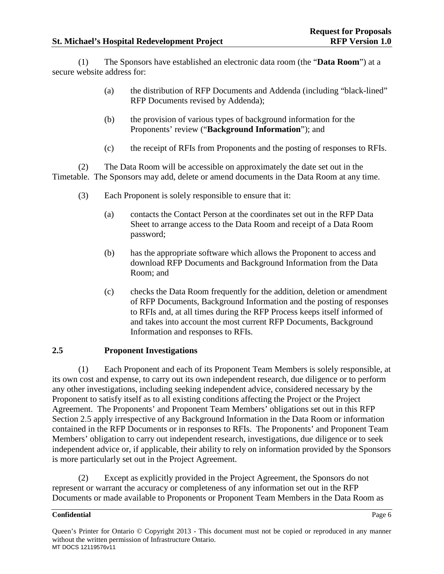(1) The Sponsors have established an electronic data room (the "**Data Room**") at a secure website address for:

- (a) the distribution of RFP Documents and Addenda (including "black-lined" RFP Documents revised by Addenda);
- (b) the provision of various types of background information for the Proponents' review ("**Background Information**"); and
- (c) the receipt of RFIs from Proponents and the posting of responses to RFIs.

(2) The Data Room will be accessible on approximately the date set out in the Timetable. The Sponsors may add, delete or amend documents in the Data Room at any time.

- <span id="page-10-1"></span>(3) Each Proponent is solely responsible to ensure that it:
	- (a) contacts the Contact Person at the coordinates set out in the RFP Data Sheet to arrange access to the Data Room and receipt of a Data Room password;
	- (b) has the appropriate software which allows the Proponent to access and download RFP Documents and Background Information from the Data Room; and
	- (c) checks the Data Room frequently for the addition, deletion or amendment of RFP Documents, Background Information and the posting of responses to RFIs and, at all times during the RFP Process keeps itself informed of and takes into account the most current RFP Documents, Background Information and responses to RFIs.

# <span id="page-10-0"></span>**2.5 Proponent Investigations**

(1) Each Proponent and each of its Proponent Team Members is solely responsible, at its own cost and expense, to carry out its own independent research, due diligence or to perform any other investigations, including seeking independent advice, considered necessary by the Proponent to satisfy itself as to all existing conditions affecting the Project or the Project Agreement. The Proponents' and Proponent Team Members' obligations set out in this RFP Section [2.5](#page-10-0) apply irrespective of any Background Information in the Data Room or information contained in the RFP Documents or in responses to RFIs. The Proponents' and Proponent Team Members' obligation to carry out independent research, investigations, due diligence or to seek independent advice or, if applicable, their ability to rely on information provided by the Sponsors is more particularly set out in the Project Agreement.

(2) Except as explicitly provided in the Project Agreement, the Sponsors do not represent or warrant the accuracy or completeness of any information set out in the RFP Documents or made available to Proponents or Proponent Team Members in the Data Room as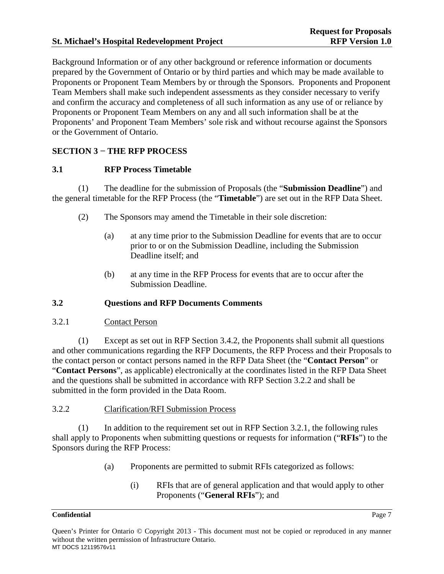## **St. Michael's Hospital Redevelopment Project RFP Version 1.0**

Background Information or of any other background or reference information or documents prepared by the Government of Ontario or by third parties and which may be made available to Proponents or Proponent Team Members by or through the Sponsors. Proponents and Proponent Team Members shall make such independent assessments as they consider necessary to verify and confirm the accuracy and completeness of all such information as any use of or reliance by Proponents or Proponent Team Members on any and all such information shall be at the Proponents' and Proponent Team Members' sole risk and without recourse against the Sponsors or the Government of Ontario.

# <span id="page-11-0"></span>**SECTION 3 − THE RFP PROCESS**

# <span id="page-11-1"></span>**3.1 RFP Process Timetable**

(1) The deadline for the submission of Proposals (the "**Submission Deadline**") and the general timetable for the RFP Process (the "**Timetable**") are set out in the RFP Data Sheet.

- (2) The Sponsors may amend the Timetable in their sole discretion:
	- (a) at any time prior to the Submission Deadline for events that are to occur prior to or on the Submission Deadline, including the Submission Deadline itself; and
	- (b) at any time in the RFP Process for events that are to occur after the Submission Deadline.

# <span id="page-11-2"></span>**3.2 Questions and RFP Documents Comments**

## <span id="page-11-3"></span>3.2.1 Contact Person

(1) Except as set out in RFP Section [3.4.2,](#page-15-3) the Proponents shall submit all questions and other communications regarding the RFP Documents, the RFP Process and their Proposals to the contact person or contact persons named in the RFP Data Sheet (the "**Contact Person**" or "**Contact Persons**", as applicable) electronically at the coordinates listed in the RFP Data Sheet and the questions shall be submitted in accordance with RFP Section [3.2.2](#page-11-4) and shall be submitted in the form provided in the Data Room.

## <span id="page-11-4"></span>3.2.2 Clarification/RFI Submission Process

 $(1)$  In addition to the requirement set out in RFP Section [3.2.1,](#page-11-3) the following rules shall apply to Proponents when submitting questions or requests for information ("**RFIs**") to the Sponsors during the RFP Process:

- (a) Proponents are permitted to submit RFIs categorized as follows:
	- (i) RFIs that are of general application and that would apply to other Proponents ("**General RFIs**"); and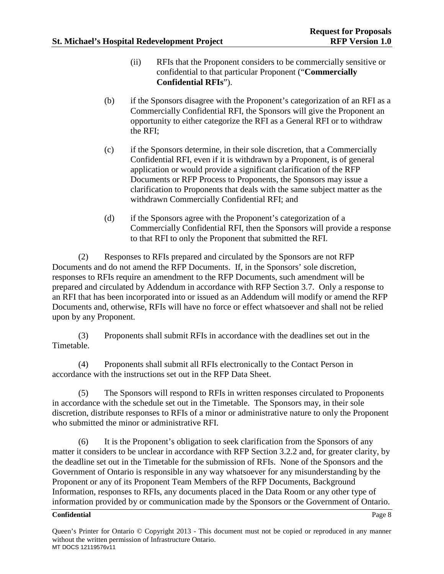- (ii) RFIs that the Proponent considers to be commercially sensitive or confidential to that particular Proponent ("**Commercially Confidential RFIs**").
- (b) if the Sponsors disagree with the Proponent's categorization of an RFI as a Commercially Confidential RFI, the Sponsors will give the Proponent an opportunity to either categorize the RFI as a General RFI or to withdraw the RFI;
- (c) if the Sponsors determine, in their sole discretion, that a Commercially Confidential RFI, even if it is withdrawn by a Proponent, is of general application or would provide a significant clarification of the RFP Documents or RFP Process to Proponents, the Sponsors may issue a clarification to Proponents that deals with the same subject matter as the withdrawn Commercially Confidential RFI; and
- (d) if the Sponsors agree with the Proponent's categorization of a Commercially Confidential RFI, then the Sponsors will provide a response to that RFI to only the Proponent that submitted the RFI.

(2) Responses to RFIs prepared and circulated by the Sponsors are not RFP Documents and do not amend the RFP Documents. If, in the Sponsors' sole discretion, responses to RFIs require an amendment to the RFP Documents, such amendment will be prepared and circulated by Addendum in accordance with RFP Section [3.7.](#page-22-0) Only a response to an RFI that has been incorporated into or issued as an Addendum will modify or amend the RFP Documents and, otherwise, RFIs will have no force or effect whatsoever and shall not be relied upon by any Proponent.

(3) Proponents shall submit RFIs in accordance with the deadlines set out in the Timetable.

(4) Proponents shall submit all RFIs electronically to the Contact Person in accordance with the instructions set out in the RFP Data Sheet.

(5) The Sponsors will respond to RFIs in written responses circulated to Proponents in accordance with the schedule set out in the Timetable. The Sponsors may, in their sole discretion, distribute responses to RFIs of a minor or administrative nature to only the Proponent who submitted the minor or administrative RFI.

(6) It is the Proponent's obligation to seek clarification from the Sponsors of any matter it considers to be unclear in accordance with RFP Section [3.2.2](#page-11-4) and, for greater clarity, by the deadline set out in the Timetable for the submission of RFIs. None of the Sponsors and the Government of Ontario is responsible in any way whatsoever for any misunderstanding by the Proponent or any of its Proponent Team Members of the RFP Documents, Background Information, responses to RFIs, any documents placed in the Data Room or any other type of information provided by or communication made by the Sponsors or the Government of Ontario.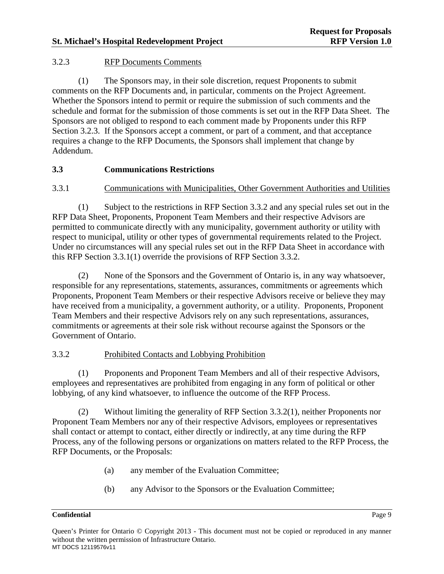# <span id="page-13-0"></span>3.2.3 RFP Documents Comments

(1) The Sponsors may, in their sole discretion, request Proponents to submit comments on the RFP Documents and, in particular, comments on the Project Agreement. Whether the Sponsors intend to permit or require the submission of such comments and the schedule and format for the submission of those comments is set out in the RFP Data Sheet. The Sponsors are not obliged to respond to each comment made by Proponents under this RFP Section [3.2.3.](#page-13-0) If the Sponsors accept a comment, or part of a comment, and that acceptance requires a change to the RFP Documents, the Sponsors shall implement that change by Addendum.

## <span id="page-13-1"></span>**3.3 Communications Restrictions**

# <span id="page-13-2"></span>3.3.1 Communications with Municipalities, Other Government Authorities and Utilities

<span id="page-13-4"></span>(1) Subject to the restrictions in RFP Section [3.3.2](#page-13-3) and any special rules set out in the RFP Data Sheet, Proponents, Proponent Team Members and their respective Advisors are permitted to communicate directly with any municipality, government authority or utility with respect to municipal, utility or other types of governmental requirements related to the Project. Under no circumstances will any special rules set out in the RFP Data Sheet in accordance with this RFP Section [3.3.1\(1\)](#page-13-4) override the provisions of RFP Section [3.3.2.](#page-13-3)

(2) None of the Sponsors and the Government of Ontario is, in any way whatsoever, responsible for any representations, statements, assurances, commitments or agreements which Proponents, Proponent Team Members or their respective Advisors receive or believe they may have received from a municipality, a government authority, or a utility. Proponents, Proponent Team Members and their respective Advisors rely on any such representations, assurances, commitments or agreements at their sole risk without recourse against the Sponsors or the Government of Ontario.

# <span id="page-13-3"></span>3.3.2 Prohibited Contacts and Lobbying Prohibition

<span id="page-13-5"></span>(1) Proponents and Proponent Team Members and all of their respective Advisors, employees and representatives are prohibited from engaging in any form of political or other lobbying, of any kind whatsoever, to influence the outcome of the RFP Process.

<span id="page-13-7"></span>(2) Without limiting the generality of RFP Section [3.3.2\(1\),](#page-13-5) neither Proponents nor Proponent Team Members nor any of their respective Advisors, employees or representatives shall contact or attempt to contact, either directly or indirectly, at any time during the RFP Process, any of the following persons or organizations on matters related to the RFP Process, the RFP Documents, or the Proposals:

- <span id="page-13-6"></span>(a) any member of the Evaluation Committee;
- (b) any Advisor to the Sponsors or the Evaluation Committee;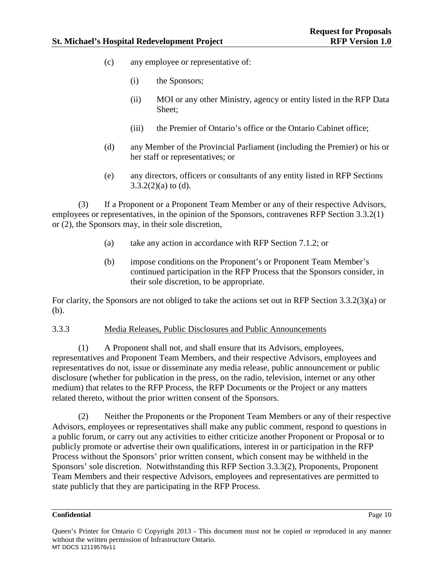- (c) any employee or representative of:
	- (i) the Sponsors;
	- (ii) MOI or any other Ministry, agency or entity listed in the RFP Data Sheet;
	- (iii) the Premier of Ontario's office or the Ontario Cabinet office;
- <span id="page-14-1"></span>(d) any Member of the Provincial Parliament (including the Premier) or his or her staff or representatives; or
- (e) any directors, officers or consultants of any entity listed in RFP Sections  $3.3.2(2)(a)$  to [\(d\).](#page-14-1)

<span id="page-14-2"></span>(3) If a Proponent or a Proponent Team Member or any of their respective Advisors, employees or representatives, in the opinion of the Sponsors, contravenes RFP Section [3.3.2\(1\)](#page-13-5) or [\(2\),](#page-13-7) the Sponsors may, in their sole discretion,

- (a) take any action in accordance with RFP Section [7.1.2;](#page-55-0) or
- (b) impose conditions on the Proponent's or Proponent Team Member's continued participation in the RFP Process that the Sponsors consider, in their sole discretion, to be appropriate.

<span id="page-14-3"></span>For clarity, the Sponsors are not obliged to take the actions set out in RFP Section [3.3.2\(3\)\(a\)](#page-14-2) or [\(b\).](#page-14-3)

## <span id="page-14-0"></span>3.3.3 Media Releases, Public Disclosures and Public Announcements

(1) A Proponent shall not, and shall ensure that its Advisors, employees, representatives and Proponent Team Members, and their respective Advisors, employees and representatives do not, issue or disseminate any media release, public announcement or public disclosure (whether for publication in the press, on the radio, television, internet or any other medium) that relates to the RFP Process, the RFP Documents or the Project or any matters related thereto, without the prior written consent of the Sponsors.

<span id="page-14-4"></span>(2) Neither the Proponents or the Proponent Team Members or any of their respective Advisors, employees or representatives shall make any public comment, respond to questions in a public forum, or carry out any activities to either criticize another Proponent or Proposal or to publicly promote or advertise their own qualifications, interest in or participation in the RFP Process without the Sponsors' prior written consent, which consent may be withheld in the Sponsors' sole discretion. Notwithstanding this RFP Section [3.3.3\(2\),](#page-14-4) Proponents, Proponent Team Members and their respective Advisors, employees and representatives are permitted to state publicly that they are participating in the RFP Process.

**Confidential** Page 10

Queen's Printer for Ontario © Copyright 2013 - This document must not be copied or reproduced in any manner without the written permission of Infrastructure Ontario. MT DOCS 12119576v11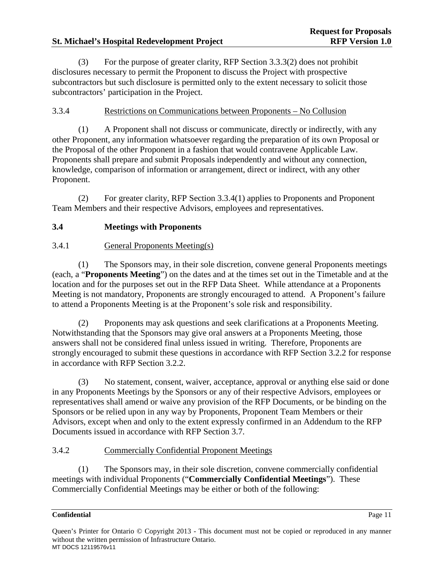(3) For the purpose of greater clarity, RFP Section [3.3.3\(2\)](#page-14-4) does not prohibit disclosures necessary to permit the Proponent to discuss the Project with prospective subcontractors but such disclosure is permitted only to the extent necessary to solicit those subcontractors' participation in the Project.

# <span id="page-15-0"></span>3.3.4 Restrictions on Communications between Proponents – No Collusion

<span id="page-15-4"></span>(1) A Proponent shall not discuss or communicate, directly or indirectly, with any other Proponent, any information whatsoever regarding the preparation of its own Proposal or the Proposal of the other Proponent in a fashion that would contravene Applicable Law. Proponents shall prepare and submit Proposals independently and without any connection, knowledge, comparison of information or arrangement, direct or indirect, with any other Proponent.

(2) For greater clarity, RFP Section [3.3.4\(1\)](#page-15-4) applies to Proponents and Proponent Team Members and their respective Advisors, employees and representatives.

# <span id="page-15-1"></span>**3.4 Meetings with Proponents**

# <span id="page-15-2"></span>3.4.1 General Proponents Meeting(s)

(1) The Sponsors may, in their sole discretion, convene general Proponents meetings (each, a "**Proponents Meeting**") on the dates and at the times set out in the Timetable and at the location and for the purposes set out in the RFP Data Sheet. While attendance at a Proponents Meeting is not mandatory, Proponents are strongly encouraged to attend. A Proponent's failure to attend a Proponents Meeting is at the Proponent's sole risk and responsibility.

(2) Proponents may ask questions and seek clarifications at a Proponents Meeting. Notwithstanding that the Sponsors may give oral answers at a Proponents Meeting, those answers shall not be considered final unless issued in writing. Therefore, Proponents are strongly encouraged to submit these questions in accordance with RFP Section [3.2.2](#page-11-4) for response in accordance with RFP Section [3.2.2.](#page-11-4)

(3) No statement, consent, waiver, acceptance, approval or anything else said or done in any Proponents Meetings by the Sponsors or any of their respective Advisors, employees or representatives shall amend or waive any provision of the RFP Documents, or be binding on the Sponsors or be relied upon in any way by Proponents, Proponent Team Members or their Advisors, except when and only to the extent expressly confirmed in an Addendum to the RFP Documents issued in accordance with RFP Section [3.7.](#page-22-0)

# <span id="page-15-3"></span>3.4.2 Commercially Confidential Proponent Meetings

(1) The Sponsors may, in their sole discretion, convene commercially confidential meetings with individual Proponents ("**Commercially Confidential Meetings**"). These Commercially Confidential Meetings may be either or both of the following: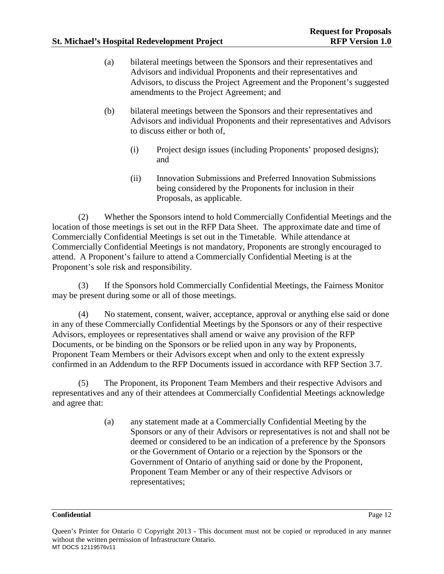- (a) bilateral meetings between the Sponsors and their representatives and Advisors and individual Proponents and their representatives and Advisors, to discuss the Project Agreement and the Proponent's suggested amendments to the Project Agreement; and
- (b) bilateral meetings between the Sponsors and their representatives and Advisors and individual Proponents and their representatives and Advisors to discuss either or both of,
	- (i) Project design issues (including Proponents' proposed designs); and
	- (ii) Innovation Submissions and Preferred Innovation Submissions being considered by the Proponents for inclusion in their Proposals, as applicable.

(2) Whether the Sponsors intend to hold Commercially Confidential Meetings and the location of those meetings is set out in the RFP Data Sheet. The approximate date and time of Commercially Confidential Meetings is set out in the Timetable. While attendance at Commercially Confidential Meetings is not mandatory, Proponents are strongly encouraged to attend. A Proponent's failure to attend a Commercially Confidential Meeting is at the Proponent's sole risk and responsibility.

(3) If the Sponsors hold Commercially Confidential Meetings, the Fairness Monitor may be present during some or all of those meetings.

(4) No statement, consent, waiver, acceptance, approval or anything else said or done in any of these Commercially Confidential Meetings by the Sponsors or any of their respective Advisors, employees or representatives shall amend or waive any provision of the RFP Documents, or be binding on the Sponsors or be relied upon in any way by Proponents, Proponent Team Members or their Advisors except when and only to the extent expressly confirmed in an Addendum to the RFP Documents issued in accordance with RFP Section [3.7.](#page-22-0)

(5) The Proponent, its Proponent Team Members and their respective Advisors and representatives and any of their attendees at Commercially Confidential Meetings acknowledge and agree that:

> (a) any statement made at a Commercially Confidential Meeting by the Sponsors or any of their Advisors or representatives is not and shall not be deemed or considered to be an indication of a preference by the Sponsors or the Government of Ontario or a rejection by the Sponsors or the Government of Ontario of anything said or done by the Proponent, Proponent Team Member or any of their respective Advisors or representatives;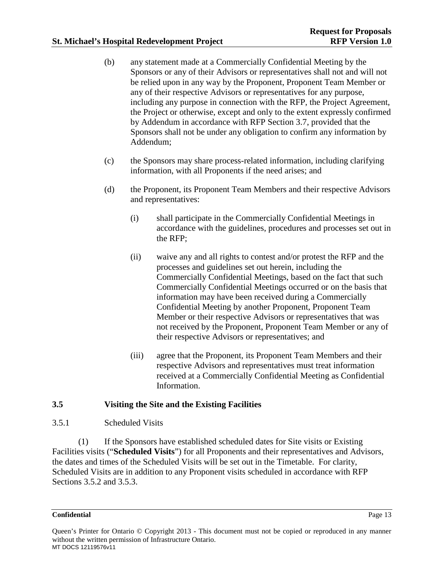- (b) any statement made at a Commercially Confidential Meeting by the Sponsors or any of their Advisors or representatives shall not and will not be relied upon in any way by the Proponent, Proponent Team Member or any of their respective Advisors or representatives for any purpose, including any purpose in connection with the RFP, the Project Agreement, the Project or otherwise, except and only to the extent expressly confirmed by Addendum in accordance with RFP Section [3.7,](#page-22-0) provided that the Sponsors shall not be under any obligation to confirm any information by Addendum;
- (c) the Sponsors may share process-related information, including clarifying information, with all Proponents if the need arises; and
- (d) the Proponent, its Proponent Team Members and their respective Advisors and representatives:
	- (i) shall participate in the Commercially Confidential Meetings in accordance with the guidelines, procedures and processes set out in the RFP;
	- (ii) waive any and all rights to contest and/or protest the RFP and the processes and guidelines set out herein, including the Commercially Confidential Meetings, based on the fact that such Commercially Confidential Meetings occurred or on the basis that information may have been received during a Commercially Confidential Meeting by another Proponent, Proponent Team Member or their respective Advisors or representatives that was not received by the Proponent, Proponent Team Member or any of their respective Advisors or representatives; and
	- (iii) agree that the Proponent, its Proponent Team Members and their respective Advisors and representatives must treat information received at a Commercially Confidential Meeting as Confidential Information.

# <span id="page-17-0"></span>**3.5 Visiting the Site and the Existing Facilities**

# <span id="page-17-1"></span>3.5.1 Scheduled Visits

(1) If the Sponsors have established scheduled dates for Site visits or Existing Facilities visits ("**Scheduled Visits**") for all Proponents and their representatives and Advisors, the dates and times of the Scheduled Visits will be set out in the Timetable. For clarity, Scheduled Visits are in addition to any Proponent visits scheduled in accordance with RFP Sections [3.5.2](#page-18-0) and [3.5.3.](#page-18-1)

**Confidential** Page 13

Queen's Printer for Ontario © Copyright 2013 - This document must not be copied or reproduced in any manner without the written permission of Infrastructure Ontario. MT DOCS 12119576v11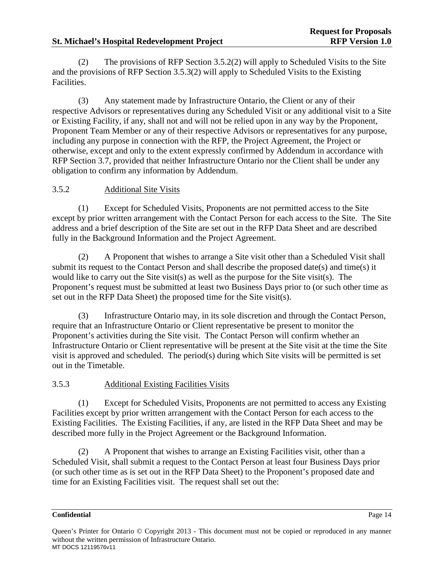(2) The provisions of RFP Section [3.5.2\(2\)](#page-18-2) will apply to Scheduled Visits to the Site and the provisions of RFP Section [3.5.3\(2\)](#page-18-3) will apply to Scheduled Visits to the Existing Facilities.

(3) Any statement made by Infrastructure Ontario, the Client or any of their respective Advisors or representatives during any Scheduled Visit or any additional visit to a Site or Existing Facility, if any, shall not and will not be relied upon in any way by the Proponent, Proponent Team Member or any of their respective Advisors or representatives for any purpose, including any purpose in connection with the RFP, the Project Agreement, the Project or otherwise, except and only to the extent expressly confirmed by Addendum in accordance with RFP Section [3.7,](#page-22-0) provided that neither Infrastructure Ontario nor the Client shall be under any obligation to confirm any information by Addendum.

# <span id="page-18-0"></span>3.5.2 Additional Site Visits

(1) Except for Scheduled Visits, Proponents are not permitted access to the Site except by prior written arrangement with the Contact Person for each access to the Site. The Site address and a brief description of the Site are set out in the RFP Data Sheet and are described fully in the Background Information and the Project Agreement.

<span id="page-18-2"></span>(2) A Proponent that wishes to arrange a Site visit other than a Scheduled Visit shall submit its request to the Contact Person and shall describe the proposed date(s) and time(s) it would like to carry out the Site visit(s) as well as the purpose for the Site visit(s). The Proponent's request must be submitted at least two Business Days prior to (or such other time as set out in the RFP Data Sheet) the proposed time for the Site visit(s).

(3) Infrastructure Ontario may, in its sole discretion and through the Contact Person, require that an Infrastructure Ontario or Client representative be present to monitor the Proponent's activities during the Site visit. The Contact Person will confirm whether an Infrastructure Ontario or Client representative will be present at the Site visit at the time the Site visit is approved and scheduled. The period(s) during which Site visits will be permitted is set out in the Timetable.

# <span id="page-18-1"></span>3.5.3 Additional Existing Facilities Visits

(1) Except for Scheduled Visits, Proponents are not permitted to access any Existing Facilities except by prior written arrangement with the Contact Person for each access to the Existing Facilities. The Existing Facilities, if any, are listed in the RFP Data Sheet and may be described more fully in the Project Agreement or the Background Information.

<span id="page-18-3"></span>(2) A Proponent that wishes to arrange an Existing Facilities visit, other than a Scheduled Visit, shall submit a request to the Contact Person at least four Business Days prior (or such other time as is set out in the RFP Data Sheet) to the Proponent's proposed date and time for an Existing Facilities visit. The request shall set out the:

**Confidential** Page 14

Queen's Printer for Ontario © Copyright 2013 - This document must not be copied or reproduced in any manner without the written permission of Infrastructure Ontario. MT DOCS 12119576v11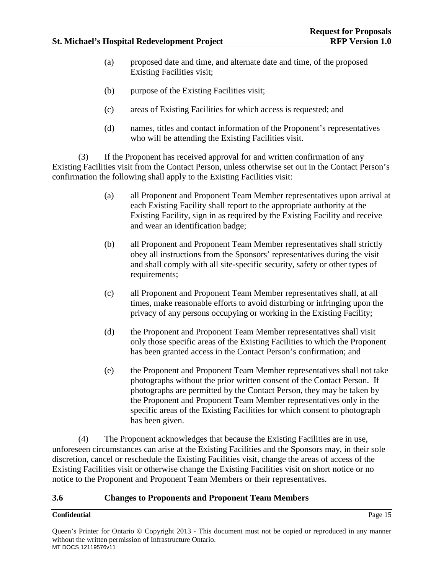- (a) proposed date and time, and alternate date and time, of the proposed Existing Facilities visit;
- (b) purpose of the Existing Facilities visit;
- (c) areas of Existing Facilities for which access is requested; and
- (d) names, titles and contact information of the Proponent's representatives who will be attending the Existing Facilities visit.

(3) If the Proponent has received approval for and written confirmation of any Existing Facilities visit from the Contact Person, unless otherwise set out in the Contact Person's confirmation the following shall apply to the Existing Facilities visit:

- (a) all Proponent and Proponent Team Member representatives upon arrival at each Existing Facility shall report to the appropriate authority at the Existing Facility, sign in as required by the Existing Facility and receive and wear an identification badge;
- (b) all Proponent and Proponent Team Member representatives shall strictly obey all instructions from the Sponsors' representatives during the visit and shall comply with all site-specific security, safety or other types of requirements;
- (c) all Proponent and Proponent Team Member representatives shall, at all times, make reasonable efforts to avoid disturbing or infringing upon the privacy of any persons occupying or working in the Existing Facility;
- (d) the Proponent and Proponent Team Member representatives shall visit only those specific areas of the Existing Facilities to which the Proponent has been granted access in the Contact Person's confirmation; and
- (e) the Proponent and Proponent Team Member representatives shall not take photographs without the prior written consent of the Contact Person. If photographs are permitted by the Contact Person, they may be taken by the Proponent and Proponent Team Member representatives only in the specific areas of the Existing Facilities for which consent to photograph has been given.

(4) The Proponent acknowledges that because the Existing Facilities are in use, unforeseen circumstances can arise at the Existing Facilities and the Sponsors may, in their sole discretion, cancel or reschedule the Existing Facilities visit, change the areas of access of the Existing Facilities visit or otherwise change the Existing Facilities visit on short notice or no notice to the Proponent and Proponent Team Members or their representatives.

## <span id="page-19-0"></span>**3.6 Changes to Proponents and Proponent Team Members**

### **Confidential** Page 15

Queen's Printer for Ontario © Copyright 2013 - This document must not be copied or reproduced in any manner without the written permission of Infrastructure Ontario. MT DOCS 12119576v11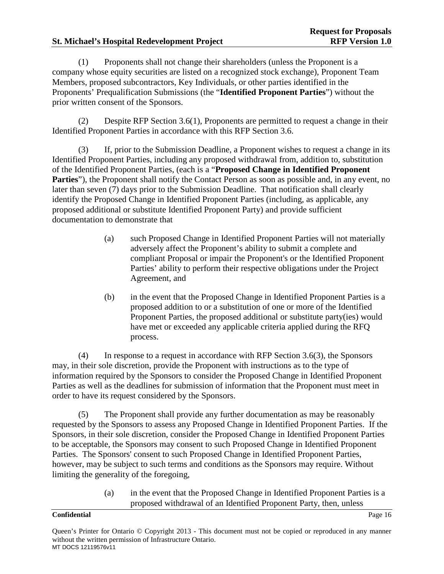## **St. Michael's Hospital Redevelopment Project RFP Version 1.0**

<span id="page-20-0"></span>(1) Proponents shall not change their shareholders (unless the Proponent is a company whose equity securities are listed on a recognized stock exchange), Proponent Team Members, proposed subcontractors, Key Individuals, or other parties identified in the Proponents' Prequalification Submissions (the "**Identified Proponent Parties**") without the prior written consent of the Sponsors.

(2) Despite RFP Section [3.6\(1\),](#page-20-0) Proponents are permitted to request a change in their Identified Proponent Parties in accordance with this RFP Section [3.6.](#page-19-0)

(3) If, prior to the Submission Deadline, a Proponent wishes to request a change in its Identified Proponent Parties, including any proposed withdrawal from, addition to, substitution of the Identified Proponent Parties, (each is a "**Proposed Change in Identified Proponent Parties**"), the Proponent shall notify the Contact Person as soon as possible and, in any event, no later than seven (7) days prior to the Submission Deadline. That notification shall clearly identify the Proposed Change in Identified Proponent Parties (including, as applicable, any proposed additional or substitute Identified Proponent Party) and provide sufficient documentation to demonstrate that

- (a) such Proposed Change in Identified Proponent Parties will not materially adversely affect the Proponent's ability to submit a complete and compliant Proposal or impair the Proponent's or the Identified Proponent Parties' ability to perform their respective obligations under the Project Agreement, and
- (b) in the event that the Proposed Change in Identified Proponent Parties is a proposed addition to or a substitution of one or more of the Identified Proponent Parties, the proposed additional or substitute party(ies) would have met or exceeded any applicable criteria applied during the RFQ process.

(4) In response to a request in accordance with RFP Section [3.6\(3\),](#page-19-0) the Sponsors may, in their sole discretion, provide the Proponent with instructions as to the type of information required by the Sponsors to consider the Proposed Change in Identified Proponent Parties as well as the deadlines for submission of information that the Proponent must meet in order to have its request considered by the Sponsors.

(5) The Proponent shall provide any further documentation as may be reasonably requested by the Sponsors to assess any Proposed Change in Identified Proponent Parties. If the Sponsors, in their sole discretion, consider the Proposed Change in Identified Proponent Parties to be acceptable, the Sponsors may consent to such Proposed Change in Identified Proponent Parties. The Sponsors' consent to such Proposed Change in Identified Proponent Parties, however, may be subject to such terms and conditions as the Sponsors may require. Without limiting the generality of the foregoing,

> (a) in the event that the Proposed Change in Identified Proponent Parties is a proposed withdrawal of an Identified Proponent Party, then, unless

Queen's Printer for Ontario © Copyright 2013 - This document must not be copied or reproduced in any manner without the written permission of Infrastructure Ontario. MT DOCS 12119576v11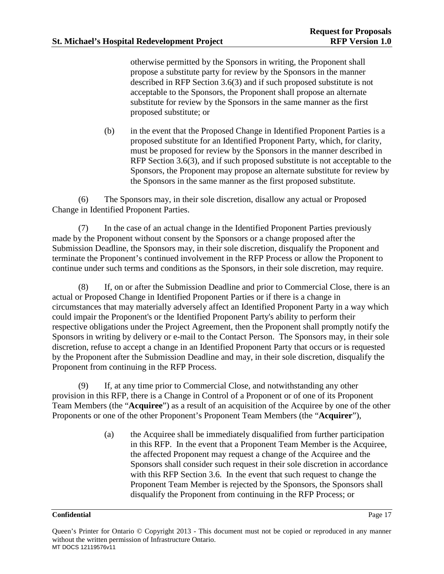otherwise permitted by the Sponsors in writing, the Proponent shall propose a substitute party for review by the Sponsors in the manner described in RFP Section [3.6\(3\)](#page-19-0) and if such proposed substitute is not acceptable to the Sponsors, the Proponent shall propose an alternate substitute for review by the Sponsors in the same manner as the first proposed substitute; or

(b) in the event that the Proposed Change in Identified Proponent Parties is a proposed substitute for an Identified Proponent Party, which, for clarity, must be proposed for review by the Sponsors in the manner described in RFP Section [3.6\(3\),](#page-19-0) and if such proposed substitute is not acceptable to the Sponsors, the Proponent may propose an alternate substitute for review by the Sponsors in the same manner as the first proposed substitute.

(6) The Sponsors may, in their sole discretion, disallow any actual or Proposed Change in Identified Proponent Parties.

(7) In the case of an actual change in the Identified Proponent Parties previously made by the Proponent without consent by the Sponsors or a change proposed after the Submission Deadline, the Sponsors may, in their sole discretion, disqualify the Proponent and terminate the Proponent's continued involvement in the RFP Process or allow the Proponent to continue under such terms and conditions as the Sponsors, in their sole discretion, may require.

(8) If, on or after the Submission Deadline and prior to Commercial Close, there is an actual or Proposed Change in Identified Proponent Parties or if there is a change in circumstances that may materially adversely affect an Identified Proponent Party in a way which could impair the Proponent's or the Identified Proponent Party's ability to perform their respective obligations under the Project Agreement, then the Proponent shall promptly notify the Sponsors in writing by delivery or e-mail to the Contact Person. The Sponsors may, in their sole discretion, refuse to accept a change in an Identified Proponent Party that occurs or is requested by the Proponent after the Submission Deadline and may, in their sole discretion, disqualify the Proponent from continuing in the RFP Process.

(9) If, at any time prior to Commercial Close, and notwithstanding any other provision in this RFP, there is a Change in Control of a Proponent or of one of its Proponent Team Members (the "**Acquiree**") as a result of an acquisition of the Acquiree by one of the other Proponents or one of the other Proponent's Proponent Team Members (the "**Acquirer**"),

> (a) the Acquiree shall be immediately disqualified from further participation in this RFP. In the event that a Proponent Team Member is the Acquiree, the affected Proponent may request a change of the Acquiree and the Sponsors shall consider such request in their sole discretion in accordance with this RFP Section [3.6.](#page-19-0) In the event that such request to change the Proponent Team Member is rejected by the Sponsors, the Sponsors shall disqualify the Proponent from continuing in the RFP Process; or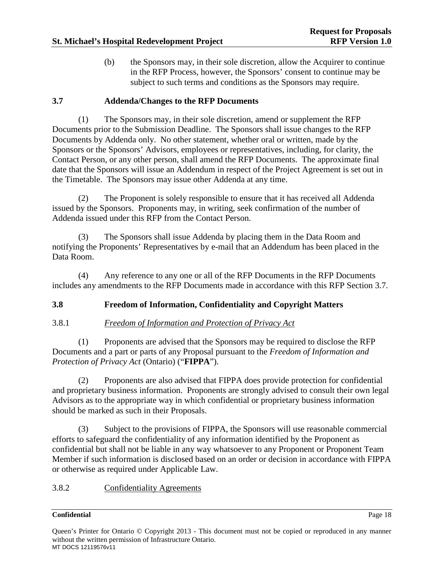(b) the Sponsors may, in their sole discretion, allow the Acquirer to continue in the RFP Process, however, the Sponsors' consent to continue may be subject to such terms and conditions as the Sponsors may require.

# <span id="page-22-0"></span>**3.7 Addenda/Changes to the RFP Documents**

(1) The Sponsors may, in their sole discretion, amend or supplement the RFP Documents prior to the Submission Deadline. The Sponsors shall issue changes to the RFP Documents by Addenda only. No other statement, whether oral or written, made by the Sponsors or the Sponsors' Advisors, employees or representatives, including, for clarity, the Contact Person, or any other person, shall amend the RFP Documents. The approximate final date that the Sponsors will issue an Addendum in respect of the Project Agreement is set out in the Timetable. The Sponsors may issue other Addenda at any time.

(2) The Proponent is solely responsible to ensure that it has received all Addenda issued by the Sponsors. Proponents may, in writing, seek confirmation of the number of Addenda issued under this RFP from the Contact Person.

(3) The Sponsors shall issue Addenda by placing them in the Data Room and notifying the Proponents' Representatives by e-mail that an Addendum has been placed in the Data Room.

(4) Any reference to any one or all of the RFP Documents in the RFP Documents includes any amendments to the RFP Documents made in accordance with this RFP Section [3.7.](#page-22-0)

# <span id="page-22-1"></span>**3.8 Freedom of Information, Confidentiality and Copyright Matters**

# <span id="page-22-2"></span>3.8.1 *Freedom of Information and Protection of Privacy Act*

(1) Proponents are advised that the Sponsors may be required to disclose the RFP Documents and a part or parts of any Proposal pursuant to the *Freedom of Information and Protection of Privacy Act* (Ontario) ("**FIPPA**").

(2) Proponents are also advised that FIPPA does provide protection for confidential and proprietary business information. Proponents are strongly advised to consult their own legal Advisors as to the appropriate way in which confidential or proprietary business information should be marked as such in their Proposals.

(3) Subject to the provisions of FIPPA, the Sponsors will use reasonable commercial efforts to safeguard the confidentiality of any information identified by the Proponent as confidential but shall not be liable in any way whatsoever to any Proponent or Proponent Team Member if such information is disclosed based on an order or decision in accordance with FIPPA or otherwise as required under Applicable Law.

# <span id="page-22-3"></span>3.8.2 Confidentiality Agreements

Queen's Printer for Ontario © Copyright 2013 - This document must not be copied or reproduced in any manner without the written permission of Infrastructure Ontario. MT DOCS 12119576v11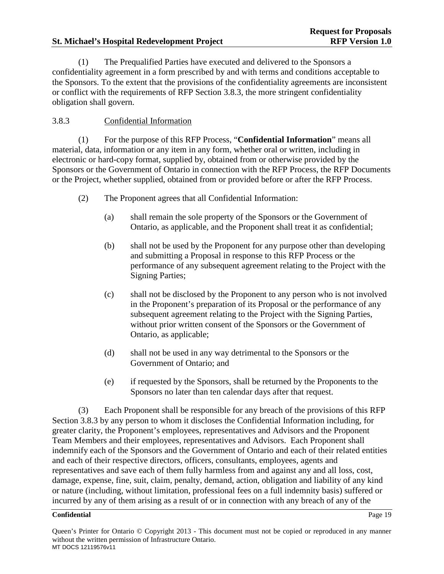## **St. Michael's Hospital Redevelopment Project RFP Version 1.0**

(1) The Prequalified Parties have executed and delivered to the Sponsors a confidentiality agreement in a form prescribed by and with terms and conditions acceptable to the Sponsors. To the extent that the provisions of the confidentiality agreements are inconsistent or conflict with the requirements of RFP Section [3.8.3,](#page-23-0) the more stringent confidentiality obligation shall govern.

# <span id="page-23-0"></span>3.8.3 Confidential Information

(1) For the purpose of this RFP Process, "**Confidential Information**" means all material, data, information or any item in any form, whether oral or written, including in electronic or hard-copy format, supplied by, obtained from or otherwise provided by the Sponsors or the Government of Ontario in connection with the RFP Process, the RFP Documents or the Project, whether supplied, obtained from or provided before or after the RFP Process.

- (2) The Proponent agrees that all Confidential Information:
	- (a) shall remain the sole property of the Sponsors or the Government of Ontario, as applicable, and the Proponent shall treat it as confidential;
	- (b) shall not be used by the Proponent for any purpose other than developing and submitting a Proposal in response to this RFP Process or the performance of any subsequent agreement relating to the Project with the Signing Parties;
	- (c) shall not be disclosed by the Proponent to any person who is not involved in the Proponent's preparation of its Proposal or the performance of any subsequent agreement relating to the Project with the Signing Parties, without prior written consent of the Sponsors or the Government of Ontario, as applicable;
	- (d) shall not be used in any way detrimental to the Sponsors or the Government of Ontario; and
	- (e) if requested by the Sponsors, shall be returned by the Proponents to the Sponsors no later than ten calendar days after that request.

(3) Each Proponent shall be responsible for any breach of the provisions of this RFP Section [3.8.3](#page-23-0) by any person to whom it discloses the Confidential Information including, for greater clarity, the Proponent's employees, representatives and Advisors and the Proponent Team Members and their employees, representatives and Advisors. Each Proponent shall indemnify each of the Sponsors and the Government of Ontario and each of their related entities and each of their respective directors, officers, consultants, employees, agents and representatives and save each of them fully harmless from and against any and all loss, cost, damage, expense, fine, suit, claim, penalty, demand, action, obligation and liability of any kind or nature (including, without limitation, professional fees on a full indemnity basis) suffered or incurred by any of them arising as a result of or in connection with any breach of any of the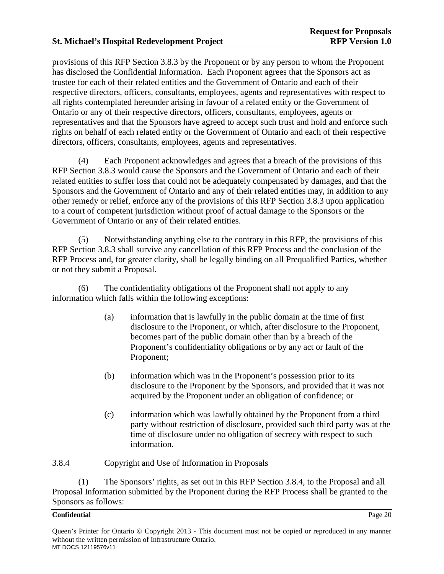provisions of this RFP Section [3.8.3](#page-23-0) by the Proponent or by any person to whom the Proponent has disclosed the Confidential Information. Each Proponent agrees that the Sponsors act as trustee for each of their related entities and the Government of Ontario and each of their respective directors, officers, consultants, employees, agents and representatives with respect to all rights contemplated hereunder arising in favour of a related entity or the Government of Ontario or any of their respective directors, officers, consultants, employees, agents or representatives and that the Sponsors have agreed to accept such trust and hold and enforce such rights on behalf of each related entity or the Government of Ontario and each of their respective directors, officers, consultants, employees, agents and representatives.

(4) Each Proponent acknowledges and agrees that a breach of the provisions of this RFP Section [3.8.3](#page-23-0) would cause the Sponsors and the Government of Ontario and each of their related entities to suffer loss that could not be adequately compensated by damages, and that the Sponsors and the Government of Ontario and any of their related entities may, in addition to any other remedy or relief, enforce any of the provisions of this RFP Section [3.8.3](#page-23-0) upon application to a court of competent jurisdiction without proof of actual damage to the Sponsors or the Government of Ontario or any of their related entities.

(5) Notwithstanding anything else to the contrary in this RFP, the provisions of this RFP Section [3.8.3](#page-23-0) shall survive any cancellation of this RFP Process and the conclusion of the RFP Process and, for greater clarity, shall be legally binding on all Prequalified Parties, whether or not they submit a Proposal.

(6) The confidentiality obligations of the Proponent shall not apply to any information which falls within the following exceptions:

- (a) information that is lawfully in the public domain at the time of first disclosure to the Proponent, or which, after disclosure to the Proponent, becomes part of the public domain other than by a breach of the Proponent's confidentiality obligations or by any act or fault of the Proponent;
- (b) information which was in the Proponent's possession prior to its disclosure to the Proponent by the Sponsors, and provided that it was not acquired by the Proponent under an obligation of confidence; or
- (c) information which was lawfully obtained by the Proponent from a third party without restriction of disclosure, provided such third party was at the time of disclosure under no obligation of secrecy with respect to such information.

# <span id="page-24-0"></span>3.8.4 Copyright and Use of Information in Proposals

(1) The Sponsors' rights, as set out in this RFP Section [3.8.4,](#page-24-0) to the Proposal and all Proposal Information submitted by the Proponent during the RFP Process shall be granted to the Sponsors as follows: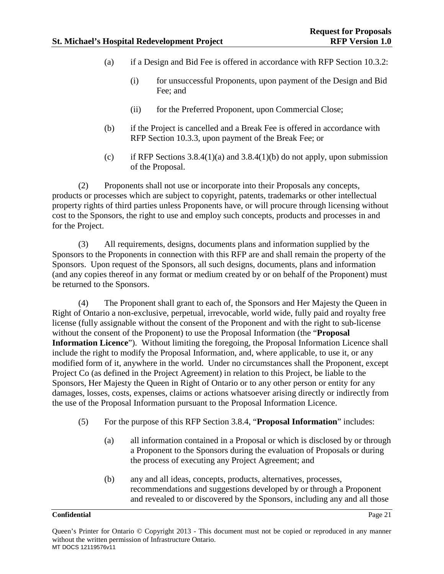- <span id="page-25-0"></span>(a) if a Design and Bid Fee is offered in accordance with RFP Section [10.3.2:](#page-63-2)
	- (i) for unsuccessful Proponents, upon payment of the Design and Bid Fee; and
	- (ii) for the Preferred Proponent, upon Commercial Close;
- <span id="page-25-1"></span>(b) if the Project is cancelled and a Break Fee is offered in accordance with RFP Section [10.3.3,](#page-64-0) upon payment of the Break Fee; or
- (c) if RFP Sections  $3.8.4(1)(a)$  and  $3.8.4(1)(b)$  do not apply, upon submission of the Proposal.

(2) Proponents shall not use or incorporate into their Proposals any concepts, products or processes which are subject to copyright, patents, trademarks or other intellectual property rights of third parties unless Proponents have, or will procure through licensing without cost to the Sponsors, the right to use and employ such concepts, products and processes in and for the Project.

(3) All requirements, designs, documents plans and information supplied by the Sponsors to the Proponents in connection with this RFP are and shall remain the property of the Sponsors. Upon request of the Sponsors, all such designs, documents, plans and information (and any copies thereof in any format or medium created by or on behalf of the Proponent) must be returned to the Sponsors.

(4) The Proponent shall grant to each of, the Sponsors and Her Majesty the Queen in Right of Ontario a non-exclusive, perpetual, irrevocable, world wide, fully paid and royalty free license (fully assignable without the consent of the Proponent and with the right to sub-license without the consent of the Proponent) to use the Proposal Information (the "**Proposal Information Licence**"). Without limiting the foregoing, the Proposal Information Licence shall include the right to modify the Proposal Information, and, where applicable, to use it, or any modified form of it, anywhere in the world. Under no circumstances shall the Proponent, except Project Co (as defined in the Project Agreement) in relation to this Project, be liable to the Sponsors, Her Majesty the Queen in Right of Ontario or to any other person or entity for any damages, losses, costs, expenses, claims or actions whatsoever arising directly or indirectly from the use of the Proposal Information pursuant to the Proposal Information Licence.

- (5) For the purpose of this RFP Section [3.8.4,](#page-24-0) "**Proposal Information**" includes:
	- (a) all information contained in a Proposal or which is disclosed by or through a Proponent to the Sponsors during the evaluation of Proposals or during the process of executing any Project Agreement; and
	- (b) any and all ideas, concepts, products, alternatives, processes, recommendations and suggestions developed by or through a Proponent and revealed to or discovered by the Sponsors, including any and all those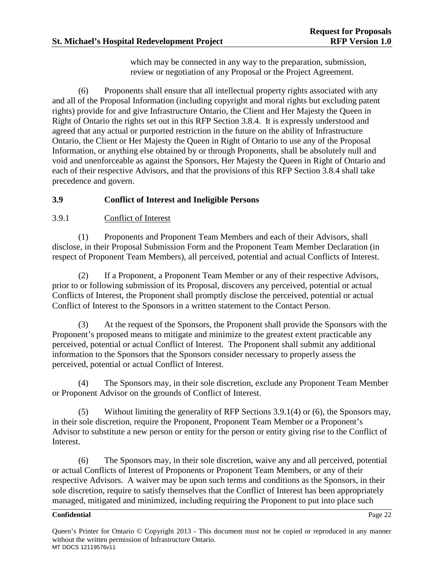which may be connected in any way to the preparation, submission, review or negotiation of any Proposal or the Project Agreement.

(6) Proponents shall ensure that all intellectual property rights associated with any and all of the Proposal Information (including copyright and moral rights but excluding patent rights) provide for and give Infrastructure Ontario, the Client and Her Majesty the Queen in Right of Ontario the rights set out in this RFP Section [3.8.4.](#page-24-0) It is expressly understood and agreed that any actual or purported restriction in the future on the ability of Infrastructure Ontario, the Client or Her Majesty the Queen in Right of Ontario to use any of the Proposal Information, or anything else obtained by or through Proponents, shall be absolutely null and void and unenforceable as against the Sponsors, Her Majesty the Queen in Right of Ontario and each of their respective Advisors, and that the provisions of this RFP Section [3.8.4](#page-24-0) shall take precedence and govern.

## <span id="page-26-0"></span>**3.9 Conflict of Interest and Ineligible Persons**

## <span id="page-26-1"></span>3.9.1 Conflict of Interest

(1) Proponents and Proponent Team Members and each of their Advisors, shall disclose, in their Proposal Submission Form and the Proponent Team Member Declaration (in respect of Proponent Team Members), all perceived, potential and actual Conflicts of Interest.

(2) If a Proponent, a Proponent Team Member or any of their respective Advisors, prior to or following submission of its Proposal, discovers any perceived, potential or actual Conflicts of Interest, the Proponent shall promptly disclose the perceived, potential or actual Conflict of Interest to the Sponsors in a written statement to the Contact Person.

(3) At the request of the Sponsors, the Proponent shall provide the Sponsors with the Proponent's proposed means to mitigate and minimize to the greatest extent practicable any perceived, potential or actual Conflict of Interest. The Proponent shall submit any additional information to the Sponsors that the Sponsors consider necessary to properly assess the perceived, potential or actual Conflict of Interest.

<span id="page-26-2"></span>(4) The Sponsors may, in their sole discretion, exclude any Proponent Team Member or Proponent Advisor on the grounds of Conflict of Interest.

(5) Without limiting the generality of RFP Sections [3.9.1\(4\)](#page-26-2) or [\(6\),](#page-26-3) the Sponsors may, in their sole discretion, require the Proponent, Proponent Team Member or a Proponent's Advisor to substitute a new person or entity for the person or entity giving rise to the Conflict of Interest.

<span id="page-26-3"></span>(6) The Sponsors may, in their sole discretion, waive any and all perceived, potential or actual Conflicts of Interest of Proponents or Proponent Team Members, or any of their respective Advisors. A waiver may be upon such terms and conditions as the Sponsors, in their sole discretion, require to satisfy themselves that the Conflict of Interest has been appropriately managed, mitigated and minimized, including requiring the Proponent to put into place such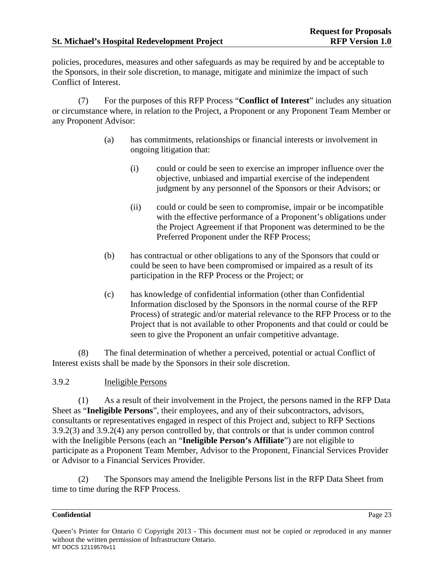## **St. Michael's Hospital Redevelopment Project RFP Version 1.0**

policies, procedures, measures and other safeguards as may be required by and be acceptable to the Sponsors, in their sole discretion, to manage, mitigate and minimize the impact of such Conflict of Interest.

(7) For the purposes of this RFP Process "**Conflict of Interest**" includes any situation or circumstance where, in relation to the Project, a Proponent or any Proponent Team Member or any Proponent Advisor:

- (a) has commitments, relationships or financial interests or involvement in ongoing litigation that:
	- (i) could or could be seen to exercise an improper influence over the objective, unbiased and impartial exercise of the independent judgment by any personnel of the Sponsors or their Advisors; or
	- (ii) could or could be seen to compromise, impair or be incompatible with the effective performance of a Proponent's obligations under the Project Agreement if that Proponent was determined to be the Preferred Proponent under the RFP Process;
- (b) has contractual or other obligations to any of the Sponsors that could or could be seen to have been compromised or impaired as a result of its participation in the RFP Process or the Project; or
- (c) has knowledge of confidential information (other than Confidential Information disclosed by the Sponsors in the normal course of the RFP Process) of strategic and/or material relevance to the RFP Process or to the Project that is not available to other Proponents and that could or could be seen to give the Proponent an unfair competitive advantage.

(8) The final determination of whether a perceived, potential or actual Conflict of Interest exists shall be made by the Sponsors in their sole discretion.

# <span id="page-27-0"></span>3.9.2 Ineligible Persons

(1) As a result of their involvement in the Project, the persons named in the RFP Data Sheet as "**Ineligible Persons**", their employees, and any of their subcontractors, advisors, consultants or representatives engaged in respect of this Project and, subject to RFP Sections [3.9.2\(3\)](#page-28-1) and [3.9.2\(4\)](#page-28-2) any person controlled by, that controls or that is under common control with the Ineligible Persons (each an "**Ineligible Person's Affiliate**") are not eligible to participate as a Proponent Team Member, Advisor to the Proponent, Financial Services Provider or Advisor to a Financial Services Provider.

(2) The Sponsors may amend the Ineligible Persons list in the RFP Data Sheet from time to time during the RFP Process.

Queen's Printer for Ontario © Copyright 2013 - This document must not be copied or reproduced in any manner without the written permission of Infrastructure Ontario. MT DOCS 12119576v11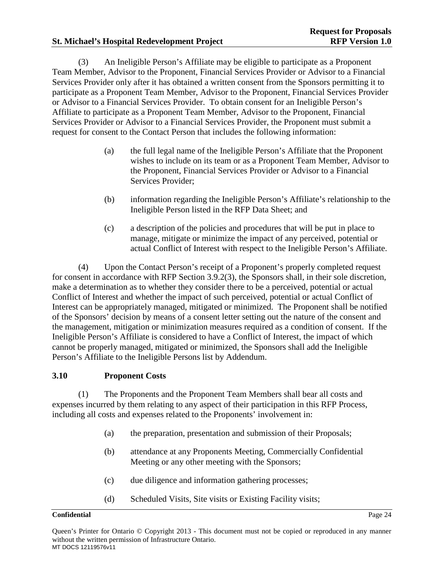<span id="page-28-1"></span>(3) An Ineligible Person's Affiliate may be eligible to participate as a Proponent Team Member, Advisor to the Proponent, Financial Services Provider or Advisor to a Financial Services Provider only after it has obtained a written consent from the Sponsors permitting it to participate as a Proponent Team Member, Advisor to the Proponent, Financial Services Provider or Advisor to a Financial Services Provider. To obtain consent for an Ineligible Person's Affiliate to participate as a Proponent Team Member, Advisor to the Proponent, Financial Services Provider or Advisor to a Financial Services Provider, the Proponent must submit a request for consent to the Contact Person that includes the following information:

- (a) the full legal name of the Ineligible Person's Affiliate that the Proponent wishes to include on its team or as a Proponent Team Member, Advisor to the Proponent, Financial Services Provider or Advisor to a Financial Services Provider;
- (b) information regarding the Ineligible Person's Affiliate's relationship to the Ineligible Person listed in the RFP Data Sheet; and
- (c) a description of the policies and procedures that will be put in place to manage, mitigate or minimize the impact of any perceived, potential or actual Conflict of Interest with respect to the Ineligible Person's Affiliate.

<span id="page-28-2"></span>(4) Upon the Contact Person's receipt of a Proponent's properly completed request for consent in accordance with RFP Section [3.9.2\(3\),](#page-28-1) the Sponsors shall, in their sole discretion, make a determination as to whether they consider there to be a perceived, potential or actual Conflict of Interest and whether the impact of such perceived, potential or actual Conflict of Interest can be appropriately managed, mitigated or minimized. The Proponent shall be notified of the Sponsors' decision by means of a consent letter setting out the nature of the consent and the management, mitigation or minimization measures required as a condition of consent. If the Ineligible Person's Affiliate is considered to have a Conflict of Interest, the impact of which cannot be properly managed, mitigated or minimized, the Sponsors shall add the Ineligible Person's Affiliate to the Ineligible Persons list by Addendum.

# <span id="page-28-0"></span>**3.10 Proponent Costs**

(1) The Proponents and the Proponent Team Members shall bear all costs and expenses incurred by them relating to any aspect of their participation in this RFP Process, including all costs and expenses related to the Proponents' involvement in:

- (a) the preparation, presentation and submission of their Proposals;
- (b) attendance at any Proponents Meeting, Commercially Confidential Meeting or any other meeting with the Sponsors;
- (c) due diligence and information gathering processes;
- (d) Scheduled Visits, Site visits or Existing Facility visits;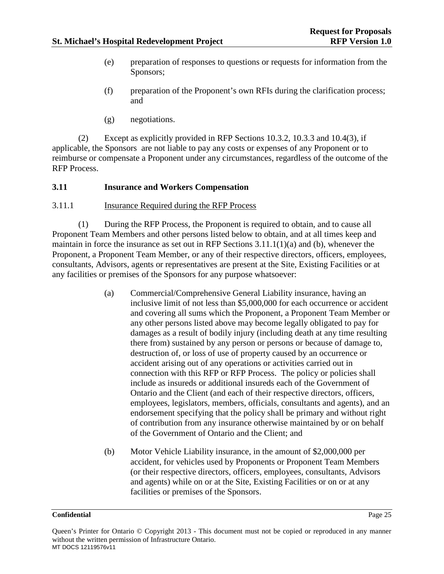- (e) preparation of responses to questions or requests for information from the Sponsors;
- (f) preparation of the Proponent's own RFIs during the clarification process; and
- (g) negotiations.

(2) Except as explicitly provided in RFP Sections [10.3.2,](#page-63-2) [10.3.3](#page-64-0) and [10.4\(3\),](#page-66-3) if applicable, the Sponsors are not liable to pay any costs or expenses of any Proponent or to reimburse or compensate a Proponent under any circumstances, regardless of the outcome of the RFP Process.

## <span id="page-29-0"></span>**3.11 Insurance and Workers Compensation**

## <span id="page-29-1"></span>3.11.1 Insurance Required during the RFP Process

(1) During the RFP Process, the Proponent is required to obtain, and to cause all Proponent Team Members and other persons listed below to obtain, and at all times keep and maintain in force the insurance as set out in RFP Sections [3.11.1\(1\)\(a\)](#page-29-2) and [\(b\),](#page-29-3) whenever the Proponent, a Proponent Team Member, or any of their respective directors, officers, employees, consultants, Advisors, agents or representatives are present at the Site, Existing Facilities or at any facilities or premises of the Sponsors for any purpose whatsoever:

- <span id="page-29-2"></span>(a) Commercial/Comprehensive General Liability insurance, having an inclusive limit of not less than \$5,000,000 for each occurrence or accident and covering all sums which the Proponent, a Proponent Team Member or any other persons listed above may become legally obligated to pay for damages as a result of bodily injury (including death at any time resulting there from) sustained by any person or persons or because of damage to, destruction of, or loss of use of property caused by an occurrence or accident arising out of any operations or activities carried out in connection with this RFP or RFP Process. The policy or policies shall include as insureds or additional insureds each of the Government of Ontario and the Client (and each of their respective directors, officers, employees, legislators, members, officials, consultants and agents), and an endorsement specifying that the policy shall be primary and without right of contribution from any insurance otherwise maintained by or on behalf of the Government of Ontario and the Client; and
- <span id="page-29-3"></span>(b) Motor Vehicle Liability insurance, in the amount of \$2,000,000 per accident, for vehicles used by Proponents or Proponent Team Members (or their respective directors, officers, employees, consultants, Advisors and agents) while on or at the Site, Existing Facilities or on or at any facilities or premises of the Sponsors.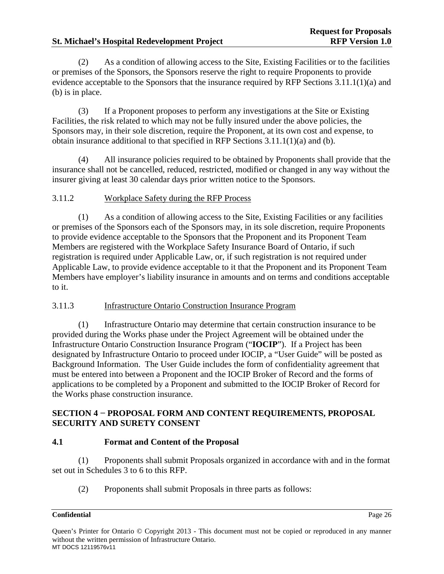(2) As a condition of allowing access to the Site, Existing Facilities or to the facilities or premises of the Sponsors, the Sponsors reserve the right to require Proponents to provide evidence acceptable to the Sponsors that the insurance required by RFP Sections [3.11.1\(1\)\(a\)](#page-29-2) and [\(b\)](#page-29-3) is in place.

(3) If a Proponent proposes to perform any investigations at the Site or Existing Facilities, the risk related to which may not be fully insured under the above policies, the Sponsors may, in their sole discretion, require the Proponent, at its own cost and expense, to obtain insurance additional to that specified in RFP Sections [3.11.1\(1\)\(a\)](#page-29-2) and [\(b\).](#page-29-3)

(4) All insurance policies required to be obtained by Proponents shall provide that the insurance shall not be cancelled, reduced, restricted, modified or changed in any way without the insurer giving at least 30 calendar days prior written notice to the Sponsors.

## <span id="page-30-0"></span>3.11.2 Workplace Safety during the RFP Process

(1) As a condition of allowing access to the Site, Existing Facilities or any facilities or premises of the Sponsors each of the Sponsors may, in its sole discretion, require Proponents to provide evidence acceptable to the Sponsors that the Proponent and its Proponent Team Members are registered with the Workplace Safety Insurance Board of Ontario, if such registration is required under Applicable Law, or, if such registration is not required under Applicable Law, to provide evidence acceptable to it that the Proponent and its Proponent Team Members have employer's liability insurance in amounts and on terms and conditions acceptable to it.

# <span id="page-30-1"></span>3.11.3 Infrastructure Ontario Construction Insurance Program

(1) Infrastructure Ontario may determine that certain construction insurance to be provided during the Works phase under the Project Agreement will be obtained under the Infrastructure Ontario Construction Insurance Program ("**IOCIP**"). If a Project has been designated by Infrastructure Ontario to proceed under IOCIP, a "User Guide" will be posted as Background Information. The User Guide includes the form of confidentiality agreement that must be entered into between a Proponent and the IOCIP Broker of Record and the forms of applications to be completed by a Proponent and submitted to the IOCIP Broker of Record for the Works phase construction insurance.

# <span id="page-30-2"></span>**SECTION 4 − PROPOSAL FORM AND CONTENT REQUIREMENTS, PROPOSAL SECURITY AND SURETY CONSENT**

# <span id="page-30-3"></span>**4.1 Format and Content of the Proposal**

(1) Proponents shall submit Proposals organized in accordance with and in the format set out in Schedules 3 to 6 to this RFP.

(2) Proponents shall submit Proposals in three parts as follows: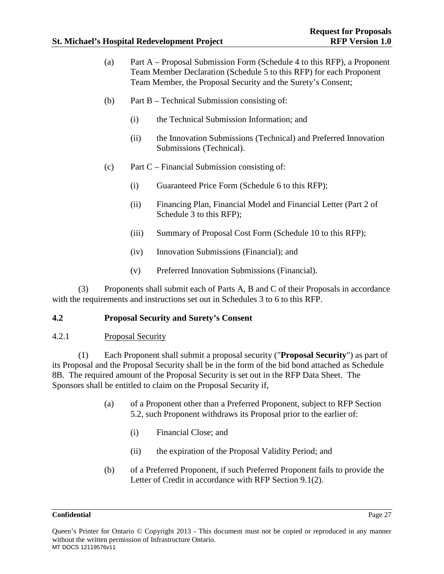- (a) Part A Proposal Submission Form (Schedule 4 to this RFP), a Proponent Team Member Declaration (Schedule 5 to this RFP) for each Proponent Team Member, the Proposal Security and the Surety's Consent;
- (b) Part B Technical Submission consisting of:
	- (i) the Technical Submission Information; and
	- (ii) the Innovation Submissions (Technical) and Preferred Innovation Submissions (Technical).
- (c) Part C Financial Submission consisting of:
	- (i) Guaranteed Price Form (Schedule 6 to this RFP);
	- (ii) Financing Plan, Financial Model and Financial Letter (Part 2 of Schedule 3 to this RFP);
	- (iii) Summary of Proposal Cost Form (Schedule 10 to this RFP);
	- (iv) Innovation Submissions (Financial); and
	- (v) Preferred Innovation Submissions (Financial).

(3) Proponents shall submit each of Parts A, B and C of their Proposals in accordance with the requirements and instructions set out in Schedules 3 to 6 to this RFP.

## <span id="page-31-0"></span>**4.2 Proposal Security and Surety's Consent**

### <span id="page-31-1"></span>4.2.1 Proposal Security

<span id="page-31-2"></span>(1) Each Proponent shall submit a proposal security ("**Proposal Security**") as part of its Proposal and the Proposal Security shall be in the form of the bid bond attached as Schedule 8B. The required amount of the Proposal Security is set out in the RFP Data Sheet. The Sponsors shall be entitled to claim on the Proposal Security if,

- (a) of a Proponent other than a Preferred Proponent, subject to RFP Section [5.2,](#page-33-2) such Proponent withdraws its Proposal prior to the earlier of:
	- (i) Financial Close; and
	- (ii) the expiration of the Proposal Validity Period; and
- (b) of a Preferred Proponent, if such Preferred Proponent fails to provide the Letter of Credit in accordance with RFP Section [9.1\(2\).](#page-57-2)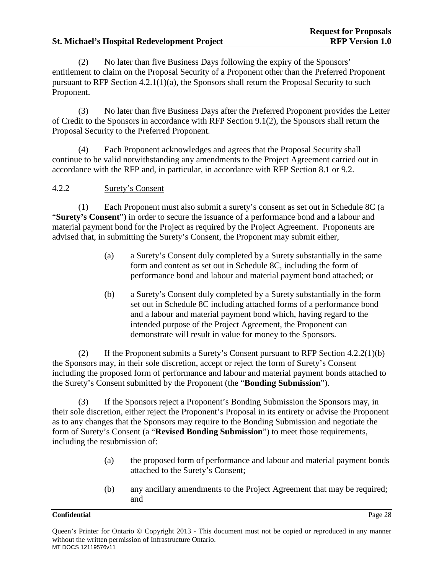(2) No later than five Business Days following the expiry of the Sponsors' entitlement to claim on the Proposal Security of a Proponent other than the Preferred Proponent pursuant to RFP Section [4.2.1\(1\)\(a\),](#page-31-2) the Sponsors shall return the Proposal Security to such Proponent.

(3) No later than five Business Days after the Preferred Proponent provides the Letter of Credit to the Sponsors in accordance with RFP Section [9.1\(2\),](#page-57-2) the Sponsors shall return the Proposal Security to the Preferred Proponent.

(4) Each Proponent acknowledges and agrees that the Proposal Security shall continue to be valid notwithstanding any amendments to the Project Agreement carried out in accordance with the RFP and, in particular, in accordance with RFP Section [8.1](#page-56-1) or [9.2.](#page-58-0)

# <span id="page-32-0"></span>4.2.2 Surety's Consent

(1) Each Proponent must also submit a surety's consent as set out in Schedule 8C (a "**Surety's Consent**") in order to secure the issuance of a performance bond and a labour and material payment bond for the Project as required by the Project Agreement. Proponents are advised that, in submitting the Surety's Consent, the Proponent may submit either,

- (a) a Surety's Consent duly completed by a Surety substantially in the same form and content as set out in Schedule 8C, including the form of performance bond and labour and material payment bond attached; or
- <span id="page-32-1"></span>(b) a Surety's Consent duly completed by a Surety substantially in the form set out in Schedule 8C including attached forms of a performance bond and a labour and material payment bond which, having regard to the intended purpose of the Project Agreement, the Proponent can demonstrate will result in value for money to the Sponsors.

(2) If the Proponent submits a Surety's Consent pursuant to RFP Section  $4.2.2(1)(b)$ the Sponsors may, in their sole discretion, accept or reject the form of Surety's Consent including the proposed form of performance and labour and material payment bonds attached to the Surety's Consent submitted by the Proponent (the "**Bonding Submission**").

(3) If the Sponsors reject a Proponent's Bonding Submission the Sponsors may, in their sole discretion, either reject the Proponent's Proposal in its entirety or advise the Proponent as to any changes that the Sponsors may require to the Bonding Submission and negotiate the form of Surety's Consent (a "**Revised Bonding Submission**") to meet those requirements, including the resubmission of:

- (a) the proposed form of performance and labour and material payment bonds attached to the Surety's Consent;
- (b) any ancillary amendments to the Project Agreement that may be required; and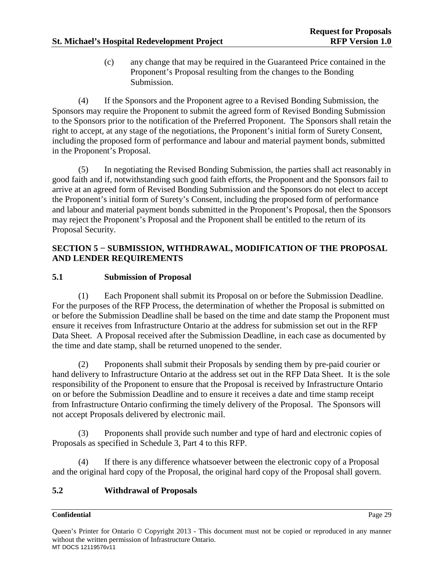(c) any change that may be required in the Guaranteed Price contained in the Proponent's Proposal resulting from the changes to the Bonding Submission.

(4) If the Sponsors and the Proponent agree to a Revised Bonding Submission, the Sponsors may require the Proponent to submit the agreed form of Revised Bonding Submission to the Sponsors prior to the notification of the Preferred Proponent. The Sponsors shall retain the right to accept, at any stage of the negotiations, the Proponent's initial form of Surety Consent, including the proposed form of performance and labour and material payment bonds, submitted in the Proponent's Proposal.

(5) In negotiating the Revised Bonding Submission, the parties shall act reasonably in good faith and if, notwithstanding such good faith efforts, the Proponent and the Sponsors fail to arrive at an agreed form of Revised Bonding Submission and the Sponsors do not elect to accept the Proponent's initial form of Surety's Consent, including the proposed form of performance and labour and material payment bonds submitted in the Proponent's Proposal, then the Sponsors may reject the Proponent's Proposal and the Proponent shall be entitled to the return of its Proposal Security.

# <span id="page-33-0"></span>**SECTION 5 − SUBMISSION, WITHDRAWAL, MODIFICATION OF THE PROPOSAL AND LENDER REQUIREMENTS**

# <span id="page-33-1"></span>**5.1 Submission of Proposal**

(1) Each Proponent shall submit its Proposal on or before the Submission Deadline. For the purposes of the RFP Process, the determination of whether the Proposal is submitted on or before the Submission Deadline shall be based on the time and date stamp the Proponent must ensure it receives from Infrastructure Ontario at the address for submission set out in the RFP Data Sheet. A Proposal received after the Submission Deadline, in each case as documented by the time and date stamp, shall be returned unopened to the sender.

(2) Proponents shall submit their Proposals by sending them by pre-paid courier or hand delivery to Infrastructure Ontario at the address set out in the RFP Data Sheet. It is the sole responsibility of the Proponent to ensure that the Proposal is received by Infrastructure Ontario on or before the Submission Deadline and to ensure it receives a date and time stamp receipt from Infrastructure Ontario confirming the timely delivery of the Proposal. The Sponsors will not accept Proposals delivered by electronic mail.

(3) Proponents shall provide such number and type of hard and electronic copies of Proposals as specified in Schedule 3, Part 4 to this RFP.

(4) If there is any difference whatsoever between the electronic copy of a Proposal and the original hard copy of the Proposal, the original hard copy of the Proposal shall govern.

# <span id="page-33-2"></span>**5.2 Withdrawal of Proposals**

Queen's Printer for Ontario © Copyright 2013 - This document must not be copied or reproduced in any manner without the written permission of Infrastructure Ontario. MT DOCS 12119576v11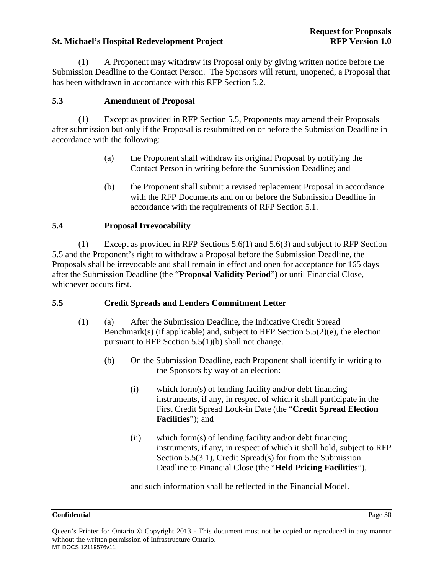## **St. Michael's Hospital Redevelopment Project RFP Version 1.0**

(1) A Proponent may withdraw its Proposal only by giving written notice before the Submission Deadline to the Contact Person. The Sponsors will return, unopened, a Proposal that has been withdrawn in accordance with this RFP Section [5.2.](#page-33-2)

# <span id="page-34-0"></span>**5.3 Amendment of Proposal**

(1) Except as provided in RFP Section [5.5,](#page-34-2) Proponents may amend their Proposals after submission but only if the Proposal is resubmitted on or before the Submission Deadline in accordance with the following:

- (a) the Proponent shall withdraw its original Proposal by notifying the Contact Person in writing before the Submission Deadline; and
- (b) the Proponent shall submit a revised replacement Proposal in accordance with the RFP Documents and on or before the Submission Deadline in accordance with the requirements of RFP Section [5.1.](#page-33-1)

# <span id="page-34-1"></span>**5.4 Proposal Irrevocability**

(1) Except as provided in RFP Sections [5.6\(1\)](#page-49-0) and [5.6\(3\)](#page-49-1) and subject to RFP Section [5.5](#page-34-2) and the Proponent's right to withdraw a Proposal before the Submission Deadline, the Proposals shall be irrevocable and shall remain in effect and open for acceptance for 165 days after the Submission Deadline (the "**Proposal Validity Period**") or until Financial Close, whichever occurs first.

# <span id="page-34-2"></span>**5.5 Credit Spreads and Lenders Commitment Letter**

- <span id="page-34-4"></span><span id="page-34-3"></span>(1) (a) After the Submission Deadline, the Indicative Credit Spread Benchmark(s) (if applicable) and, subject to RFP Section  $5.5(2)(e)$ , the election pursuant to RFP Section [5.5\(1\)\(b\)](#page-34-3) shall not change.
	- (b) On the Submission Deadline, each Proponent shall identify in writing to the Sponsors by way of an election:
		- (i) which form(s) of lending facility and/or debt financing instruments, if any, in respect of which it shall participate in the First Credit Spread Lock-in Date (the "**Credit Spread Election Facilities**"); and
		- (ii) which form(s) of lending facility and/or debt financing instruments, if any, in respect of which it shall hold, subject to RFP Section [5.5\(](#page-34-2)3.1), Credit Spread(s) for from the Submission Deadline to Financial Close (the "**Held Pricing Facilities**"),

and such information shall be reflected in the Financial Model.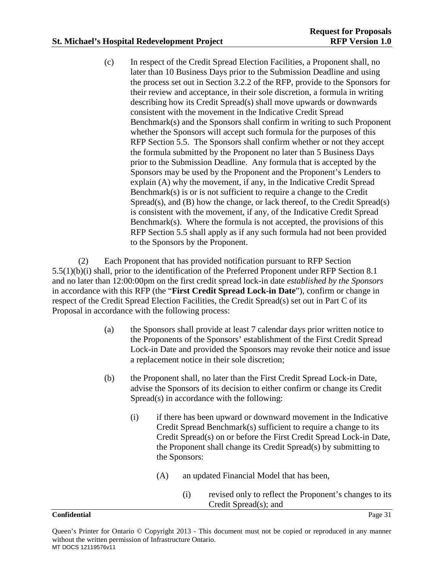(c) In respect of the Credit Spread Election Facilities, a Proponent shall, no later than 10 Business Days prior to the Submission Deadline and using the process set out in Section [3.2.2](#page-11-4) of the RFP, provide to the Sponsors for their review and acceptance, in their sole discretion, a formula in writing describing how its Credit Spread(s) shall move upwards or downwards consistent with the movement in the Indicative Credit Spread Benchmark(s) and the Sponsors shall confirm in writing to such Proponent whether the Sponsors will accept such formula for the purposes of this RFP Section [5.5.](#page-34-2) The Sponsors shall confirm whether or not they accept the formula submitted by the Proponent no later than 5 Business Days prior to the Submission Deadline. Any formula that is accepted by the Sponsors may be used by the Proponent and the Proponent's Lenders to explain (A) why the movement, if any, in the Indicative Credit Spread Benchmark(s) is or is not sufficient to require a change to the Credit Spread(s), and (B) how the change, or lack thereof, to the Credit Spread(s) is consistent with the movement, if any, of the Indicative Credit Spread Benchmark(s). Where the formula is not accepted, the provisions of this RFP Section [5.5](#page-34-2) shall apply as if any such formula had not been provided to the Sponsors by the Proponent.

(2) Each Proponent that has provided notification pursuant to RFP Section [5.5\(1\)\(b\)\(i\)](#page-34-4) shall, prior to the identification of the Preferred Proponent under RFP Section [8.1](#page-56-1) and no later than 12:00:00pm on the first credit spread lock-in date *established by the Sponsors*  in accordance with this RFP (the "**First Credit Spread Lock-in Date**"), confirm or change in respect of the Credit Spread Election Facilities, the Credit Spread(s) set out in Part C of its Proposal in accordance with the following process:

- (a) the Sponsors shall provide at least 7 calendar days prior written notice to the Proponents of the Sponsors' establishment of the First Credit Spread Lock-in Date and provided the Sponsors may revoke their notice and issue a replacement notice in their sole discretion;
- (b) the Proponent shall, no later than the First Credit Spread Lock-in Date, advise the Sponsors of its decision to either confirm or change its Credit Spread(s) in accordance with the following:
	- (i) if there has been upward or downward movement in the Indicative Credit Spread Benchmark(s) sufficient to require a change to its Credit Spread(s) on or before the First Credit Spread Lock-in Date, the Proponent shall change its Credit Spread(s) by submitting to the Sponsors:
		- (A) an updated Financial Model that has been,
			- (i) revised only to reflect the Proponent's changes to its Credit Spread(s); and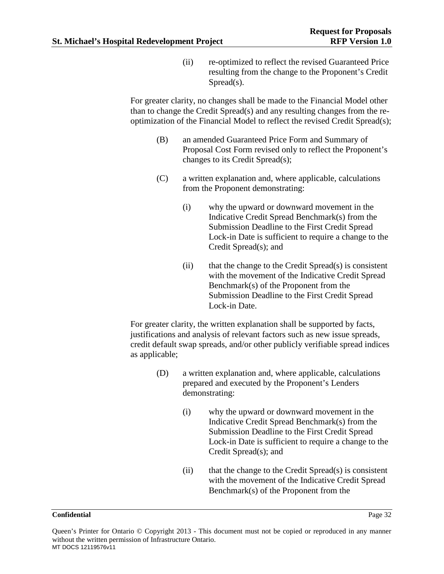(ii) re-optimized to reflect the revised Guaranteed Price resulting from the change to the Proponent's Credit Spread(s).

For greater clarity, no changes shall be made to the Financial Model other than to change the Credit Spread(s) and any resulting changes from the reoptimization of the Financial Model to reflect the revised Credit Spread(s);

- (B) an amended Guaranteed Price Form and Summary of Proposal Cost Form revised only to reflect the Proponent's changes to its Credit Spread(s);
- (C) a written explanation and, where applicable, calculations from the Proponent demonstrating:
	- (i) why the upward or downward movement in the Indicative Credit Spread Benchmark(s) from the Submission Deadline to the First Credit Spread Lock-in Date is sufficient to require a change to the Credit Spread(s); and
	- (ii) that the change to the Credit Spread(s) is consistent with the movement of the Indicative Credit Spread Benchmark(s) of the Proponent from the Submission Deadline to the First Credit Spread Lock-in Date.

For greater clarity, the written explanation shall be supported by facts, justifications and analysis of relevant factors such as new issue spreads, credit default swap spreads, and/or other publicly verifiable spread indices as applicable;

- (D) a written explanation and, where applicable, calculations prepared and executed by the Proponent's Lenders demonstrating:
	- (i) why the upward or downward movement in the Indicative Credit Spread Benchmark(s) from the Submission Deadline to the First Credit Spread Lock-in Date is sufficient to require a change to the Credit Spread(s); and
	- (ii) that the change to the Credit Spread(s) is consistent with the movement of the Indicative Credit Spread Benchmark(s) of the Proponent from the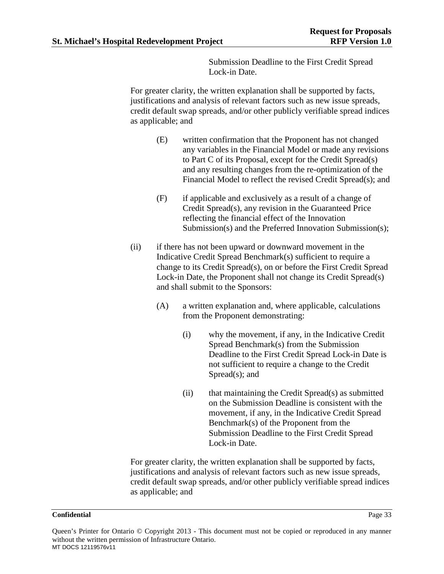Submission Deadline to the First Credit Spread Lock-in Date.

For greater clarity, the written explanation shall be supported by facts, justifications and analysis of relevant factors such as new issue spreads, credit default swap spreads, and/or other publicly verifiable spread indices as applicable; and

- (E) written confirmation that the Proponent has not changed any variables in the Financial Model or made any revisions to Part C of its Proposal, except for the Credit Spread(s) and any resulting changes from the re-optimization of the Financial Model to reflect the revised Credit Spread(s); and
- (F) if applicable and exclusively as a result of a change of Credit Spread(s), any revision in the Guaranteed Price reflecting the financial effect of the Innovation Submission(s) and the Preferred Innovation Submission(s);
- <span id="page-37-0"></span>(ii) if there has not been upward or downward movement in the Indicative Credit Spread Benchmark(s) sufficient to require a change to its Credit Spread(s), on or before the First Credit Spread Lock-in Date, the Proponent shall not change its Credit Spread(s) and shall submit to the Sponsors:
	- (A) a written explanation and, where applicable, calculations from the Proponent demonstrating:
		- (i) why the movement, if any, in the Indicative Credit Spread Benchmark(s) from the Submission Deadline to the First Credit Spread Lock-in Date is not sufficient to require a change to the Credit Spread(s); and
		- (ii) that maintaining the Credit Spread(s) as submitted on the Submission Deadline is consistent with the movement, if any, in the Indicative Credit Spread Benchmark(s) of the Proponent from the Submission Deadline to the First Credit Spread Lock-in Date.

For greater clarity, the written explanation shall be supported by facts, justifications and analysis of relevant factors such as new issue spreads, credit default swap spreads, and/or other publicly verifiable spread indices as applicable; and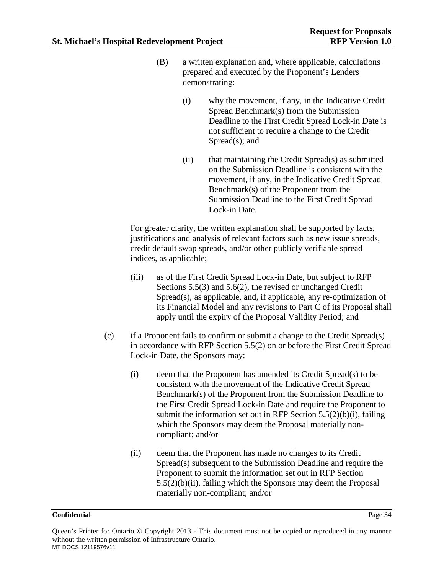- (B) a written explanation and, where applicable, calculations prepared and executed by the Proponent's Lenders demonstrating:
	- (i) why the movement, if any, in the Indicative Credit Spread Benchmark(s) from the Submission Deadline to the First Credit Spread Lock-in Date is not sufficient to require a change to the Credit Spread(s); and
	- (ii) that maintaining the Credit Spread(s) as submitted on the Submission Deadline is consistent with the movement, if any, in the Indicative Credit Spread Benchmark(s) of the Proponent from the Submission Deadline to the First Credit Spread Lock-in Date.

For greater clarity, the written explanation shall be supported by facts, justifications and analysis of relevant factors such as new issue spreads, credit default swap spreads, and/or other publicly verifiable spread indices, as applicable;

- (iii) as of the First Credit Spread Lock-in Date, but subject to RFP Sections [5.5\(3\)](#page-39-0) and [5.6\(2\),](#page-49-0) the revised or unchanged Credit Spread(s), as applicable, and, if applicable, any re-optimization of its Financial Model and any revisions to Part C of its Proposal shall apply until the expiry of the Proposal Validity Period; and
- (c) if a Proponent fails to confirm or submit a change to the Credit Spread(s) in accordance with RFP Section [5.5\(2\)](#page-35-0) on or before the First Credit Spread Lock-in Date, the Sponsors may:
	- (i) deem that the Proponent has amended its Credit Spread(s) to be consistent with the movement of the Indicative Credit Spread Benchmark(s) of the Proponent from the Submission Deadline to the First Credit Spread Lock-in Date and require the Proponent to submit the information set out in RFP Section  $5.5(2)(b)(i)$ , failing which the Sponsors may deem the Proposal materially noncompliant; and/or
	- (ii) deem that the Proponent has made no changes to its Credit Spread(s) subsequent to the Submission Deadline and require the Proponent to submit the information set out in RFP Section [5.5\(2\)\(b\)\(ii\),](#page-37-0) failing which the Sponsors may deem the Proposal materially non-compliant; and/or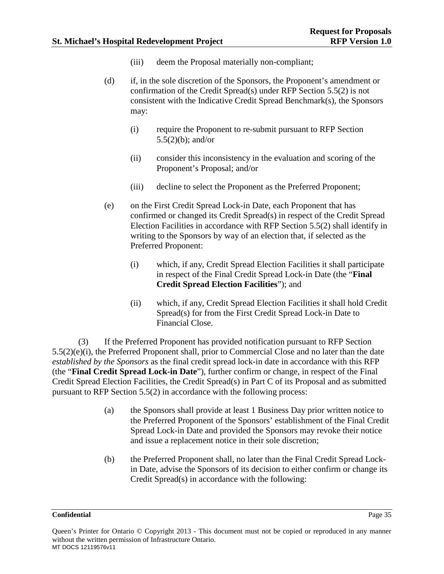- (iii) deem the Proposal materially non-compliant;
- (d) if, in the sole discretion of the Sponsors, the Proponent's amendment or confirmation of the Credit Spread(s) under RFP Section [5.5\(2\)](#page-35-0) is not consistent with the Indicative Credit Spread Benchmark(s), the Sponsors may:
	- (i) require the Proponent to re-submit pursuant to RFP Section [5.5\(2\)\(b\);](#page-35-2) and/or
	- (ii) consider this inconsistency in the evaluation and scoring of the Proponent's Proposal; and/or
	- (iii) decline to select the Proponent as the Preferred Proponent;
- <span id="page-39-2"></span>(e) on the First Credit Spread Lock-in Date, each Proponent that has confirmed or changed its Credit Spread(s) in respect of the Credit Spread Election Facilities in accordance with RFP Section [5.5\(2\)](#page-35-0) shall identify in writing to the Sponsors by way of an election that, if selected as the Preferred Proponent:
	- (i) which, if any, Credit Spread Election Facilities it shall participate in respect of the Final Credit Spread Lock-in Date (the "**Final Credit Spread Election Facilities**"); and
	- (ii) which, if any, Credit Spread Election Facilities it shall hold Credit Spread(s) for from the First Credit Spread Lock-in Date to Financial Close.

<span id="page-39-1"></span><span id="page-39-0"></span>(3) If the Preferred Proponent has provided notification pursuant to RFP Section [5.5\(2\)\(e\)\(i\),](#page-39-1) the Preferred Proponent shall, prior to Commercial Close and no later than the date *established by the Sponsors* as the final credit spread lock-in date in accordance with this RFP (the "**Final Credit Spread Lock-in Date**"), further confirm or change, in respect of the Final Credit Spread Election Facilities, the Credit Spread(s) in Part C of its Proposal and as submitted pursuant to RFP Section [5.5\(2\)](#page-35-0) in accordance with the following process:

- (a) the Sponsors shall provide at least 1 Business Day prior written notice to the Preferred Proponent of the Sponsors' establishment of the Final Credit Spread Lock-in Date and provided the Sponsors may revoke their notice and issue a replacement notice in their sole discretion;
- (b) the Preferred Proponent shall, no later than the Final Credit Spread Lockin Date, advise the Sponsors of its decision to either confirm or change its Credit Spread(s) in accordance with the following:

Queen's Printer for Ontario © Copyright 2013 - This document must not be copied or reproduced in any manner without the written permission of Infrastructure Ontario. MT DOCS 12119576v11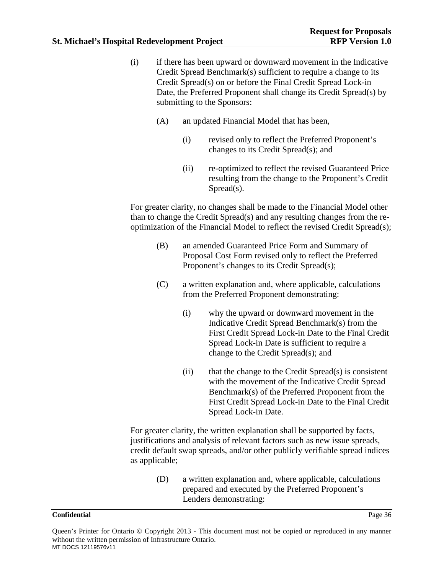- <span id="page-40-0"></span>(i) if there has been upward or downward movement in the Indicative Credit Spread Benchmark(s) sufficient to require a change to its Credit Spread(s) on or before the Final Credit Spread Lock-in Date, the Preferred Proponent shall change its Credit Spread(s) by submitting to the Sponsors:
	- (A) an updated Financial Model that has been,
		- (i) revised only to reflect the Preferred Proponent's changes to its Credit Spread(s); and
		- (ii) re-optimized to reflect the revised Guaranteed Price resulting from the change to the Proponent's Credit Spread(s).

For greater clarity, no changes shall be made to the Financial Model other than to change the Credit Spread(s) and any resulting changes from the reoptimization of the Financial Model to reflect the revised Credit Spread(s);

- (B) an amended Guaranteed Price Form and Summary of Proposal Cost Form revised only to reflect the Preferred Proponent's changes to its Credit Spread(s);
- (C) a written explanation and, where applicable, calculations from the Preferred Proponent demonstrating:
	- (i) why the upward or downward movement in the Indicative Credit Spread Benchmark(s) from the First Credit Spread Lock-in Date to the Final Credit Spread Lock-in Date is sufficient to require a change to the Credit Spread(s); and
	- (ii) that the change to the Credit Spread(s) is consistent with the movement of the Indicative Credit Spread Benchmark(s) of the Preferred Proponent from the First Credit Spread Lock-in Date to the Final Credit Spread Lock-in Date.

For greater clarity, the written explanation shall be supported by facts, justifications and analysis of relevant factors such as new issue spreads, credit default swap spreads, and/or other publicly verifiable spread indices as applicable;

(D) a written explanation and, where applicable, calculations prepared and executed by the Preferred Proponent's Lenders demonstrating:

Queen's Printer for Ontario © Copyright 2013 - This document must not be copied or reproduced in any manner without the written permission of Infrastructure Ontario. MT DOCS 12119576v11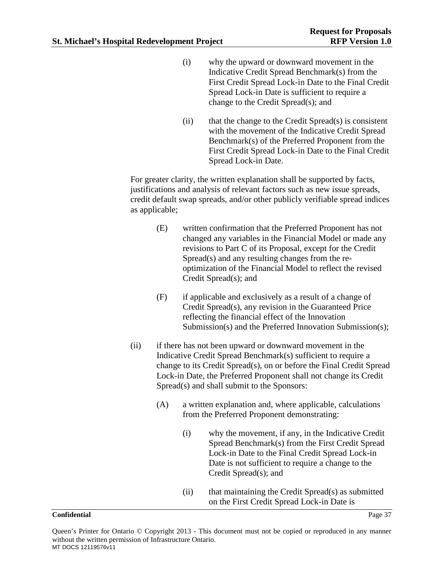- (i) why the upward or downward movement in the Indicative Credit Spread Benchmark(s) from the First Credit Spread Lock-in Date to the Final Credit Spread Lock-in Date is sufficient to require a change to the Credit Spread(s); and
- (ii) that the change to the Credit Spread(s) is consistent with the movement of the Indicative Credit Spread Benchmark(s) of the Preferred Proponent from the First Credit Spread Lock-in Date to the Final Credit Spread Lock-in Date.

For greater clarity, the written explanation shall be supported by facts, justifications and analysis of relevant factors such as new issue spreads, credit default swap spreads, and/or other publicly verifiable spread indices as applicable;

- (E) written confirmation that the Preferred Proponent has not changed any variables in the Financial Model or made any revisions to Part C of its Proposal, except for the Credit Spread(s) and any resulting changes from the reoptimization of the Financial Model to reflect the revised Credit Spread(s); and
- (F) if applicable and exclusively as a result of a change of Credit Spread(s), any revision in the Guaranteed Price reflecting the financial effect of the Innovation Submission(s) and the Preferred Innovation Submission(s);
- <span id="page-41-0"></span>(ii) if there has not been upward or downward movement in the Indicative Credit Spread Benchmark(s) sufficient to require a change to its Credit Spread(s), on or before the Final Credit Spread Lock-in Date, the Preferred Proponent shall not change its Credit Spread(s) and shall submit to the Sponsors:
	- (A) a written explanation and, where applicable, calculations from the Preferred Proponent demonstrating:
		- (i) why the movement, if any, in the Indicative Credit Spread Benchmark(s) from the First Credit Spread Lock-in Date to the Final Credit Spread Lock-in Date is not sufficient to require a change to the Credit Spread(s); and
		- (ii) that maintaining the Credit Spread(s) as submitted on the First Credit Spread Lock-in Date is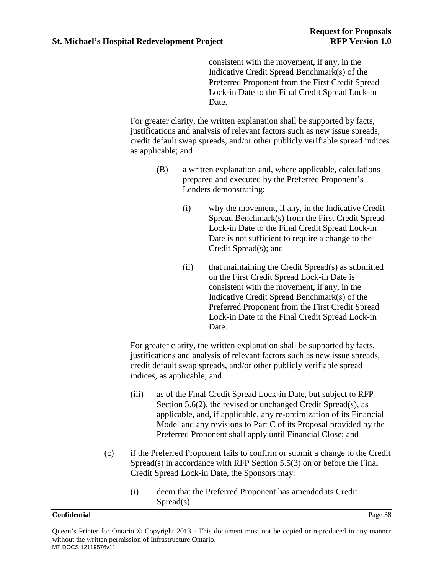consistent with the movement, if any, in the Indicative Credit Spread Benchmark(s) of the Preferred Proponent from the First Credit Spread Lock-in Date to the Final Credit Spread Lock-in Date.

For greater clarity, the written explanation shall be supported by facts, justifications and analysis of relevant factors such as new issue spreads, credit default swap spreads, and/or other publicly verifiable spread indices as applicable; and

- (B) a written explanation and, where applicable, calculations prepared and executed by the Preferred Proponent's Lenders demonstrating:
	- (i) why the movement, if any, in the Indicative Credit Spread Benchmark(s) from the First Credit Spread Lock-in Date to the Final Credit Spread Lock-in Date is not sufficient to require a change to the Credit Spread(s); and
	- (ii) that maintaining the Credit Spread(s) as submitted on the First Credit Spread Lock-in Date is consistent with the movement, if any, in the Indicative Credit Spread Benchmark(s) of the Preferred Proponent from the First Credit Spread Lock-in Date to the Final Credit Spread Lock-in Date.

For greater clarity, the written explanation shall be supported by facts, justifications and analysis of relevant factors such as new issue spreads, credit default swap spreads, and/or other publicly verifiable spread indices, as applicable; and

- (iii) as of the Final Credit Spread Lock-in Date, but subject to RFP Section [5.6\(2\),](#page-49-0) the revised or unchanged Credit Spread(s), as applicable, and, if applicable, any re-optimization of its Financial Model and any revisions to Part C of its Proposal provided by the Preferred Proponent shall apply until Financial Close; and
- (c) if the Preferred Proponent fails to confirm or submit a change to the Credit Spread(s) in accordance with RFP Section [5.5\(3\)](#page-39-0) on or before the Final Credit Spread Lock-in Date, the Sponsors may:
	- (i) deem that the Preferred Proponent has amended its Credit Spread(s):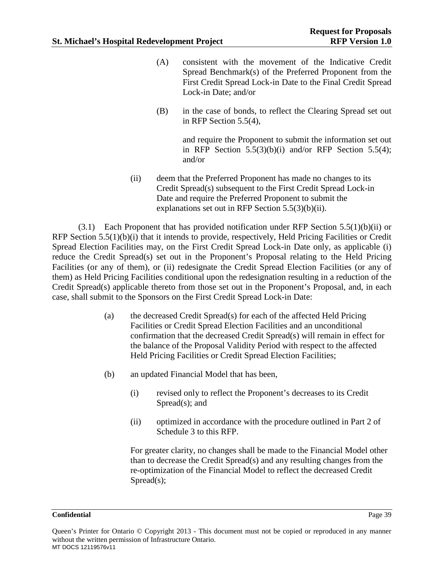- (A) consistent with the movement of the Indicative Credit Spread Benchmark(s) of the Preferred Proponent from the First Credit Spread Lock-in Date to the Final Credit Spread Lock-in Date; and/or
- (B) in the case of bonds, to reflect the Clearing Spread set out in RFP Section [5.5\(4\),](#page-44-0)

and require the Proponent to submit the information set out in RFP Section  $5.5(3)(b)(i)$  and/or RFP Section  $5.5(4)$ ; and/or

(ii) deem that the Preferred Proponent has made no changes to its Credit Spread(s) subsequent to the First Credit Spread Lock-in Date and require the Preferred Proponent to submit the explanations set out in RFP Section [5.5\(3\)\(b\)\(ii\).](#page-41-0)

 $(3.1)$  Each Proponent that has provided notification under RFP Section [5.5\(1\)\(b\)\(ii\)](#page-34-0) or RFP Section [5.5\(1\)\(b\)\(i\)](#page-34-1) that it intends to provide, respectively, Held Pricing Facilities or Credit Spread Election Facilities may, on the First Credit Spread Lock-in Date only, as applicable (i) reduce the Credit Spread(s) set out in the Proponent's Proposal relating to the Held Pricing Facilities (or any of them), or (ii) redesignate the Credit Spread Election Facilities (or any of them) as Held Pricing Facilities conditional upon the redesignation resulting in a reduction of the Credit Spread(s) applicable thereto from those set out in the Proponent's Proposal, and, in each case, shall submit to the Sponsors on the First Credit Spread Lock-in Date:

- (a) the decreased Credit Spread(s) for each of the affected Held Pricing Facilities or Credit Spread Election Facilities and an unconditional confirmation that the decreased Credit Spread(s) will remain in effect for the balance of the Proposal Validity Period with respect to the affected Held Pricing Facilities or Credit Spread Election Facilities;
- (b) an updated Financial Model that has been,
	- (i) revised only to reflect the Proponent's decreases to its Credit Spread(s); and
	- (ii) optimized in accordance with the procedure outlined in Part 2 of Schedule 3 to this RFP.

For greater clarity, no changes shall be made to the Financial Model other than to decrease the Credit Spread(s) and any resulting changes from the re-optimization of the Financial Model to reflect the decreased Credit Spread(s);

Queen's Printer for Ontario © Copyright 2013 - This document must not be copied or reproduced in any manner without the written permission of Infrastructure Ontario. MT DOCS 12119576v11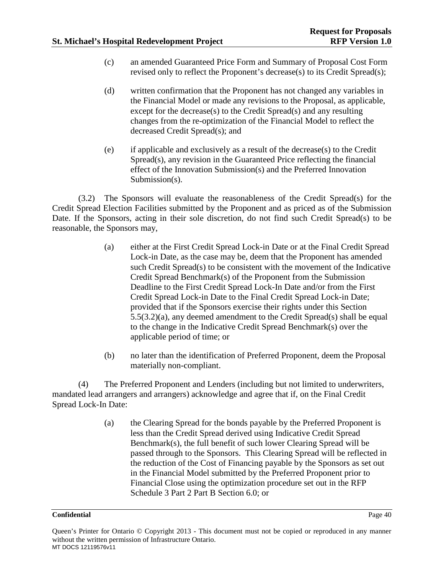- (c) an amended Guaranteed Price Form and Summary of Proposal Cost Form revised only to reflect the Proponent's decrease(s) to its Credit Spread(s);
- (d) written confirmation that the Proponent has not changed any variables in the Financial Model or made any revisions to the Proposal, as applicable, except for the decrease(s) to the Credit Spread(s) and any resulting changes from the re-optimization of the Financial Model to reflect the decreased Credit Spread(s); and
- (e) if applicable and exclusively as a result of the decrease(s) to the Credit Spread(s), any revision in the Guaranteed Price reflecting the financial effect of the Innovation Submission(s) and the Preferred Innovation Submission(s).

(3.2) The Sponsors will evaluate the reasonableness of the Credit Spread(s) for the Credit Spread Election Facilities submitted by the Proponent and as priced as of the Submission Date. If the Sponsors, acting in their sole discretion, do not find such Credit Spread(s) to be reasonable, the Sponsors may,

- (a) either at the First Credit Spread Lock-in Date or at the Final Credit Spread Lock-in Date, as the case may be, deem that the Proponent has amended such Credit Spread(s) to be consistent with the movement of the Indicative Credit Spread Benchmark(s) of the Proponent from the Submission Deadline to the First Credit Spread Lock-In Date and/or from the First Credit Spread Lock-in Date to the Final Credit Spread Lock-in Date; provided that if the Sponsors exercise their rights under this Section [5.5\(](#page-34-2)3.2)(a), any deemed amendment to the Credit Spread(s) shall be equal to the change in the Indicative Credit Spread Benchmark(s) over the applicable period of time; or
- (b) no later than the identification of Preferred Proponent, deem the Proposal materially non-compliant.

<span id="page-44-0"></span>(4) The Preferred Proponent and Lenders (including but not limited to underwriters, mandated lead arrangers and arrangers) acknowledge and agree that if, on the Final Credit Spread Lock-In Date:

> (a) the Clearing Spread for the bonds payable by the Preferred Proponent is less than the Credit Spread derived using Indicative Credit Spread Benchmark(s), the full benefit of such lower Clearing Spread will be passed through to the Sponsors. This Clearing Spread will be reflected in the reduction of the Cost of Financing payable by the Sponsors as set out in the Financial Model submitted by the Preferred Proponent prior to Financial Close using the optimization procedure set out in the RFP Schedule 3 Part 2 Part B Section 6.0; or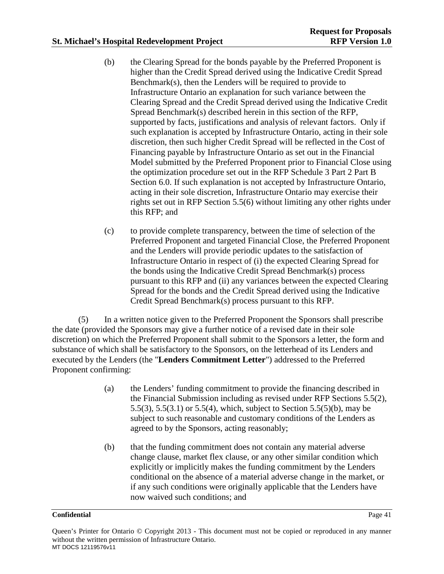- (b) the Clearing Spread for the bonds payable by the Preferred Proponent is higher than the Credit Spread derived using the Indicative Credit Spread Benchmark(s), then the Lenders will be required to provide to Infrastructure Ontario an explanation for such variance between the Clearing Spread and the Credit Spread derived using the Indicative Credit Spread Benchmark(s) described herein in this section of the RFP, supported by facts, justifications and analysis of relevant factors. Only if such explanation is accepted by Infrastructure Ontario, acting in their sole discretion, then such higher Credit Spread will be reflected in the Cost of Financing payable by Infrastructure Ontario as set out in the Financial Model submitted by the Preferred Proponent prior to Financial Close using the optimization procedure set out in the RFP Schedule 3 Part 2 Part B Section 6.0. If such explanation is not accepted by Infrastructure Ontario, acting in their sole discretion, Infrastructure Ontario may exercise their rights set out in RFP Section [5.5\(6\)](#page-46-0) without limiting any other rights under this RFP; and
- (c) to provide complete transparency, between the time of selection of the Preferred Proponent and targeted Financial Close, the Preferred Proponent and the Lenders will provide periodic updates to the satisfaction of Infrastructure Ontario in respect of (i) the expected Clearing Spread for the bonds using the Indicative Credit Spread Benchmark(s) process pursuant to this RFP and (ii) any variances between the expected Clearing Spread for the bonds and the Credit Spread derived using the Indicative Credit Spread Benchmark(s) process pursuant to this RFP.

<span id="page-45-1"></span>(5) In a written notice given to the Preferred Proponent the Sponsors shall prescribe the date (provided the Sponsors may give a further notice of a revised date in their sole discretion) on which the Preferred Proponent shall submit to the Sponsors a letter, the form and substance of which shall be satisfactory to the Sponsors, on the letterhead of its Lenders and executed by the Lenders (the "**Lenders Commitment Letter**") addressed to the Preferred Proponent confirming:

- (a) the Lenders' funding commitment to provide the financing described in the Financial Submission including as revised under RFP Sections [5.5\(2\),](#page-35-0) [5.5\(3\),](#page-39-0) [5.5\(](#page-34-2)3.1) or [5.5\(4\),](#page-44-0) which, subject to Section [5.5\(5\)\(b\),](#page-45-0) may be subject to such reasonable and customary conditions of the Lenders as agreed to by the Sponsors, acting reasonably;
- <span id="page-45-0"></span>(b) that the funding commitment does not contain any material adverse change clause, market flex clause, or any other similar condition which explicitly or implicitly makes the funding commitment by the Lenders conditional on the absence of a material adverse change in the market, or if any such conditions were originally applicable that the Lenders have now waived such conditions; and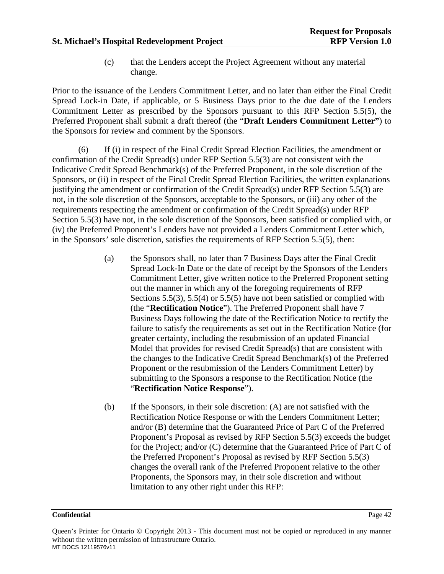(c) that the Lenders accept the Project Agreement without any material change.

Prior to the issuance of the Lenders Commitment Letter, and no later than either the Final Credit Spread Lock-in Date, if applicable, or 5 Business Days prior to the due date of the Lenders Commitment Letter as prescribed by the Sponsors pursuant to this RFP Section [5.5\(5\),](#page-45-1) the Preferred Proponent shall submit a draft thereof (the "**Draft Lenders Commitment Letter"**) to the Sponsors for review and comment by the Sponsors.

<span id="page-46-0"></span>(6) If (i) in respect of the Final Credit Spread Election Facilities, the amendment or confirmation of the Credit Spread(s) under RFP Section [5.5\(3\)](#page-39-0) are not consistent with the Indicative Credit Spread Benchmark(s) of the Preferred Proponent, in the sole discretion of the Sponsors, or (ii) in respect of the Final Credit Spread Election Facilities, the written explanations justifying the amendment or confirmation of the Credit Spread(s) under RFP Section [5.5\(3\)](#page-39-0) are not, in the sole discretion of the Sponsors, acceptable to the Sponsors, or (iii) any other of the requirements respecting the amendment or confirmation of the Credit Spread(s) under RFP Section [5.5\(3\)](#page-39-0) have not, in the sole discretion of the Sponsors, been satisfied or complied with, or (iv) the Preferred Proponent's Lenders have not provided a Lenders Commitment Letter which, in the Sponsors' sole discretion, satisfies the requirements of RFP Section [5.5\(5\),](#page-45-1) then:

- (a) the Sponsors shall, no later than 7 Business Days after the Final Credit Spread Lock-In Date or the date of receipt by the Sponsors of the Lenders Commitment Letter, give written notice to the Preferred Proponent setting out the manner in which any of the foregoing requirements of RFP Sections [5.5\(3\),](#page-39-0) [5.5\(4\)](#page-44-0) or [5.5\(5\)](#page-45-1) have not been satisfied or complied with (the "**Rectification Notice**"). The Preferred Proponent shall have 7 Business Days following the date of the Rectification Notice to rectify the failure to satisfy the requirements as set out in the Rectification Notice (for greater certainty, including the resubmission of an updated Financial Model that provides for revised Credit Spread(s) that are consistent with the changes to the Indicative Credit Spread Benchmark(s) of the Preferred Proponent or the resubmission of the Lenders Commitment Letter) by submitting to the Sponsors a response to the Rectification Notice (the "**Rectification Notice Response**").
- <span id="page-46-1"></span>(b) If the Sponsors, in their sole discretion: (A) are not satisfied with the Rectification Notice Response or with the Lenders Commitment Letter; and/or (B) determine that the Guaranteed Price of Part C of the Preferred Proponent's Proposal as revised by RFP Section [5.5\(3\)](#page-39-0) exceeds the budget for the Project; and/or (C) determine that the Guaranteed Price of Part C of the Preferred Proponent's Proposal as revised by RFP Section [5.5\(3\)](#page-39-0) changes the overall rank of the Preferred Proponent relative to the other Proponents, the Sponsors may, in their sole discretion and without limitation to any other right under this RFP: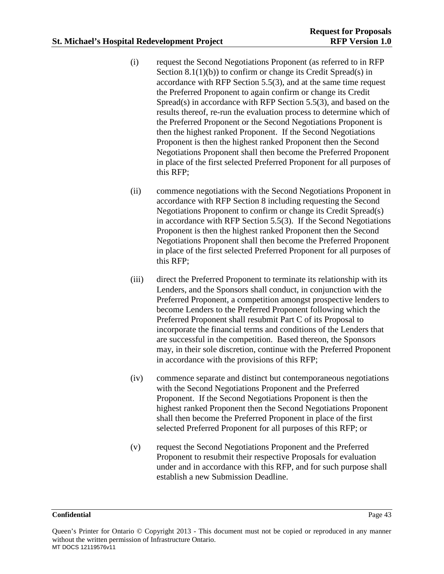- <span id="page-47-0"></span>(i) request the Second Negotiations Proponent (as referred to in RFP Section  $8.1(1)(b)$  to confirm or change its Credit Spread(s) in accordance with RFP Section [5.5\(3\),](#page-39-0) and at the same time request the Preferred Proponent to again confirm or change its Credit Spread(s) in accordance with RFP Section [5.5\(3\),](#page-39-0) and based on the results thereof, re-run the evaluation process to determine which of the Preferred Proponent or the Second Negotiations Proponent is then the highest ranked Proponent. If the Second Negotiations Proponent is then the highest ranked Proponent then the Second Negotiations Proponent shall then become the Preferred Proponent in place of the first selected Preferred Proponent for all purposes of this RFP;
- <span id="page-47-1"></span>(ii) commence negotiations with the Second Negotiations Proponent in accordance with RFP Section [8](#page-56-1) including requesting the Second Negotiations Proponent to confirm or change its Credit Spread(s) in accordance with RFP Section [5.5\(3\).](#page-39-0) If the Second Negotiations Proponent is then the highest ranked Proponent then the Second Negotiations Proponent shall then become the Preferred Proponent in place of the first selected Preferred Proponent for all purposes of this RFP;
- (iii) direct the Preferred Proponent to terminate its relationship with its Lenders, and the Sponsors shall conduct, in conjunction with the Preferred Proponent, a competition amongst prospective lenders to become Lenders to the Preferred Proponent following which the Preferred Proponent shall resubmit Part C of its Proposal to incorporate the financial terms and conditions of the Lenders that are successful in the competition. Based thereon, the Sponsors may, in their sole discretion, continue with the Preferred Proponent in accordance with the provisions of this RFP;
- <span id="page-47-2"></span>(iv) commence separate and distinct but contemporaneous negotiations with the Second Negotiations Proponent and the Preferred Proponent. If the Second Negotiations Proponent is then the highest ranked Proponent then the Second Negotiations Proponent shall then become the Preferred Proponent in place of the first selected Preferred Proponent for all purposes of this RFP; or
- <span id="page-47-3"></span>(v) request the Second Negotiations Proponent and the Preferred Proponent to resubmit their respective Proposals for evaluation under and in accordance with this RFP, and for such purpose shall establish a new Submission Deadline.

Queen's Printer for Ontario © Copyright 2013 - This document must not be copied or reproduced in any manner without the written permission of Infrastructure Ontario. MT DOCS 12119576v11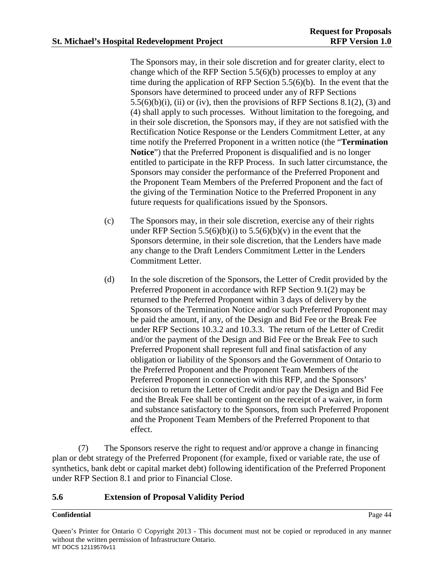The Sponsors may, in their sole discretion and for greater clarity, elect to change which of the RFP Section [5.5\(6\)\(b\)](#page-46-1) processes to employ at any time during the application of RFP Section [5.5\(6\)\(b\).](#page-46-1) In the event that the Sponsors have determined to proceed under any of RFP Sections  $5.5(6)(b)(i)$ , [\(ii\)](#page-47-1) or [\(iv\),](#page-47-2) then the provisions of RFP Sections [8.1\(2\),](#page-56-2) [\(3\)](#page-57-0) and [\(4\)](#page-57-1) shall apply to such processes. Without limitation to the foregoing, and in their sole discretion, the Sponsors may, if they are not satisfied with the Rectification Notice Response or the Lenders Commitment Letter, at any time notify the Preferred Proponent in a written notice (the "**Termination Notice**") that the Preferred Proponent is disqualified and is no longer entitled to participate in the RFP Process. In such latter circumstance, the Sponsors may consider the performance of the Preferred Proponent and the Proponent Team Members of the Preferred Proponent and the fact of the giving of the Termination Notice to the Preferred Proponent in any future requests for qualifications issued by the Sponsors.

- (c) The Sponsors may, in their sole discretion, exercise any of their rights under RFP Section [5.5\(6\)\(b\)\(i\)](#page-47-0) to  $5.5(6)(b)(v)$  in the event that the Sponsors determine, in their sole discretion, that the Lenders have made any change to the Draft Lenders Commitment Letter in the Lenders Commitment Letter.
- (d) In the sole discretion of the Sponsors, the Letter of Credit provided by the Preferred Proponent in accordance with RFP Section [9.1\(2\)](#page-57-2) may be returned to the Preferred Proponent within 3 days of delivery by the Sponsors of the Termination Notice and/or such Preferred Proponent may be paid the amount, if any, of the Design and Bid Fee or the Break Fee under RFP Sections [10.3.2](#page-63-0) and [10.3.3.](#page-64-0) The return of the Letter of Credit and/or the payment of the Design and Bid Fee or the Break Fee to such Preferred Proponent shall represent full and final satisfaction of any obligation or liability of the Sponsors and the Government of Ontario to the Preferred Proponent and the Proponent Team Members of the Preferred Proponent in connection with this RFP, and the Sponsors' decision to return the Letter of Credit and/or pay the Design and Bid Fee and the Break Fee shall be contingent on the receipt of a waiver, in form and substance satisfactory to the Sponsors, from such Preferred Proponent and the Proponent Team Members of the Preferred Proponent to that effect.

(7) The Sponsors reserve the right to request and/or approve a change in financing plan or debt strategy of the Preferred Proponent (for example, fixed or variable rate, the use of synthetics, bank debt or capital market debt) following identification of the Preferred Proponent under RFP Section 8.1 and prior to Financial Close.

## **5.6 Extension of Proposal Validity Period**

### **Confidential** Page 44

Queen's Printer for Ontario © Copyright 2013 - This document must not be copied or reproduced in any manner without the written permission of Infrastructure Ontario. MT DOCS 12119576v11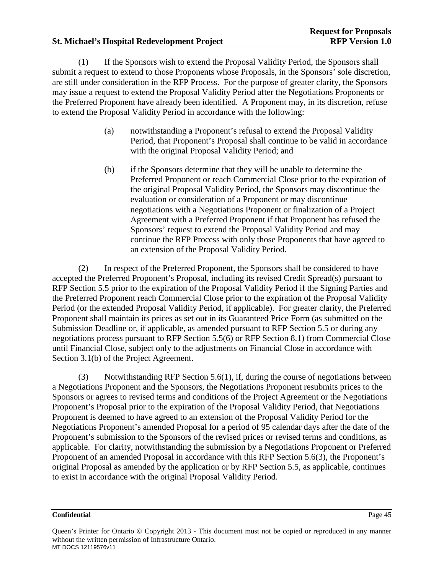## **St. Michael's Hospital Redevelopment Project RFP Version 1.0**

<span id="page-49-1"></span>(1) If the Sponsors wish to extend the Proposal Validity Period, the Sponsors shall submit a request to extend to those Proponents whose Proposals, in the Sponsors' sole discretion, are still under consideration in the RFP Process. For the purpose of greater clarity, the Sponsors may issue a request to extend the Proposal Validity Period after the Negotiations Proponents or the Preferred Proponent have already been identified. A Proponent may, in its discretion, refuse to extend the Proposal Validity Period in accordance with the following:

- (a) notwithstanding a Proponent's refusal to extend the Proposal Validity Period, that Proponent's Proposal shall continue to be valid in accordance with the original Proposal Validity Period; and
- (b) if the Sponsors determine that they will be unable to determine the Preferred Proponent or reach Commercial Close prior to the expiration of the original Proposal Validity Period, the Sponsors may discontinue the evaluation or consideration of a Proponent or may discontinue negotiations with a Negotiations Proponent or finalization of a Project Agreement with a Preferred Proponent if that Proponent has refused the Sponsors' request to extend the Proposal Validity Period and may continue the RFP Process with only those Proponents that have agreed to an extension of the Proposal Validity Period.

<span id="page-49-0"></span>(2) In respect of the Preferred Proponent, the Sponsors shall be considered to have accepted the Preferred Proponent's Proposal, including its revised Credit Spread(s) pursuant to RFP Section [5.5](#page-34-2) prior to the expiration of the Proposal Validity Period if the Signing Parties and the Preferred Proponent reach Commercial Close prior to the expiration of the Proposal Validity Period (or the extended Proposal Validity Period, if applicable). For greater clarity, the Preferred Proponent shall maintain its prices as set out in its Guaranteed Price Form (as submitted on the Submission Deadline or, if applicable, as amended pursuant to RFP Section [5.5](#page-34-2) or during any negotiations process pursuant to RFP Section [5.5\(6\)](#page-46-0) or RFP Section [8.1\)](#page-56-3) from Commercial Close until Financial Close, subject only to the adjustments on Financial Close in accordance with Section 3.1(b) of the Project Agreement.

<span id="page-49-2"></span>(3) Notwithstanding RFP Section [5.6\(1\),](#page-49-1) if, during the course of negotiations between a Negotiations Proponent and the Sponsors, the Negotiations Proponent resubmits prices to the Sponsors or agrees to revised terms and conditions of the Project Agreement or the Negotiations Proponent's Proposal prior to the expiration of the Proposal Validity Period, that Negotiations Proponent is deemed to have agreed to an extension of the Proposal Validity Period for the Negotiations Proponent's amended Proposal for a period of 95 calendar days after the date of the Proponent's submission to the Sponsors of the revised prices or revised terms and conditions, as applicable. For clarity, notwithstanding the submission by a Negotiations Proponent or Preferred Proponent of an amended Proposal in accordance with this RFP Section [5.6\(3\),](#page-49-2) the Proponent's original Proposal as amended by the application or by RFP Section [5.5,](#page-34-2) as applicable, continues to exist in accordance with the original Proposal Validity Period.

Queen's Printer for Ontario © Copyright 2013 - This document must not be copied or reproduced in any manner without the written permission of Infrastructure Ontario. MT DOCS 12119576v11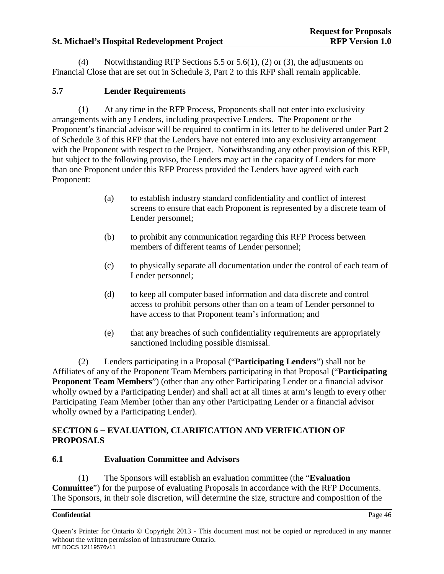(4) Notwithstanding RFP Sections [5.5](#page-34-2) or [5.6\(1\),](#page-49-1) [\(2\)](#page-49-0) or [\(3\),](#page-49-2) the adjustments on Financial Close that are set out in Schedule 3, Part 2 to this RFP shall remain applicable.

## **5.7 Lender Requirements**

(1) At any time in the RFP Process, Proponents shall not enter into exclusivity arrangements with any Lenders, including prospective Lenders. The Proponent or the Proponent's financial advisor will be required to confirm in its letter to be delivered under Part 2 of Schedule 3 of this RFP that the Lenders have not entered into any exclusivity arrangement with the Proponent with respect to the Project. Notwithstanding any other provision of this RFP, but subject to the following proviso, the Lenders may act in the capacity of Lenders for more than one Proponent under this RFP Process provided the Lenders have agreed with each Proponent:

- (a) to establish industry standard confidentiality and conflict of interest screens to ensure that each Proponent is represented by a discrete team of Lender personnel;
- (b) to prohibit any communication regarding this RFP Process between members of different teams of Lender personnel;
- (c) to physically separate all documentation under the control of each team of Lender personnel;
- (d) to keep all computer based information and data discrete and control access to prohibit persons other than on a team of Lender personnel to have access to that Proponent team's information; and
- (e) that any breaches of such confidentiality requirements are appropriately sanctioned including possible dismissal.

<span id="page-50-1"></span>(2) Lenders participating in a Proposal ("**Participating Lenders**") shall not be Affiliates of any of the Proponent Team Members participating in that Proposal ("**Participating Proponent Team Members**") (other than any other Participating Lender or a financial advisor wholly owned by a Participating Lender) and shall act at all times at arm's length to every other Participating Team Member (other than any other Participating Lender or a financial advisor wholly owned by a Participating Lender).

# **SECTION 6 − EVALUATION, CLARIFICATION AND VERIFICATION OF PROPOSALS**

## <span id="page-50-0"></span>**6.1 Evaluation Committee and Advisors**

(1) The Sponsors will establish an evaluation committee (the "**Evaluation Committee**") for the purpose of evaluating Proposals in accordance with the RFP Documents. The Sponsors, in their sole discretion, will determine the size, structure and composition of the

Queen's Printer for Ontario © Copyright 2013 - This document must not be copied or reproduced in any manner without the written permission of Infrastructure Ontario. MT DOCS 12119576v11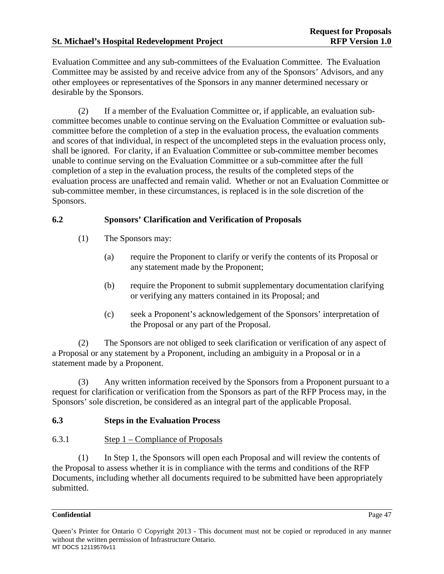## **St. Michael's Hospital Redevelopment Project RFP Version 1.0**

Evaluation Committee and any sub-committees of the Evaluation Committee. The Evaluation Committee may be assisted by and receive advice from any of the Sponsors' Advisors, and any other employees or representatives of the Sponsors in any manner determined necessary or desirable by the Sponsors.

(2) If a member of the Evaluation Committee or, if applicable, an evaluation subcommittee becomes unable to continue serving on the Evaluation Committee or evaluation subcommittee before the completion of a step in the evaluation process, the evaluation comments and scores of that individual, in respect of the uncompleted steps in the evaluation process only, shall be ignored. For clarity, if an Evaluation Committee or sub-committee member becomes unable to continue serving on the Evaluation Committee or a sub-committee after the full completion of a step in the evaluation process, the results of the completed steps of the evaluation process are unaffected and remain valid. Whether or not an Evaluation Committee or sub-committee member, in these circumstances, is replaced is in the sole discretion of the Sponsors.

## **6.2 Sponsors' Clarification and Verification of Proposals**

- (1) The Sponsors may:
	- (a) require the Proponent to clarify or verify the contents of its Proposal or any statement made by the Proponent;
	- (b) require the Proponent to submit supplementary documentation clarifying or verifying any matters contained in its Proposal; and
	- (c) seek a Proponent's acknowledgement of the Sponsors' interpretation of the Proposal or any part of the Proposal.

(2) The Sponsors are not obliged to seek clarification or verification of any aspect of a Proposal or any statement by a Proponent, including an ambiguity in a Proposal or in a statement made by a Proponent.

(3) Any written information received by the Sponsors from a Proponent pursuant to a request for clarification or verification from the Sponsors as part of the RFP Process may, in the Sponsors' sole discretion, be considered as an integral part of the applicable Proposal.

# **6.3 Steps in the Evaluation Process**

<span id="page-51-0"></span>6.3.1 Step 1 – Compliance of Proposals

(1) In Step 1, the Sponsors will open each Proposal and will review the contents of the Proposal to assess whether it is in compliance with the terms and conditions of the RFP Documents, including whether all documents required to be submitted have been appropriately submitted.

Queen's Printer for Ontario © Copyright 2013 - This document must not be copied or reproduced in any manner without the written permission of Infrastructure Ontario. MT DOCS 12119576v11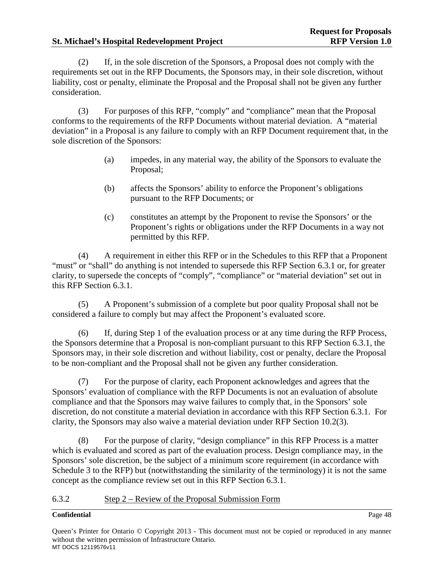## **St. Michael's Hospital Redevelopment Project RFP Version 1.0**

(2) If, in the sole discretion of the Sponsors, a Proposal does not comply with the requirements set out in the RFP Documents, the Sponsors may, in their sole discretion, without liability, cost or penalty, eliminate the Proposal and the Proposal shall not be given any further consideration.

(3) For purposes of this RFP, "comply" and "compliance" mean that the Proposal conforms to the requirements of the RFP Documents without material deviation. A "material deviation" in a Proposal is any failure to comply with an RFP Document requirement that, in the sole discretion of the Sponsors:

- (a) impedes, in any material way, the ability of the Sponsors to evaluate the Proposal;
- (b) affects the Sponsors' ability to enforce the Proponent's obligations pursuant to the RFP Documents; or
- (c) constitutes an attempt by the Proponent to revise the Sponsors' or the Proponent's rights or obligations under the RFP Documents in a way not permitted by this RFP.

(4) A requirement in either this RFP or in the Schedules to this RFP that a Proponent "must" or "shall" do anything is not intended to supersede this RFP Section [6.3.1](#page-51-0) or, for greater clarity, to supersede the concepts of "comply", "compliance" or "material deviation" set out in this RFP Section [6.3.1.](#page-51-0)

(5) A Proponent's submission of a complete but poor quality Proposal shall not be considered a failure to comply but may affect the Proponent's evaluated score.

(6) If, during Step 1 of the evaluation process or at any time during the RFP Process, the Sponsors determine that a Proposal is non-compliant pursuant to this RFP Section [6.3.1,](#page-51-0) the Sponsors may, in their sole discretion and without liability, cost or penalty, declare the Proposal to be non-compliant and the Proposal shall not be given any further consideration.

(7) For the purpose of clarity, each Proponent acknowledges and agrees that the Sponsors' evaluation of compliance with the RFP Documents is not an evaluation of absolute compliance and that the Sponsors may waive failures to comply that, in the Sponsors' sole discretion, do not constitute a material deviation in accordance with this RFP Section [6.3.1.](#page-51-0) For clarity, the Sponsors may also waive a material deviation under RFP Section [10.2\(3\).](#page-63-1)

(8) For the purpose of clarity, "design compliance" in this RFP Process is a matter which is evaluated and scored as part of the evaluation process. Design compliance may, in the Sponsors' sole discretion, be the subject of a minimum score requirement (in accordance with Schedule 3 to the RFP) but (notwithstanding the similarity of the terminology) it is not the same concept as the compliance review set out in this RFP Section [6.3.1.](#page-51-0)

## 6.3.2 Step 2 – Review of the Proposal Submission Form

### **Confidential** Page 48

Queen's Printer for Ontario © Copyright 2013 - This document must not be copied or reproduced in any manner without the written permission of Infrastructure Ontario. MT DOCS 12119576v11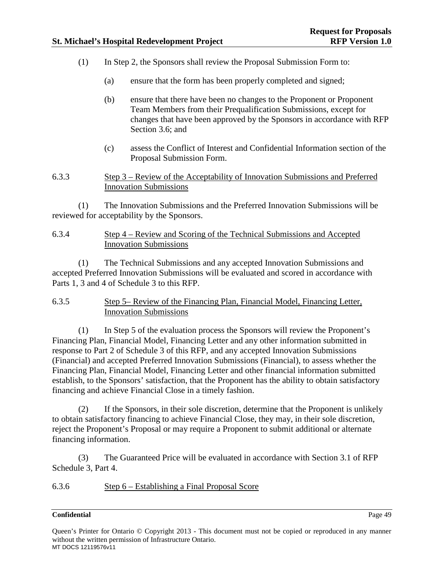- (1) In Step 2, the Sponsors shall review the Proposal Submission Form to:
	- (a) ensure that the form has been properly completed and signed;
	- (b) ensure that there have been no changes to the Proponent or Proponent Team Members from their Prequalification Submissions, except for changes that have been approved by the Sponsors in accordance with RFP Section [3.6;](#page-19-0) and
	- (c) assess the Conflict of Interest and Confidential Information section of the Proposal Submission Form.
- 6.3.3 Step 3 Review of the Acceptability of Innovation Submissions and Preferred Innovation Submissions

(1) The Innovation Submissions and the Preferred Innovation Submissions will be reviewed for acceptability by the Sponsors.

| 6.3.4 | Step 4 – Review and Scoring of the Technical Submissions and Accepted |
|-------|-----------------------------------------------------------------------|
|       | <b>Innovation Submissions</b>                                         |

(1) The Technical Submissions and any accepted Innovation Submissions and accepted Preferred Innovation Submissions will be evaluated and scored in accordance with Parts 1, 3 and 4 of Schedule 3 to this RFP.

6.3.5 Step 5– Review of the Financing Plan, Financial Model, Financing Letter, Innovation Submissions

(1) In Step 5 of the evaluation process the Sponsors will review the Proponent's Financing Plan, Financial Model, Financing Letter and any other information submitted in response to Part 2 of Schedule 3 of this RFP, and any accepted Innovation Submissions (Financial) and accepted Preferred Innovation Submissions (Financial), to assess whether the Financing Plan, Financial Model, Financing Letter and other financial information submitted establish, to the Sponsors' satisfaction, that the Proponent has the ability to obtain satisfactory financing and achieve Financial Close in a timely fashion.

(2) If the Sponsors, in their sole discretion, determine that the Proponent is unlikely to obtain satisfactory financing to achieve Financial Close, they may, in their sole discretion, reject the Proponent's Proposal or may require a Proponent to submit additional or alternate financing information.

(3) The Guaranteed Price will be evaluated in accordance with Section 3.1 of RFP Schedule 3, Part 4.

<span id="page-53-0"></span>6.3.6 Step 6 – Establishing a Final Proposal Score

Queen's Printer for Ontario © Copyright 2013 - This document must not be copied or reproduced in any manner without the written permission of Infrastructure Ontario. MT DOCS 12119576v11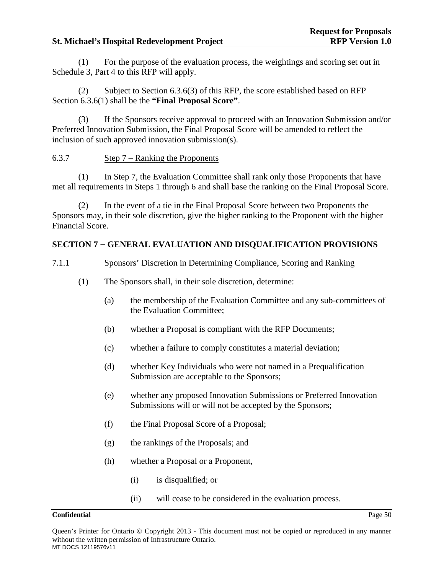<span id="page-54-1"></span>(1) For the purpose of the evaluation process, the weightings and scoring set out in Schedule 3, Part 4 to this RFP will apply.

(2) Subject to Section [6.3.6\(3\)](#page-54-0) of this RFP, the score established based on RFP Section [6.3.6\(1\)](#page-54-1) shall be the **"Final Proposal Score"**.

<span id="page-54-0"></span>(3) If the Sponsors receive approval to proceed with an Innovation Submission and/or Preferred Innovation Submission, the Final Proposal Score will be amended to reflect the inclusion of such approved innovation submission(s).

## 6.3.7 Step 7 – Ranking the Proponents

(1) In Step 7, the Evaluation Committee shall rank only those Proponents that have met all requirements in Steps 1 through 6 and shall base the ranking on the Final Proposal Score.

(2) In the event of a tie in the Final Proposal Score between two Proponents the Sponsors may, in their sole discretion, give the higher ranking to the Proponent with the higher Financial Score.

## **SECTION 7 − GENERAL EVALUATION AND DISQUALIFICATION PROVISIONS**

7.1.1 Sponsors' Discretion in Determining Compliance, Scoring and Ranking

- (1) The Sponsors shall, in their sole discretion, determine:
	- (a) the membership of the Evaluation Committee and any sub-committees of the Evaluation Committee;
	- (b) whether a Proposal is compliant with the RFP Documents;
	- (c) whether a failure to comply constitutes a material deviation;
	- (d) whether Key Individuals who were not named in a Prequalification Submission are acceptable to the Sponsors;
	- (e) whether any proposed Innovation Submissions or Preferred Innovation Submissions will or will not be accepted by the Sponsors;
	- (f) the Final Proposal Score of a Proposal;
	- (g) the rankings of the Proposals; and
	- (h) whether a Proposal or a Proponent,
		- (i) is disqualified; or
		- (ii) will cease to be considered in the evaluation process.

Queen's Printer for Ontario © Copyright 2013 - This document must not be copied or reproduced in any manner without the written permission of Infrastructure Ontario. MT DOCS 12119576v11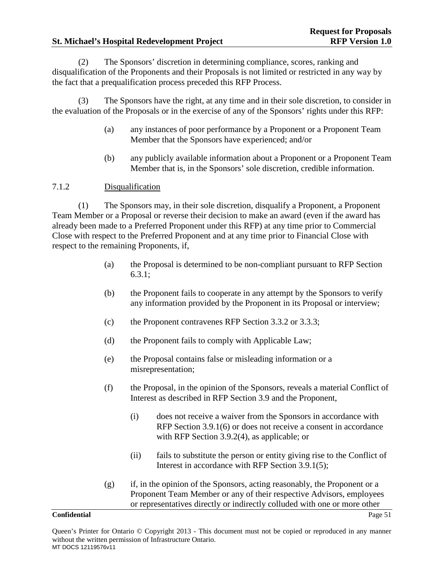(2) The Sponsors' discretion in determining compliance, scores, ranking and disqualification of the Proponents and their Proposals is not limited or restricted in any way by the fact that a prequalification process preceded this RFP Process.

(3) The Sponsors have the right, at any time and in their sole discretion, to consider in the evaluation of the Proposals or in the exercise of any of the Sponsors' rights under this RFP:

- (a) any instances of poor performance by a Proponent or a Proponent Team Member that the Sponsors have experienced; and/or
- (b) any publicly available information about a Proponent or a Proponent Team Member that is, in the Sponsors' sole discretion, credible information.

# 7.1.2 Disqualification

(1) The Sponsors may, in their sole discretion, disqualify a Proponent, a Proponent Team Member or a Proposal or reverse their decision to make an award (even if the award has already been made to a Preferred Proponent under this RFP) at any time prior to Commercial Close with respect to the Preferred Proponent and at any time prior to Financial Close with respect to the remaining Proponents, if,

- (a) the Proposal is determined to be non-compliant pursuant to RFP Section [6.3.1;](#page-51-0)
- (b) the Proponent fails to cooperate in any attempt by the Sponsors to verify any information provided by the Proponent in its Proposal or interview;
- (c) the Proponent contravenes RFP Section [3.3.2](#page-13-0) or [3.3.3;](#page-14-0)
- (d) the Proponent fails to comply with Applicable Law;
- (e) the Proposal contains false or misleading information or a misrepresentation;
- (f) the Proposal, in the opinion of the Sponsors, reveals a material Conflict of Interest as described in RFP Section [3.9](#page-26-0) and the Proponent,
	- (i) does not receive a waiver from the Sponsors in accordance with RFP Section [3.9.1\(6\)](#page-26-1) or does not receive a consent in accordance with RFP Section [3.9.2\(4\),](#page-28-0) as applicable; or
	- (ii) fails to substitute the person or entity giving rise to the Conflict of Interest in accordance with RFP Section [3.9.1\(5\);](#page-26-2)
- (g) if, in the opinion of the Sponsors, acting reasonably, the Proponent or a Proponent Team Member or any of their respective Advisors, employees or representatives directly or indirectly colluded with one or more other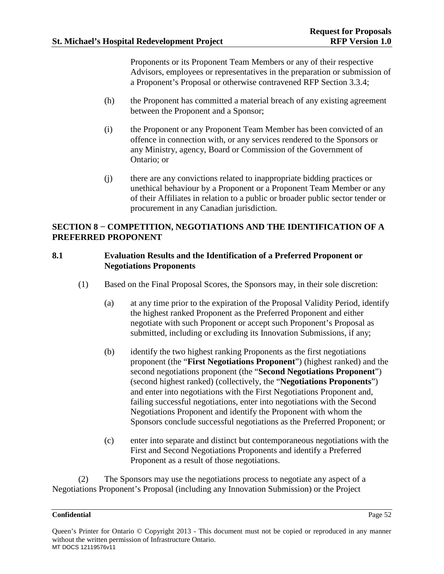Proponents or its Proponent Team Members or any of their respective Advisors, employees or representatives in the preparation or submission of a Proponent's Proposal or otherwise contravened RFP Section [3.3.4;](#page-15-0)

- (h) the Proponent has committed a material breach of any existing agreement between the Proponent and a Sponsor;
- (i) the Proponent or any Proponent Team Member has been convicted of an offence in connection with, or any services rendered to the Sponsors or any Ministry, agency, Board or Commission of the Government of Ontario; or
- (j) there are any convictions related to inappropriate bidding practices or unethical behaviour by a Proponent or a Proponent Team Member or any of their Affiliates in relation to a public or broader public sector tender or procurement in any Canadian jurisdiction.

## <span id="page-56-1"></span>**SECTION 8 − COMPETITION, NEGOTIATIONS AND THE IDENTIFICATION OF A PREFERRED PROPONENT**

## <span id="page-56-3"></span>**8.1 Evaluation Results and the Identification of a Preferred Proponent or Negotiations Proponents**

- <span id="page-56-5"></span><span id="page-56-0"></span>(1) Based on the Final Proposal Scores, the Sponsors may, in their sole discretion:
	- (a) at any time prior to the expiration of the Proposal Validity Period, identify the highest ranked Proponent as the Preferred Proponent and either negotiate with such Proponent or accept such Proponent's Proposal as submitted, including or excluding its Innovation Submissions, if any;
	- (b) identify the two highest ranking Proponents as the first negotiations proponent (the "**First Negotiations Proponent**") (highest ranked) and the second negotiations proponent (the "**Second Negotiations Proponent**") (second highest ranked) (collectively, the "**Negotiations Proponents**") and enter into negotiations with the First Negotiations Proponent and, failing successful negotiations, enter into negotiations with the Second Negotiations Proponent and identify the Proponent with whom the Sponsors conclude successful negotiations as the Preferred Proponent; or
	- (c) enter into separate and distinct but contemporaneous negotiations with the First and Second Negotiations Proponents and identify a Preferred Proponent as a result of those negotiations.

<span id="page-56-4"></span><span id="page-56-2"></span>(2) The Sponsors may use the negotiations process to negotiate any aspect of a Negotiations Proponent's Proposal (including any Innovation Submission) or the Project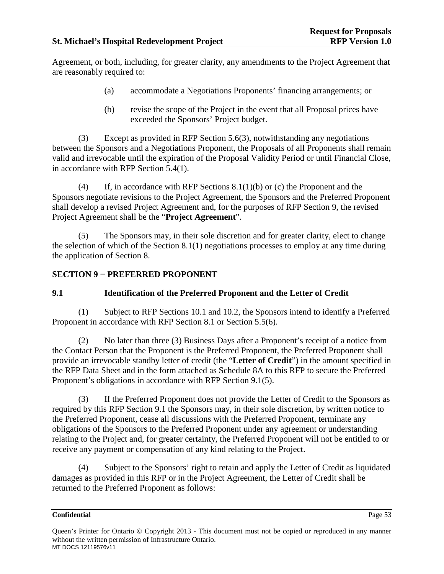Agreement, or both, including, for greater clarity, any amendments to the Project Agreement that are reasonably required to:

- (a) accommodate a Negotiations Proponents' financing arrangements; or
- (b) revise the scope of the Project in the event that all Proposal prices have exceeded the Sponsors' Project budget.

<span id="page-57-0"></span>(3) Except as provided in RFP Section [5.6\(3\),](#page-49-2) notwithstanding any negotiations between the Sponsors and a Negotiations Proponent, the Proposals of all Proponents shall remain valid and irrevocable until the expiration of the Proposal Validity Period or until Financial Close, in accordance with RFP Section [5.4\(1\).](#page-34-3)

<span id="page-57-1"></span>(4) If, in accordance with RFP Sections  $8.1(1)(b)$  or [\(c\)](#page-56-4) the Proponent and the Sponsors negotiate revisions to the Project Agreement, the Sponsors and the Preferred Proponent shall develop a revised Project Agreement and, for the purposes of RFP Section [9,](#page-57-3) the revised Project Agreement shall be the "**Project Agreement**".

(5) The Sponsors may, in their sole discretion and for greater clarity, elect to change the selection of which of the Section [8.1\(1\)](#page-56-5) negotiations processes to employ at any time during the application of Section [8.](#page-56-1)

# <span id="page-57-3"></span>**SECTION 9 − PREFERRED PROPONENT**

# <span id="page-57-4"></span>**9.1 Identification of the Preferred Proponent and the Letter of Credit**

(1) Subject to RFP Sections [10.1](#page-60-0) and [10.2,](#page-62-0) the Sponsors intend to identify a Preferred Proponent in accordance with RFP Section [8.1](#page-56-3) or Section [5.5\(6\).](#page-46-0)

<span id="page-57-2"></span>(2) No later than three (3) Business Days after a Proponent's receipt of a notice from the Contact Person that the Proponent is the Preferred Proponent, the Preferred Proponent shall provide an irrevocable standby letter of credit (the "**Letter of Credit**") in the amount specified in the RFP Data Sheet and in the form attached as Schedule 8A to this RFP to secure the Preferred Proponent's obligations in accordance with RFP Section [9.1\(5\).](#page-58-0)

(3) If the Preferred Proponent does not provide the Letter of Credit to the Sponsors as required by this RFP Section [9.1](#page-57-4) the Sponsors may, in their sole discretion, by written notice to the Preferred Proponent, cease all discussions with the Preferred Proponent, terminate any obligations of the Sponsors to the Preferred Proponent under any agreement or understanding relating to the Project and, for greater certainty, the Preferred Proponent will not be entitled to or receive any payment or compensation of any kind relating to the Project.

(4) Subject to the Sponsors' right to retain and apply the Letter of Credit as liquidated damages as provided in this RFP or in the Project Agreement, the Letter of Credit shall be returned to the Preferred Proponent as follows:

Queen's Printer for Ontario © Copyright 2013 - This document must not be copied or reproduced in any manner without the written permission of Infrastructure Ontario. MT DOCS 12119576v11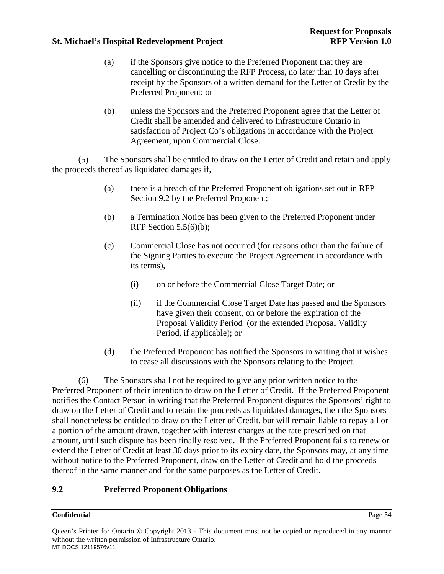- (a) if the Sponsors give notice to the Preferred Proponent that they are cancelling or discontinuing the RFP Process, no later than 10 days after receipt by the Sponsors of a written demand for the Letter of Credit by the Preferred Proponent; or
- (b) unless the Sponsors and the Preferred Proponent agree that the Letter of Credit shall be amended and delivered to Infrastructure Ontario in satisfaction of Project Co's obligations in accordance with the Project Agreement, upon Commercial Close.

<span id="page-58-0"></span>(5) The Sponsors shall be entitled to draw on the Letter of Credit and retain and apply the proceeds thereof as liquidated damages if,

- (a) there is a breach of the Preferred Proponent obligations set out in RFP Section [9.2](#page-58-1) by the Preferred Proponent;
- (b) a Termination Notice has been given to the Preferred Proponent under RFP Section [5.5\(6\)\(b\);](#page-46-1)
- (c) Commercial Close has not occurred (for reasons other than the failure of the Signing Parties to execute the Project Agreement in accordance with its terms),
	- (i) on or before the Commercial Close Target Date; or
	- (ii) if the Commercial Close Target Date has passed and the Sponsors have given their consent, on or before the expiration of the Proposal Validity Period (or the extended Proposal Validity Period, if applicable); or
- (d) the Preferred Proponent has notified the Sponsors in writing that it wishes to cease all discussions with the Sponsors relating to the Project.

(6) The Sponsors shall not be required to give any prior written notice to the Preferred Proponent of their intention to draw on the Letter of Credit. If the Preferred Proponent notifies the Contact Person in writing that the Preferred Proponent disputes the Sponsors' right to draw on the Letter of Credit and to retain the proceeds as liquidated damages, then the Sponsors shall nonetheless be entitled to draw on the Letter of Credit, but will remain liable to repay all or a portion of the amount drawn, together with interest charges at the rate prescribed on that amount, until such dispute has been finally resolved. If the Preferred Proponent fails to renew or extend the Letter of Credit at least 30 days prior to its expiry date, the Sponsors may, at any time without notice to the Preferred Proponent, draw on the Letter of Credit and hold the proceeds thereof in the same manner and for the same purposes as the Letter of Credit.

# <span id="page-58-1"></span>**9.2 Preferred Proponent Obligations**

Queen's Printer for Ontario © Copyright 2013 - This document must not be copied or reproduced in any manner without the written permission of Infrastructure Ontario. MT DOCS 12119576v11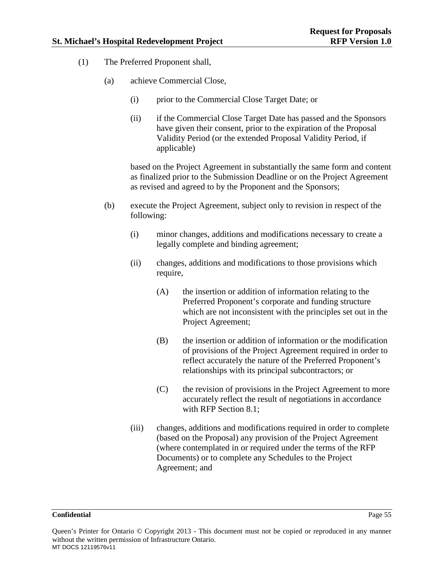- (1) The Preferred Proponent shall,
	- (a) achieve Commercial Close,
		- (i) prior to the Commercial Close Target Date; or
		- (ii) if the Commercial Close Target Date has passed and the Sponsors have given their consent, prior to the expiration of the Proposal Validity Period (or the extended Proposal Validity Period, if applicable)

based on the Project Agreement in substantially the same form and content as finalized prior to the Submission Deadline or on the Project Agreement as revised and agreed to by the Proponent and the Sponsors;

- <span id="page-59-0"></span>(b) execute the Project Agreement, subject only to revision in respect of the following:
	- (i) minor changes, additions and modifications necessary to create a legally complete and binding agreement;
	- (ii) changes, additions and modifications to those provisions which require,
		- (A) the insertion or addition of information relating to the Preferred Proponent's corporate and funding structure which are not inconsistent with the principles set out in the Project Agreement;
		- (B) the insertion or addition of information or the modification of provisions of the Project Agreement required in order to reflect accurately the nature of the Preferred Proponent's relationships with its principal subcontractors; or
		- (C) the revision of provisions in the Project Agreement to more accurately reflect the result of negotiations in accordance with RFP Section [8.1;](#page-56-3)
	- (iii) changes, additions and modifications required in order to complete (based on the Proposal) any provision of the Project Agreement (where contemplated in or required under the terms of the RFP Documents) or to complete any Schedules to the Project Agreement; and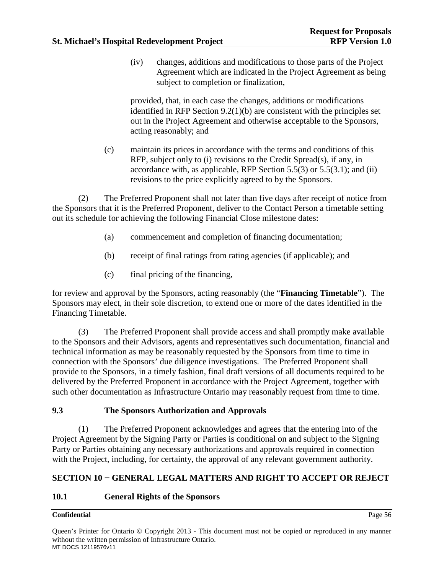(iv) changes, additions and modifications to those parts of the Project Agreement which are indicated in the Project Agreement as being subject to completion or finalization,

provided, that, in each case the changes, additions or modifications identified in RFP Section [9.2\(1\)\(b\)](#page-59-0) are consistent with the principles set out in the Project Agreement and otherwise acceptable to the Sponsors, acting reasonably; and

(c) maintain its prices in accordance with the terms and conditions of this RFP, subject only to (i) revisions to the Credit Spread(s), if any, in accordance with, as applicable, RFP Section  $5.5(3)$  or  $5.5(3.1)$ ; and (ii) revisions to the price explicitly agreed to by the Sponsors.

<span id="page-60-1"></span>(2) The Preferred Proponent shall not later than five days after receipt of notice from the Sponsors that it is the Preferred Proponent, deliver to the Contact Person a timetable setting out its schedule for achieving the following Financial Close milestone dates:

- (a) commencement and completion of financing documentation;
- (b) receipt of final ratings from rating agencies (if applicable); and
- (c) final pricing of the financing,

for review and approval by the Sponsors, acting reasonably (the "**Financing Timetable**"). The Sponsors may elect, in their sole discretion, to extend one or more of the dates identified in the Financing Timetable.

(3) The Preferred Proponent shall provide access and shall promptly make available to the Sponsors and their Advisors, agents and representatives such documentation, financial and technical information as may be reasonably requested by the Sponsors from time to time in connection with the Sponsors' due diligence investigations. The Preferred Proponent shall provide to the Sponsors, in a timely fashion, final draft versions of all documents required to be delivered by the Preferred Proponent in accordance with the Project Agreement, together with such other documentation as Infrastructure Ontario may reasonably request from time to time.

## **9.3 The Sponsors Authorization and Approvals**

(1) The Preferred Proponent acknowledges and agrees that the entering into of the Project Agreement by the Signing Party or Parties is conditional on and subject to the Signing Party or Parties obtaining any necessary authorizations and approvals required in connection with the Project, including, for certainty, the approval of any relevant government authority.

# **SECTION 10 − GENERAL LEGAL MATTERS AND RIGHT TO ACCEPT OR REJECT**

## <span id="page-60-0"></span>**10.1 General Rights of the Sponsors**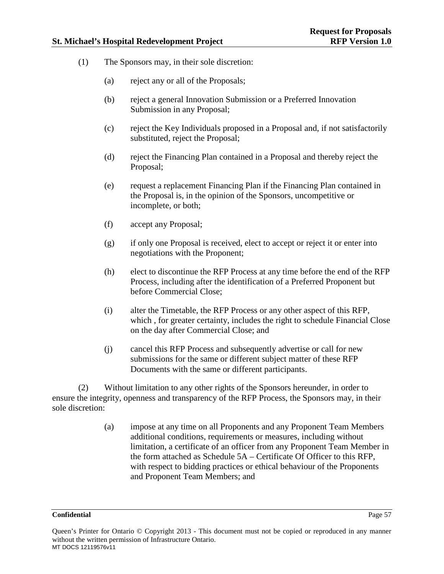- <span id="page-61-0"></span>(1) The Sponsors may, in their sole discretion:
	- (a) reject any or all of the Proposals;
	- (b) reject a general Innovation Submission or a Preferred Innovation Submission in any Proposal;
	- (c) reject the Key Individuals proposed in a Proposal and, if not satisfactorily substituted, reject the Proposal;
	- (d) reject the Financing Plan contained in a Proposal and thereby reject the Proposal;
	- (e) request a replacement Financing Plan if the Financing Plan contained in the Proposal is, in the opinion of the Sponsors, uncompetitive or incomplete, or both;
	- (f) accept any Proposal;
	- (g) if only one Proposal is received, elect to accept or reject it or enter into negotiations with the Proponent;
	- (h) elect to discontinue the RFP Process at any time before the end of the RFP Process, including after the identification of a Preferred Proponent but before Commercial Close;
	- (i) alter the Timetable, the RFP Process or any other aspect of this RFP, which , for greater certainty, includes the right to schedule Financial Close on the day after Commercial Close; and
	- (j) cancel this RFP Process and subsequently advertise or call for new submissions for the same or different subject matter of these RFP Documents with the same or different participants.

<span id="page-61-1"></span>(2) Without limitation to any other rights of the Sponsors hereunder, in order to ensure the integrity, openness and transparency of the RFP Process, the Sponsors may, in their sole discretion:

> (a) impose at any time on all Proponents and any Proponent Team Members additional conditions, requirements or measures, including without limitation, a certificate of an officer from any Proponent Team Member in the form attached as Schedule 5A – Certificate Of Officer to this RFP, with respect to bidding practices or ethical behaviour of the Proponents and Proponent Team Members; and

Queen's Printer for Ontario © Copyright 2013 - This document must not be copied or reproduced in any manner without the written permission of Infrastructure Ontario. MT DOCS 12119576v11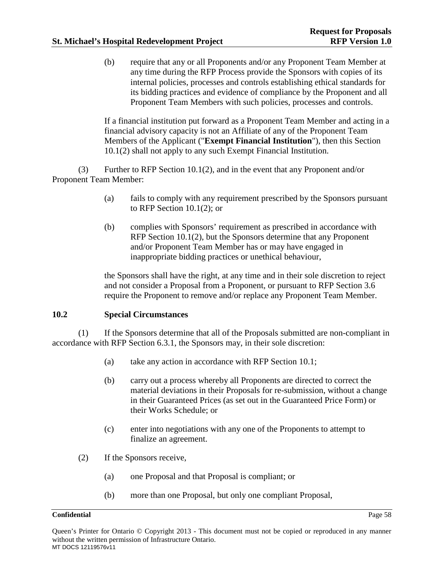(b) require that any or all Proponents and/or any Proponent Team Member at any time during the RFP Process provide the Sponsors with copies of its internal policies, processes and controls establishing ethical standards for its bidding practices and evidence of compliance by the Proponent and all Proponent Team Members with such policies, processes and controls.

If a financial institution put forward as a Proponent Team Member and acting in a financial advisory capacity is not an Affiliate of any of the Proponent Team Members of the Applicant ("**Exempt Financial Institution**"), then this Section [10.1\(2\)](#page-60-0) shall not apply to any such Exempt Financial Institution.

(3) Further to RFP Section [10.1\(2\),](#page-60-0) and in the event that any Proponent and/or Proponent Team Member:

- (a) fails to comply with any requirement prescribed by the Sponsors pursuant to RFP Section [10.1\(2\);](#page-60-0) or
- (b) complies with Sponsors' requirement as prescribed in accordance with RFP Section [10.1\(2\),](#page-60-0) but the Sponsors determine that any Proponent and/or Proponent Team Member has or may have engaged in inappropriate bidding practices or unethical behaviour,

the Sponsors shall have the right, at any time and in their sole discretion to reject and not consider a Proposal from a Proponent, or pursuant to RFP Section [3.6](#page-19-0) require the Proponent to remove and/or replace any Proponent Team Member.

## <span id="page-62-0"></span>**10.2 Special Circumstances**

(1) If the Sponsors determine that all of the Proposals submitted are non-compliant in accordance with RFP Section [6.3.1,](#page-51-0) the Sponsors may, in their sole discretion:

- (a) take any action in accordance with RFP Section [10.1;](#page-60-0)
- (b) carry out a process whereby all Proponents are directed to correct the material deviations in their Proposals for re-submission, without a change in their Guaranteed Prices (as set out in the Guaranteed Price Form) or their Works Schedule; or
- (c) enter into negotiations with any one of the Proponents to attempt to finalize an agreement.
- (2) If the Sponsors receive,
	- (a) one Proposal and that Proposal is compliant; or
	- (b) more than one Proposal, but only one compliant Proposal,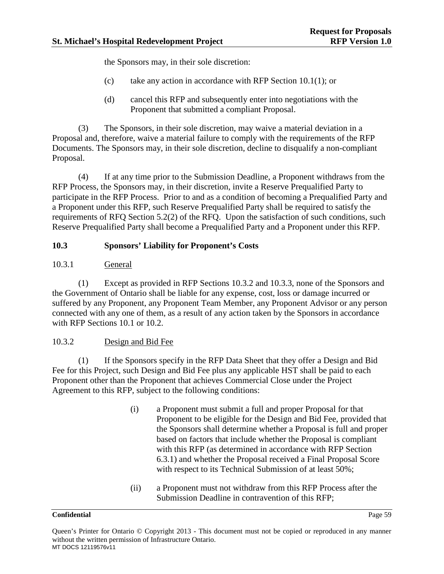the Sponsors may, in their sole discretion:

- (c) take any action in accordance with RFP Section [10.1\(1\);](#page-61-0) or
- (d) cancel this RFP and subsequently enter into negotiations with the Proponent that submitted a compliant Proposal.

<span id="page-63-1"></span>(3) The Sponsors, in their sole discretion, may waive a material deviation in a Proposal and, therefore, waive a material failure to comply with the requirements of the RFP Documents. The Sponsors may, in their sole discretion, decline to disqualify a non-compliant Proposal.

(4) If at any time prior to the Submission Deadline, a Proponent withdraws from the RFP Process, the Sponsors may, in their discretion, invite a Reserve Prequalified Party to participate in the RFP Process. Prior to and as a condition of becoming a Prequalified Party and a Proponent under this RFP, such Reserve Prequalified Party shall be required to satisfy the requirements of RFQ Section 5.2(2) of the RFQ. Upon the satisfaction of such conditions, such Reserve Prequalified Party shall become a Prequalified Party and a Proponent under this RFP.

## **10.3 Sponsors' Liability for Proponent's Costs**

## 10.3.1 General

(1) Except as provided in RFP Sections [10.3.2](#page-63-0) and [10.3.3,](#page-64-0) none of the Sponsors and the Government of Ontario shall be liable for any expense, cost, loss or damage incurred or suffered by any Proponent, any Proponent Team Member, any Proponent Advisor or any person connected with any one of them, as a result of any action taken by the Sponsors in accordance with RFP Sections [10.1](#page-60-0) or [10.2.](#page-62-0)

## <span id="page-63-0"></span>10.3.2 Design and Bid Fee

<span id="page-63-2"></span>(1) If the Sponsors specify in the RFP Data Sheet that they offer a Design and Bid Fee for this Project, such Design and Bid Fee plus any applicable HST shall be paid to each Proponent other than the Proponent that achieves Commercial Close under the Project Agreement to this RFP, subject to the following conditions:

- (i) a Proponent must submit a full and proper Proposal for that Proponent to be eligible for the Design and Bid Fee, provided that the Sponsors shall determine whether a Proposal is full and proper based on factors that include whether the Proposal is compliant with this RFP (as determined in accordance with RFP Section [6.3.1\)](#page-51-0) and whether the Proposal received a Final Proposal Score with respect to its Technical Submission of at least 50%;
- (ii) a Proponent must not withdraw from this RFP Process after the Submission Deadline in contravention of this RFP;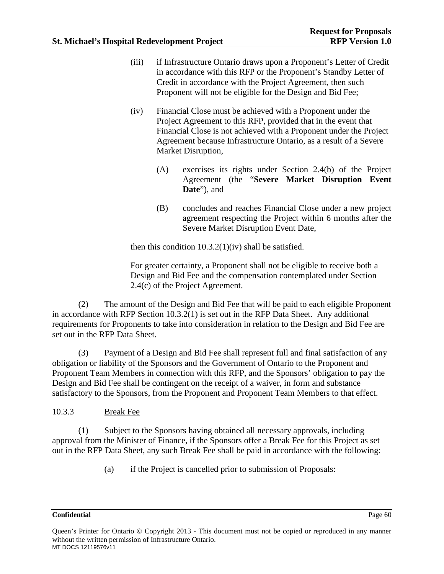- (iii) if Infrastructure Ontario draws upon a Proponent's Letter of Credit in accordance with this RFP or the Proponent's Standby Letter of Credit in accordance with the Project Agreement, then such Proponent will not be eligible for the Design and Bid Fee;
- (iv) Financial Close must be achieved with a Proponent under the Project Agreement to this RFP, provided that in the event that Financial Close is not achieved with a Proponent under the Project Agreement because Infrastructure Ontario, as a result of a Severe Market Disruption,
	- (A) exercises its rights under Section 2.4(b) of the Project Agreement (the "**Severe Market Disruption Event Date**"), and
	- (B) concludes and reaches Financial Close under a new project agreement respecting the Project within 6 months after the Severe Market Disruption Event Date,

then this condition  $10.3.2(1)(iv)$  shall be satisfied.

For greater certainty, a Proponent shall not be eligible to receive both a Design and Bid Fee and the compensation contemplated under Section 2.4(c) of the Project Agreement.

(2) The amount of the Design and Bid Fee that will be paid to each eligible Proponent in accordance with RFP Section [10.3.2\(1\)](#page-63-2) is set out in the RFP Data Sheet. Any additional requirements for Proponents to take into consideration in relation to the Design and Bid Fee are set out in the RFP Data Sheet.

(3) Payment of a Design and Bid Fee shall represent full and final satisfaction of any obligation or liability of the Sponsors and the Government of Ontario to the Proponent and Proponent Team Members in connection with this RFP, and the Sponsors' obligation to pay the Design and Bid Fee shall be contingent on the receipt of a waiver, in form and substance satisfactory to the Sponsors, from the Proponent and Proponent Team Members to that effect.

<span id="page-64-0"></span>10.3.3 Break Fee

(1) Subject to the Sponsors having obtained all necessary approvals, including approval from the Minister of Finance, if the Sponsors offer a Break Fee for this Project as set out in the RFP Data Sheet, any such Break Fee shall be paid in accordance with the following:

(a) if the Project is cancelled prior to submission of Proposals:

Queen's Printer for Ontario © Copyright 2013 - This document must not be copied or reproduced in any manner without the written permission of Infrastructure Ontario. MT DOCS 12119576v11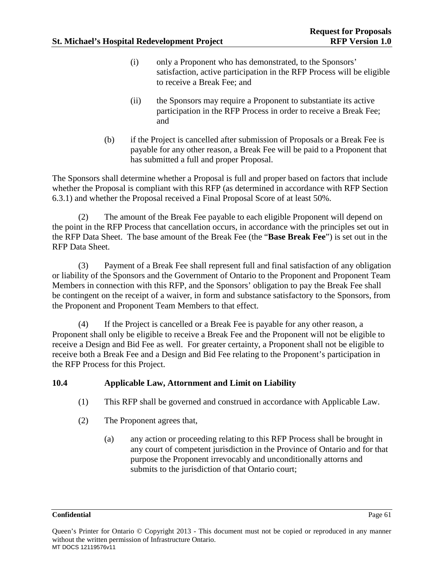- (i) only a Proponent who has demonstrated, to the Sponsors' satisfaction, active participation in the RFP Process will be eligible to receive a Break Fee; and
- (ii) the Sponsors may require a Proponent to substantiate its active participation in the RFP Process in order to receive a Break Fee; and
- (b) if the Project is cancelled after submission of Proposals or a Break Fee is payable for any other reason, a Break Fee will be paid to a Proponent that has submitted a full and proper Proposal.

The Sponsors shall determine whether a Proposal is full and proper based on factors that include whether the Proposal is compliant with this RFP (as determined in accordance with RFP Section [6.3.1\)](#page-51-0) and whether the Proposal received a Final Proposal Score of at least 50%.

<span id="page-65-1"></span>(2) The amount of the Break Fee payable to each eligible Proponent will depend on the point in the RFP Process that cancellation occurs, in accordance with the principles set out in the RFP Data Sheet. The base amount of the Break Fee (the "**Base Break Fee**") is set out in the RFP Data Sheet.

(3) Payment of a Break Fee shall represent full and final satisfaction of any obligation or liability of the Sponsors and the Government of Ontario to the Proponent and Proponent Team Members in connection with this RFP, and the Sponsors' obligation to pay the Break Fee shall be contingent on the receipt of a waiver, in form and substance satisfactory to the Sponsors, from the Proponent and Proponent Team Members to that effect.

(4) If the Project is cancelled or a Break Fee is payable for any other reason, a Proponent shall only be eligible to receive a Break Fee and the Proponent will not be eligible to receive a Design and Bid Fee as well. For greater certainty, a Proponent shall not be eligible to receive both a Break Fee and a Design and Bid Fee relating to the Proponent's participation in the RFP Process for this Project.

## <span id="page-65-0"></span>**10.4 Applicable Law, Attornment and Limit on Liability**

- (1) This RFP shall be governed and construed in accordance with Applicable Law.
- (2) The Proponent agrees that,
	- (a) any action or proceeding relating to this RFP Process shall be brought in any court of competent jurisdiction in the Province of Ontario and for that purpose the Proponent irrevocably and unconditionally attorns and submits to the jurisdiction of that Ontario court;

Queen's Printer for Ontario © Copyright 2013 - This document must not be copied or reproduced in any manner without the written permission of Infrastructure Ontario. MT DOCS 12119576v11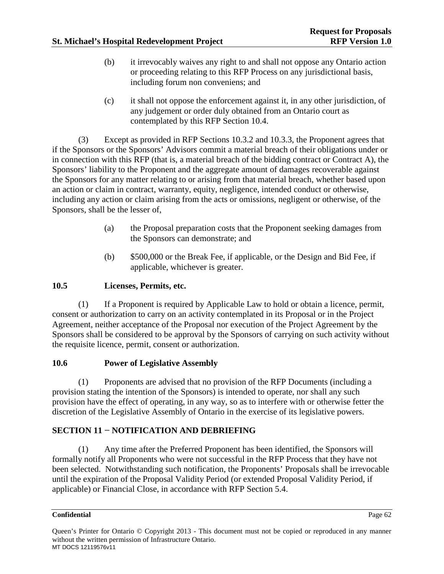- (b) it irrevocably waives any right to and shall not oppose any Ontario action or proceeding relating to this RFP Process on any jurisdictional basis, including forum non conveniens; and
- (c) it shall not oppose the enforcement against it, in any other jurisdiction, of any judgement or order duly obtained from an Ontario court as contemplated by this RFP Section [10.4.](#page-65-0)

(3) Except as provided in RFP Sections [10.3.2](#page-63-0) and [10.3.3,](#page-64-0) the Proponent agrees that if the Sponsors or the Sponsors' Advisors commit a material breach of their obligations under or in connection with this RFP (that is, a material breach of the bidding contract or Contract A), the Sponsors' liability to the Proponent and the aggregate amount of damages recoverable against the Sponsors for any matter relating to or arising from that material breach, whether based upon an action or claim in contract, warranty, equity, negligence, intended conduct or otherwise, including any action or claim arising from the acts or omissions, negligent or otherwise, of the Sponsors, shall be the lesser of,

- (a) the Proposal preparation costs that the Proponent seeking damages from the Sponsors can demonstrate; and
- (b) \$500,000 or the Break Fee, if applicable, or the Design and Bid Fee, if applicable, whichever is greater.

## **10.5 Licenses, Permits, etc.**

(1) If a Proponent is required by Applicable Law to hold or obtain a licence, permit, consent or authorization to carry on an activity contemplated in its Proposal or in the Project Agreement, neither acceptance of the Proposal nor execution of the Project Agreement by the Sponsors shall be considered to be approval by the Sponsors of carrying on such activity without the requisite licence, permit, consent or authorization.

## **10.6 Power of Legislative Assembly**

(1) Proponents are advised that no provision of the RFP Documents (including a provision stating the intention of the Sponsors) is intended to operate, nor shall any such provision have the effect of operating, in any way, so as to interfere with or otherwise fetter the discretion of the Legislative Assembly of Ontario in the exercise of its legislative powers.

# **SECTION 11 − NOTIFICATION AND DEBRIEFING**

(1) Any time after the Preferred Proponent has been identified, the Sponsors will formally notify all Proponents who were not successful in the RFP Process that they have not been selected. Notwithstanding such notification, the Proponents' Proposals shall be irrevocable until the expiration of the Proposal Validity Period (or extended Proposal Validity Period, if applicable) or Financial Close, in accordance with RFP Section [5.4.](#page-34-4)

**Confidential** Page 62

Queen's Printer for Ontario © Copyright 2013 - This document must not be copied or reproduced in any manner without the written permission of Infrastructure Ontario. MT DOCS 12119576v11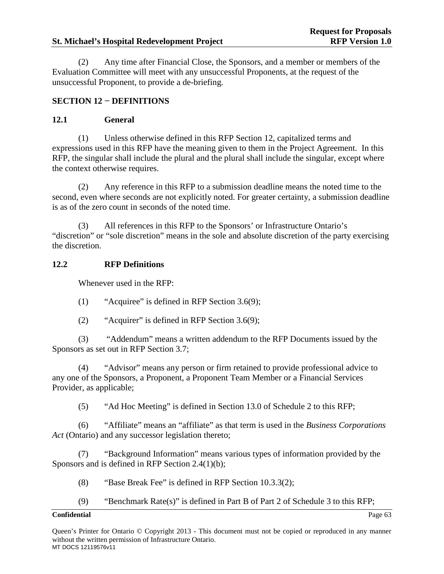(2) Any time after Financial Close, the Sponsors, and a member or members of the Evaluation Committee will meet with any unsuccessful Proponents, at the request of the unsuccessful Proponent, to provide a de-briefing.

# <span id="page-67-0"></span>**SECTION 12 − DEFINITIONS**

# **12.1 General**

(1) Unless otherwise defined in this RFP Section [12,](#page-67-0) capitalized terms and expressions used in this RFP have the meaning given to them in the Project Agreement. In this RFP, the singular shall include the plural and the plural shall include the singular, except where the context otherwise requires.

(2) Any reference in this RFP to a submission deadline means the noted time to the second, even where seconds are not explicitly noted. For greater certainty, a submission deadline is as of the zero count in seconds of the noted time.

(3) All references in this RFP to the Sponsors' or Infrastructure Ontario's "discretion" or "sole discretion" means in the sole and absolute discretion of the party exercising the discretion.

# **12.2 RFP Definitions**

Whenever used in the RFP:

- (1) "Acquiree" is defined in RFP Section [3.6\(9\);](#page-21-0)
- (2) "Acquirer" is defined in RFP Section [3.6\(9\);](#page-21-0)

(3) "Addendum" means a written addendum to the RFP Documents issued by the Sponsors as set out in RFP Section [3.7;](#page-22-0)

(4) "Advisor" means any person or firm retained to provide professional advice to any one of the Sponsors, a Proponent, a Proponent Team Member or a Financial Services Provider, as applicable;

(5) "Ad Hoc Meeting" is defined in Section 13.0 of Schedule 2 to this RFP;

(6) "Affiliate" means an "affiliate" as that term is used in the *Business Corporations Act* (Ontario) and any successor legislation thereto;

(7) "Background Information" means various types of information provided by the Sponsors and is defined in RFP Section [2.4\(1\)\(b\);](#page-10-0)

(8) "Base Break Fee" is defined in RFP Section [10.3.3\(2\);](#page-65-1)

(9) "Benchmark Rate(s)" is defined in Part B of Part 2 of Schedule 3 to this RFP;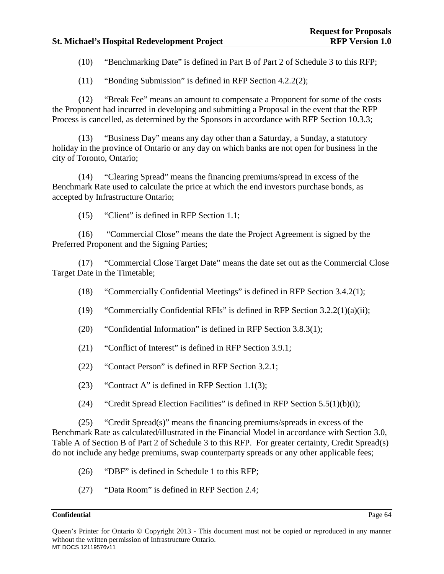(10) "Benchmarking Date" is defined in Part B of Part 2 of Schedule 3 to this RFP;

(11) "Bonding Submission" is defined in RFP Section [4.2.2\(2\);](#page-32-0)

(12) "Break Fee" means an amount to compensate a Proponent for some of the costs the Proponent had incurred in developing and submitting a Proposal in the event that the RFP Process is cancelled, as determined by the Sponsors in accordance with RFP Section [10.3.3;](#page-64-0)

(13) "Business Day" means any day other than a Saturday, a Sunday, a statutory holiday in the province of Ontario or any day on which banks are not open for business in the city of Toronto, Ontario;

(14) "Clearing Spread" means the financing premiums/spread in excess of the Benchmark Rate used to calculate the price at which the end investors purchase bonds, as accepted by Infrastructure Ontario;

(15) "Client" is defined in RFP Section [1.1;](#page-5-0)

(16) "Commercial Close" means the date the Project Agreement is signed by the Preferred Proponent and the Signing Parties;

(17) "Commercial Close Target Date" means the date set out as the Commercial Close Target Date in the Timetable;

- (18) "Commercially Confidential Meetings" is defined in RFP Section [3.4.2\(1\);](#page-15-1)
- (19) "Commercially Confidential RFIs" is defined in RFP Section  $3.2.2(1)(a)(ii)$ ;
- (20) "Confidential Information" is defined in RFP Section [3.8.3\(1\);](#page-23-0)
- (21) "Conflict of Interest" is defined in RFP Section [3.9.1;](#page-26-3)
- (22) "Contact Person" is defined in RFP Section [3.2.1;](#page-11-0)
- (23) "Contract A" is defined in RFP Section [1.1\(3\);](#page-5-1)
- (24) "Credit Spread Election Facilities" is defined in RFP Section  $5.5(1)(b)(i)$ ;

(25) "Credit Spread(s)" means the financing premiums/spreads in excess of the Benchmark Rate as calculated/illustrated in the Financial Model in accordance with Section 3.0, Table A of Section B of Part 2 of Schedule 3 to this RFP. For greater certainty, Credit Spread(s) do not include any hedge premiums, swap counterparty spreads or any other applicable fees;

- (26) "DBF" is defined in Schedule 1 to this RFP;
- (27) "Data Room" is defined in RFP Section [2.4;](#page-9-0)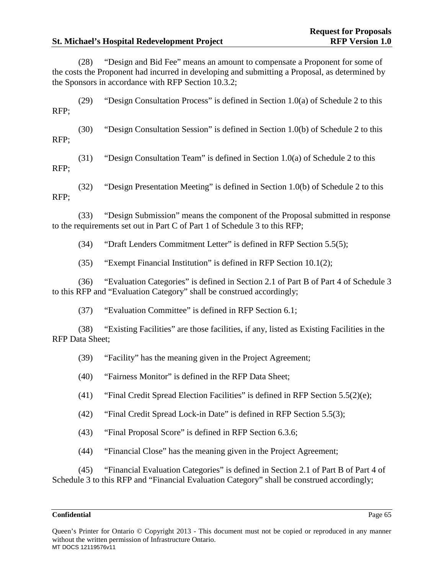## **St. Michael's Hospital Redevelopment Project RFP Version 1.0**

(28) "Design and Bid Fee" means an amount to compensate a Proponent for some of the costs the Proponent had incurred in developing and submitting a Proposal, as determined by the Sponsors in accordance with RFP Section [10.3.2;](#page-63-0)

(29) "Design Consultation Process" is defined in Section 1.0(a) of Schedule 2 to this RFP;

(30) "Design Consultation Session" is defined in Section 1.0(b) of Schedule 2 to this RFP;

(31) "Design Consultation Team" is defined in Section 1.0(a) of Schedule 2 to this RFP;

(32) "Design Presentation Meeting" is defined in Section 1.0(b) of Schedule 2 to this RFP;

(33) "Design Submission" means the component of the Proposal submitted in response to the requirements set out in Part C of Part 1 of Schedule 3 to this RFP;

(34) "Draft Lenders Commitment Letter" is defined in RFP Section 5.5(5);

(35) "Exempt Financial Institution" is defined in RFP Section [10.1\(2\);](#page-61-1)

(36) "Evaluation Categories" is defined in Section 2.1 of Part B of Part 4 of Schedule 3 to this RFP and "Evaluation Category" shall be construed accordingly;

(37) "Evaluation Committee" is defined in RFP Section [6.1;](#page-50-0)

(38) "Existing Facilities" are those facilities, if any, listed as Existing Facilities in the RFP Data Sheet;

(39) "Facility" has the meaning given in the Project Agreement;

(40) "Fairness Monitor" is defined in the RFP Data Sheet;

(41) "Final Credit Spread Election Facilities" is defined in RFP Section [5.5\(2\)\(e\);](#page-39-2)

(42) "Final Credit Spread Lock-in Date" is defined in RFP Section [5.5\(3\);](#page-39-0)

(43) "Final Proposal Score" is defined in RFP Section [6.3.6;](#page-53-0)

(44) "Financial Close" has the meaning given in the Project Agreement;

(45) "Financial Evaluation Categories" is defined in Section 2.1 of Part B of Part 4 of Schedule 3 to this RFP and "Financial Evaluation Category" shall be construed accordingly;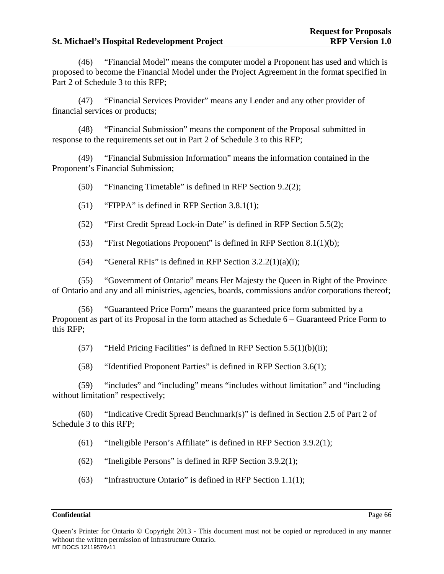(46) "Financial Model" means the computer model a Proponent has used and which is proposed to become the Financial Model under the Project Agreement in the format specified in Part 2 of Schedule 3 to this RFP;

(47) "Financial Services Provider" means any Lender and any other provider of financial services or products;

(48) "Financial Submission" means the component of the Proposal submitted in response to the requirements set out in Part 2 of Schedule 3 to this RFP;

(49) "Financial Submission Information" means the information contained in the Proponent's Financial Submission;

(50) "Financing Timetable" is defined in RFP Section [9.2\(2\);](#page-60-1)

(51) "FIPPA" is defined in RFP Section [3.8.1\(1\);](#page-22-1)

(52) "First Credit Spread Lock-in Date" is defined in RFP Section [5.5\(2\);](#page-35-0)

(53) "First Negotiations Proponent" is defined in RFP Section [8.1\(1\)\(b\);](#page-56-0)

(54) "General RFIs" is defined in RFP Section  $3.2.2(1)(a)(i)$ ;

(55) "Government of Ontario" means Her Majesty the Queen in Right of the Province of Ontario and any and all ministries, agencies, boards, commissions and/or corporations thereof;

(56) "Guaranteed Price Form" means the guaranteed price form submitted by a Proponent as part of its Proposal in the form attached as Schedule 6 – Guaranteed Price Form to this RFP;

(57) "Held Pricing Facilities" is defined in RFP Section  $5.5(1)(b)(ii)$ ;

(58) "Identified Proponent Parties" is defined in RFP Section [3.6\(1\);](#page-20-0)

(59) "includes" and "including" means "includes without limitation" and "including without limitation" respectively;

(60) "Indicative Credit Spread Benchmark(s)" is defined in Section 2.5 of Part 2 of Schedule 3 to this RFP;

(61) "Ineligible Person's Affiliate" is defined in RFP Section [3.9.2\(1\);](#page-27-0)

(62) "Ineligible Persons" is defined in RFP Section [3.9.2\(1\);](#page-27-0)

(63) "Infrastructure Ontario" is defined in RFP Section [1.1\(1\);](#page-5-2)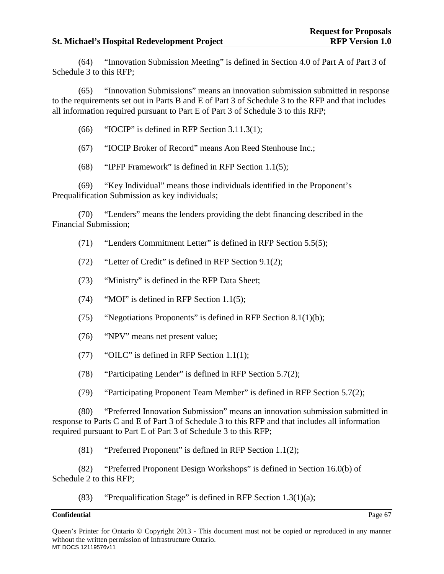(64) "Innovation Submission Meeting" is defined in Section 4.0 of Part A of Part 3 of Schedule 3 to this RFP;

(65) "Innovation Submissions" means an innovation submission submitted in response to the requirements set out in Parts B and E of Part 3 of Schedule 3 to the RFP and that includes all information required pursuant to Part E of Part 3 of Schedule 3 to this RFP;

(66) "IOCIP" is defined in RFP Section [3.11.3\(1\);](#page-30-0)

(67) "IOCIP Broker of Record" means Aon Reed Stenhouse Inc.;

(68) "IPFP Framework" is defined in RFP Section [1.1\(5\);](#page-5-3)

(69) "Key Individual" means those individuals identified in the Proponent's Prequalification Submission as key individuals;

(70) "Lenders" means the lenders providing the debt financing described in the Financial Submission;

- (71) "Lenders Commitment Letter" is defined in RFP Section 5.5(5);
- (72) "Letter of Credit" is defined in RFP Section [9.1\(2\);](#page-57-2)
- (73) "Ministry" is defined in the RFP Data Sheet;
- (74) "MOI" is defined in RFP Section [1.1\(5\);](#page-5-3)
- (75) "Negotiations Proponents" is defined in RFP Section [8.1\(1\)\(b\);](#page-56-0)
- (76) "NPV" means net present value;
- (77) "OILC" is defined in RFP Section [1.1\(1\);](#page-5-2)
- (78) "Participating Lender" is defined in RFP Section [5.7\(2\);](#page-50-1)
- (79) "Participating Proponent Team Member" is defined in RFP Section [5.7\(2\);](#page-50-1)

(80) "Preferred Innovation Submission" means an innovation submission submitted in response to Parts C and E of Part 3 of Schedule 3 to this RFP and that includes all information required pursuant to Part E of Part 3 of Schedule 3 to this RFP;

(81) "Preferred Proponent" is defined in RFP Section [1.1\(2\);](#page-5-4)

(82) "Preferred Proponent Design Workshops" is defined in Section 16.0(b) of Schedule 2 to this RFP;

(83) "Prequalification Stage" is defined in RFP Section [1.3\(1\)\(a\);](#page-7-0)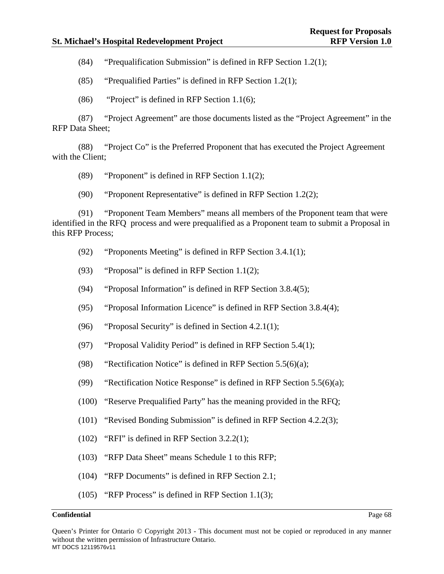(84) "Prequalification Submission" is defined in RFP Section [1.2\(1\);](#page-6-0)

(85) "Prequalified Parties" is defined in RFP Section  $1.2(1)$ ;

(86) "Project" is defined in RFP Section [1.1\(6\);](#page-6-1)

(87) "Project Agreement" are those documents listed as the "Project Agreement" in the RFP Data Sheet;

(88) "Project Co" is the Preferred Proponent that has executed the Project Agreement with the Client;

(89) "Proponent" is defined in RFP Section [1.1\(2\);](#page-5-0)

(90) "Proponent Representative" is defined in RFP Section [1.2\(2\);](#page-6-2)

(91) "Proponent Team Members" means all members of the Proponent team that were identified in the RFQ process and were prequalified as a Proponent team to submit a Proposal in this RFP Process;

(92) "Proponents Meeting" is defined in RFP Section [3.4.1\(1\);](#page-15-0)

- (93) "Proposal" is defined in RFP Section [1.1\(2\);](#page-5-0)
- (94) "Proposal Information" is defined in RFP Section [3.8.4\(5\);](#page-25-0)
- (95) "Proposal Information Licence" is defined in RFP Section [3.8.4\(4\);](#page-25-1)
- (96) "Proposal Security" is defined in Section [4.2.1\(1\);](#page-31-0)
- (97) "Proposal Validity Period" is defined in RFP Section [5.4\(1\);](#page-34-0)
- (98) "Rectification Notice" is defined in RFP Section  $5.5(6)(a)$ ;
- (99) "Rectification Notice Response" is defined in RFP Section  $5.5(6)(a)$ ;
- (100) "Reserve Prequalified Party" has the meaning provided in the RFQ;
- (101) "Revised Bonding Submission" is defined in RFP Section [4.2.2\(3\);](#page-32-0)
- (102) "RFI" is defined in RFP Section [3.2.2\(1\);](#page-11-0)
- (103) "RFP Data Sheet" means Schedule 1 to this RFP;
- (104) "RFP Documents" is defined in RFP Section [2.1;](#page-7-0)
- (105) "RFP Process" is defined in RFP Section [1.1\(3\);](#page-5-1)

**Confidential** Page 68